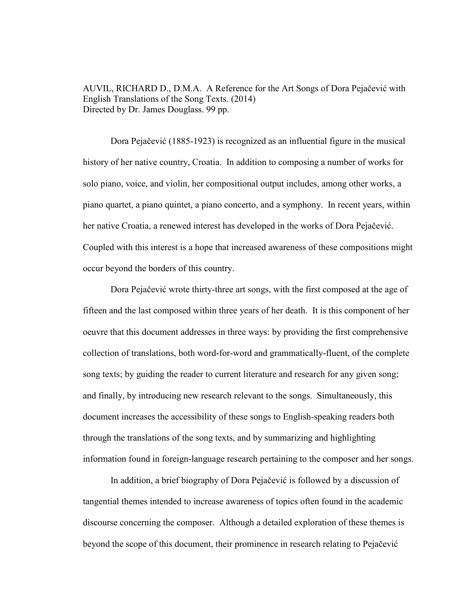AUVIL, RICHARD D., D.M.A. A Reference for the Art Songs of Dora Pejačević with English Translations of the Song Texts. (2014) Directed by Dr. James Douglass. 99 pp.

Dora Pejačević (1885-1923) is recognized as an influential figure in the musical history of her native country, Croatia. In addition to composing a number of works for solo piano, voice, and violin, her compositional output includes, among other works, a piano quartet, a piano quintet, a piano concerto, and a symphony. In recent years, within her native Croatia, a renewed interest has developed in the works of Dora Pejačević. Coupled with this interest is a hope that increased awareness of these compositions might occur beyond the borders of this country.

 Dora Pejačević wrote thirty-three art songs, with the first composed at the age of fifteen and the last composed within three years of her death. It is this component of her oeuvre that this document addresses in three ways: by providing the first comprehensive collection of translations, both word-for-word and grammatically-fluent, of the complete song texts; by guiding the reader to current literature and research for any given song; and finally, by introducing new research relevant to the songs. Simultaneously, this document increases the accessibility of these songs to English-speaking readers both through the translations of the song texts, and by summarizing and highlighting information found in foreign-language research pertaining to the composer and her songs.

 In addition, a brief biography of Dora Pejačević is followed by a discussion of tangential themes intended to increase awareness of topics often found in the academic discourse concerning the composer. Although a detailed exploration of these themes is beyond the scope of this document, their prominence in research relating to Pejačević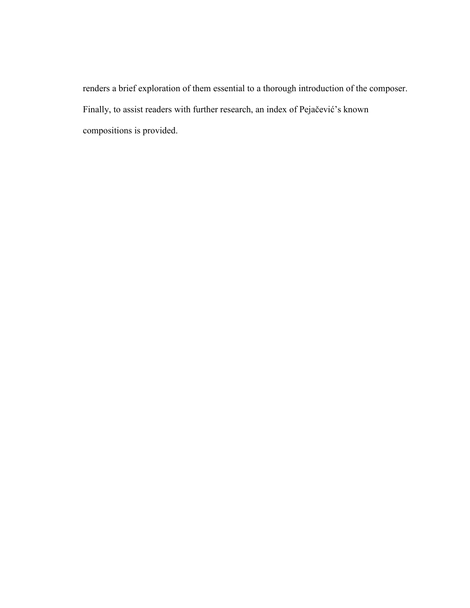renders a brief exploration of them essential to a thorough introduction of the composer. Finally, to assist readers with further research, an index of Pejačević's known compositions is provided.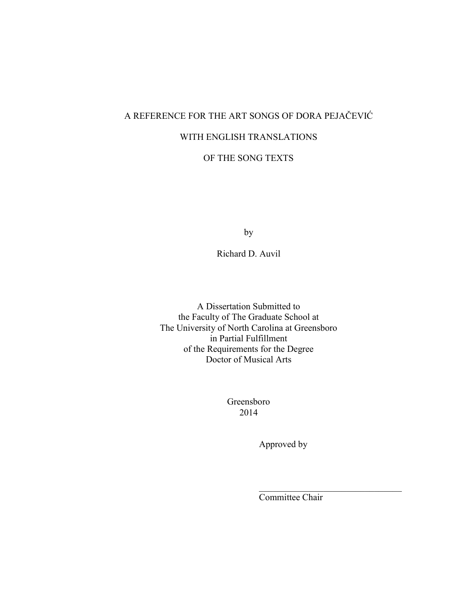# A REFERENCE FOR THE ART SONGS OF DORA PEJAČEVIĆ

### WITH ENGLISH TRANSLATIONS

# OF THE SONG TEXTS

by

Richard D. Auvil

A Dissertation Submitted to the Faculty of The Graduate School at The University of North Carolina at Greensboro in Partial Fulfillment of the Requirements for the Degree Doctor of Musical Arts

> Greensboro 2014

> > Approved by

Committee Chair

 $\overline{\phantom{a}}$  , and the set of the set of the set of the set of the set of the set of the set of the set of the set of the set of the set of the set of the set of the set of the set of the set of the set of the set of the s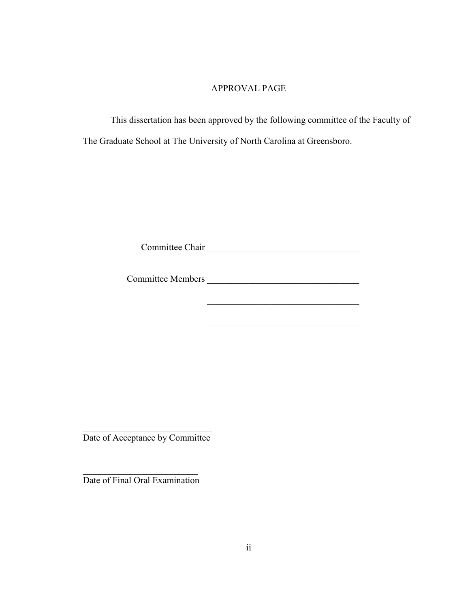## APPROVAL PAGE

 This dissertation has been approved by the following committee of the Faculty of The Graduate School at The University of North Carolina at Greensboro.

Committee Chair \_\_\_\_\_\_\_\_\_\_\_\_\_\_\_\_\_\_\_\_\_\_\_\_\_\_\_\_\_\_\_\_\_

Committee Members \_\_\_\_\_\_\_\_\_\_\_\_\_\_\_\_\_\_\_\_\_\_\_\_\_\_\_\_\_\_\_\_\_

\_\_\_\_\_\_\_\_\_\_\_\_\_\_\_\_\_\_\_\_\_\_\_\_\_\_\_\_\_\_\_\_\_

 $\overline{\phantom{a}}$  , and the set of the set of the set of the set of the set of the set of the set of the set of the set of the set of the set of the set of the set of the set of the set of the set of the set of the set of the s Date of Acceptance by Committee

 $\overline{\phantom{a}}$  , which is a set of the set of the set of the set of the set of the set of the set of the set of the set of the set of the set of the set of the set of the set of the set of the set of the set of the set of th Date of Final Oral Examination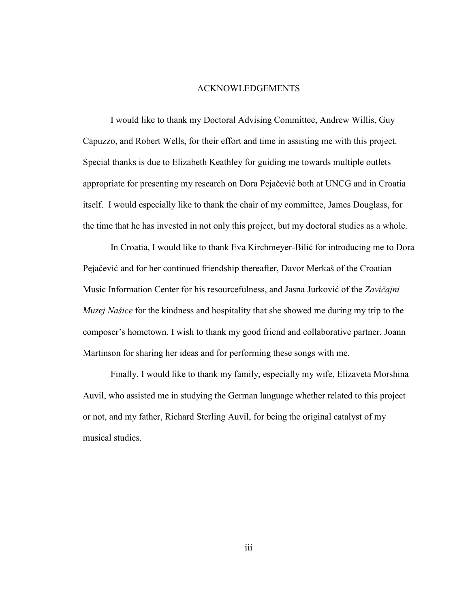#### ACKNOWLEDGEMENTS

I would like to thank my Doctoral Advising Committee, Andrew Willis, Guy Capuzzo, and Robert Wells, for their effort and time in assisting me with this project. Special thanks is due to Elizabeth Keathley for guiding me towards multiple outlets appropriate for presenting my research on Dora Pejačević both at UNCG and in Croatia itself. I would especially like to thank the chair of my committee, James Douglass, for the time that he has invested in not only this project, but my doctoral studies as a whole.

In Croatia, I would like to thank Eva Kirchmeyer-Bilić for introducing me to Dora Pejačević and for her continued friendship thereafter, Davor Merkaš of the Croatian Music Information Center for his resourcefulness, and Jasna Jurković of the *Zavičajni Muzej Našice* for the kindness and hospitality that she showed me during my trip to the composer's hometown. I wish to thank my good friend and collaborative partner, Joann Martinson for sharing her ideas and for performing these songs with me.

Finally, I would like to thank my family, especially my wife, Elizaveta Morshina Auvil, who assisted me in studying the German language whether related to this project or not, and my father, Richard Sterling Auvil, for being the original catalyst of my musical studies.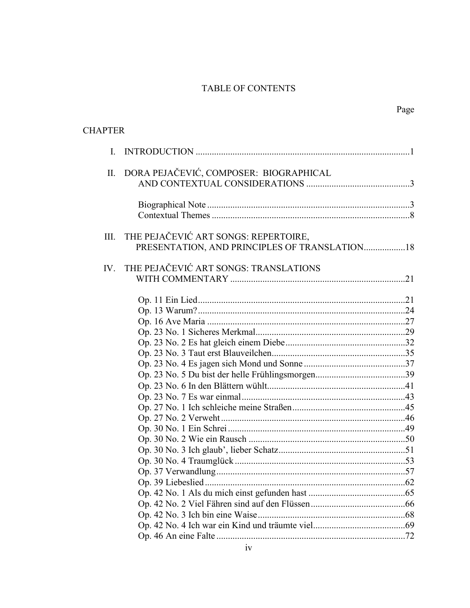# TABLE OF CONTENTS

| <b>CHAPTER</b> |                                                                                       |  |
|----------------|---------------------------------------------------------------------------------------|--|
| $\mathbf{I}$   |                                                                                       |  |
|                | II. DORA PEJAČEVIĆ, COMPOSER: BIOGRAPHICAL                                            |  |
|                |                                                                                       |  |
| III.           | THE PEJAČEVIĆ ART SONGS: REPERTOIRE,<br>PRESENTATION, AND PRINCIPLES OF TRANSLATION18 |  |
|                | IV. THE PEJAČEVIĆ ART SONGS: TRANSLATIONS                                             |  |
|                |                                                                                       |  |
|                |                                                                                       |  |
|                |                                                                                       |  |
|                |                                                                                       |  |
|                |                                                                                       |  |
|                |                                                                                       |  |
|                |                                                                                       |  |
|                |                                                                                       |  |
|                |                                                                                       |  |
|                |                                                                                       |  |
|                |                                                                                       |  |
|                |                                                                                       |  |
|                |                                                                                       |  |
|                |                                                                                       |  |
|                |                                                                                       |  |
|                |                                                                                       |  |
|                |                                                                                       |  |
|                |                                                                                       |  |
|                |                                                                                       |  |
|                |                                                                                       |  |
|                |                                                                                       |  |
|                |                                                                                       |  |
|                |                                                                                       |  |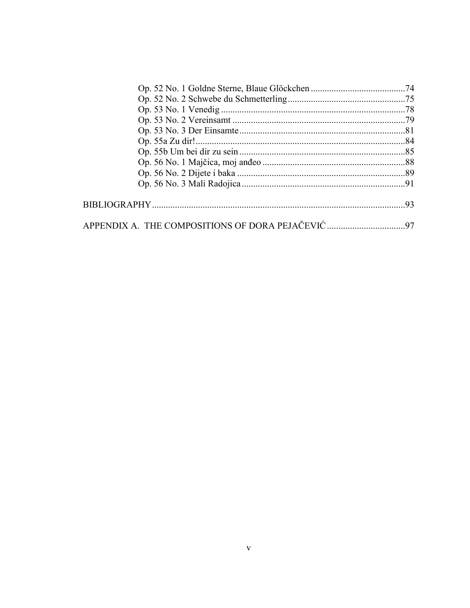| 97 |
|----|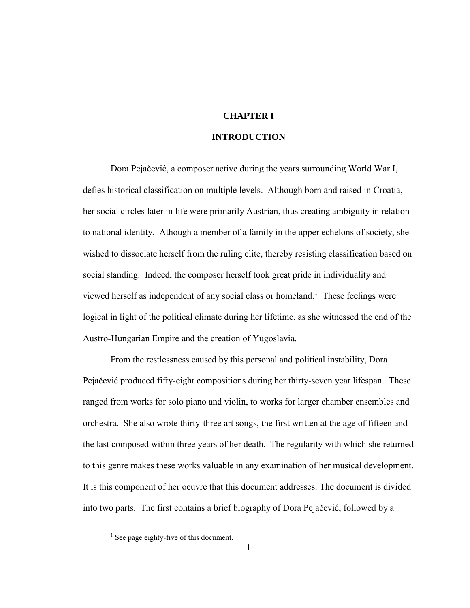### **CHAPTER I**

#### **INTRODUCTION**

Dora Pejačević, a composer active during the years surrounding World War I, defies historical classification on multiple levels. Although born and raised in Croatia, her social circles later in life were primarily Austrian, thus creating ambiguity in relation to national identity. Athough a member of a family in the upper echelons of society, she wished to dissociate herself from the ruling elite, thereby resisting classification based on social standing. Indeed, the composer herself took great pride in individuality and viewed herself as independent of any social class or homeland.<sup>1</sup> These feelings were logical in light of the political climate during her lifetime, as she witnessed the end of the Austro-Hungarian Empire and the creation of Yugoslavia.

From the restlessness caused by this personal and political instability, Dora Pejačević produced fifty-eight compositions during her thirty-seven year lifespan. These ranged from works for solo piano and violin, to works for larger chamber ensembles and orchestra. She also wrote thirty-three art songs, the first written at the age of fifteen and the last composed within three years of her death. The regularity with which she returned to this genre makes these works valuable in any examination of her musical development. It is this component of her oeuvre that this document addresses. The document is divided into two parts. The first contains a brief biography of Dora Pejačević, followed by a

<sup>&</sup>lt;sup>1</sup> See page eighty-five of this document.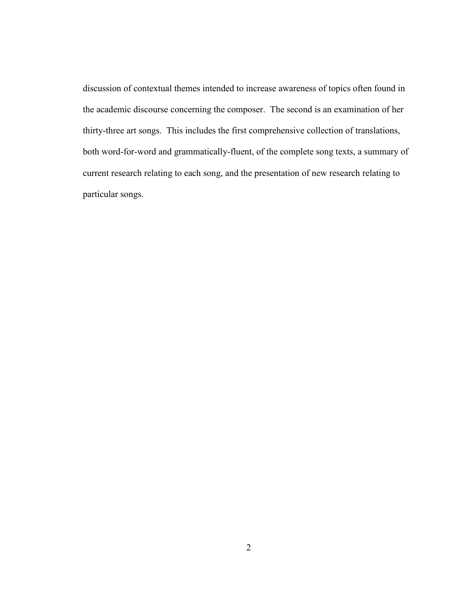discussion of contextual themes intended to increase awareness of topics often found in the academic discourse concerning the composer. The second is an examination of her thirty-three art songs. This includes the first comprehensive collection of translations, both word-for-word and grammatically-fluent, of the complete song texts, a summary of current research relating to each song, and the presentation of new research relating to particular songs.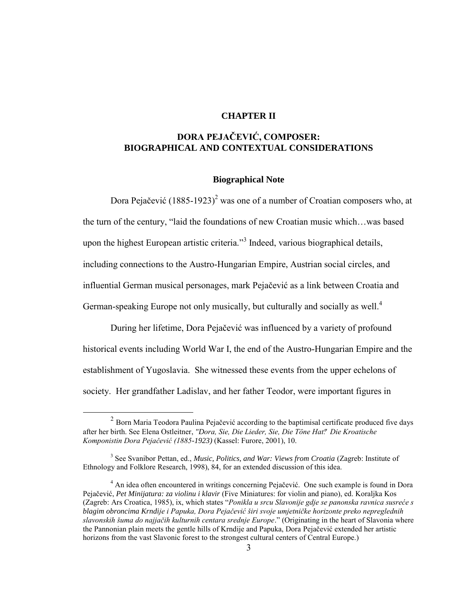#### **CHAPTER II**

### **DORA PEJAČEVIĆ, COMPOSER: BIOGRAPHICAL AND CONTEXTUAL CONSIDERATIONS**

#### **Biographical Note**

Dora Pejačević  $(1885-1923)^2$  was one of a number of Croatian composers who, at the turn of the century, "laid the foundations of new Croatian music which…was based upon the highest European artistic criteria."<sup>3</sup> Indeed, various biographical details, including connections to the Austro-Hungarian Empire, Austrian social circles, and influential German musical personages, mark Pejačević as a link between Croatia and German-speaking Europe not only musically, but culturally and socially as well.<sup>4</sup>

During her lifetime, Dora Pejačević was influenced by a variety of profound historical events including World War I, the end of the Austro-Hungarian Empire and the establishment of Yugoslavia. She witnessed these events from the upper echelons of society. Her grandfather Ladislav, and her father Teodor, were important figures in

 $2$  Born Maria Teodora Paulina Pejačević according to the baptimisal certificate produced five days after her birth. See Elena Ostleitner, *"Dora, Sie, Die Lieder, Sie, Die Töne Hat." Die Kroatische Komponistin Dora Pejačević (1885-1923)* (Kassel: Furore, 2001), 10.

<sup>3</sup> See Svanibor Pettan, ed., *Music, Politics, and War: Views from Croatia* (Zagreb: Institute of Ethnology and Folklore Research, 1998), 84, for an extended discussion of this idea.

<sup>&</sup>lt;sup>4</sup> An idea often encountered in writings concerning Pejačević. One such example is found in Dora Pejačević, *Pet Minijatura: za violinu i klavir* (Five Miniatures: for violin and piano), ed. Koraljka Kos (Zagreb: Ars Croatica, 1985), ix, which states "*Ponikla u srcu Slavonije gdje se panonska ravnica susreće s* blagim obroncima Krndije i Papuka, Dora Pejačević širi svoje umjetničke horizonte preko nepreglednih slavonskih šuma do najjačih kulturnih centara srednje Europe." (Originating in the heart of Slavonia where the Pannonian plain meets the gentle hills of Krndije and Papuka, Dora Pejačević extended her artistic horizons from the vast Slavonic forest to the strongest cultural centers of Central Europe.)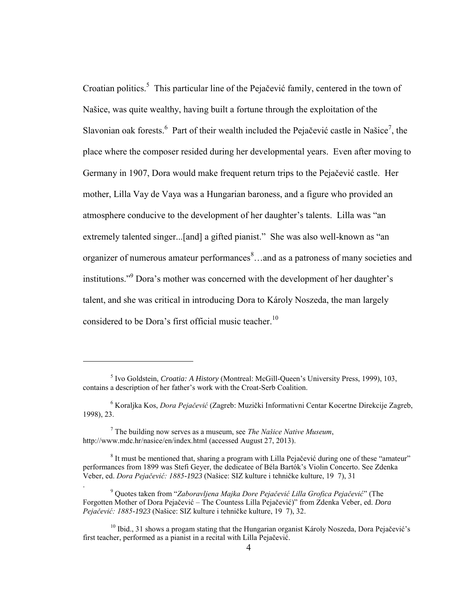Croatian politics.<sup>5</sup> This particular line of the Pejačević family, centered in the town of Našice, was quite wealthy, having built a fortune through the exploitation of the Slavonian oak forests. <sup>6</sup> Part of their wealth included the Pejačević castle in Našice<sup>7</sup>, the place where the composer resided during her developmental years. Even after moving to Germany in 1907, Dora would make frequent return trips to the Pejačević castle. Her mother, Lilla Vay de Vaya was a Hungarian baroness, and a figure who provided an atmosphere conducive to the development of her daughter's talents. Lilla was "an extremely talented singer...[and] a gifted pianist." She was also well-known as "an organizer of numerous amateur performances<sup>8</sup>...and as a patroness of many societies and institutions."<sup>9</sup> Dora's mother was concerned with the development of her daughter's talent, and she was critical in introducing Dora to Károly Noszeda, the man largely considered to be Dora's first official music teacher.<sup>10</sup>

 $\overline{a}$ 

.

<sup>5</sup> Ivo Goldstein, *Croatia: A History* (Montreal: McGill-Queen's University Press, 1999), 103, contains a description of her father's work with the Croat-Serb Coalition.

<sup>&</sup>lt;sup>6</sup> Koraljka Kos, *Dora Pejačević* (Zagreb: Muzički Informativni Centar Kocertne Direkcije Zagreb, 1998), 23.

 $^7$  The building now serves as a museum, see *The Našice Native Museum*, http://www.mdc.hr/nasice/en/index.html (accessed August 27, 2013).

<sup>&</sup>lt;sup>8</sup> It must be mentioned that, sharing a program with Lilla Pejačević during one of these "amateur" performances from 1899 was Stefi Geyer, the dedicatee of Béla Bartók's Violin Concerto. See Zdenka Veber, ed. *Dora Pejačević: 1885-1923* (Našice: SIZ kulture i tehničke kulture, 19 7), 31

<sup>&</sup>lt;sup>9</sup> Quotes taken from "Zaboravljena Majka Dore Pejačević Lilla Grofica Pejačević" (The Forgotten Mother of Dora Pejačević – The Countess Lilla Pejačević)" from Zdenka Veber, ed. *Dora Pejačević: 1885-1923* (Našice: SIZ kulture i tehničke kulture, 19 7), 32.

 $10$  Ibid., 31 shows a progam stating that the Hungarian organist Károly Noszeda, Dora Pejačević's first teacher, performed as a pianist in a recital with Lilla Pejačević.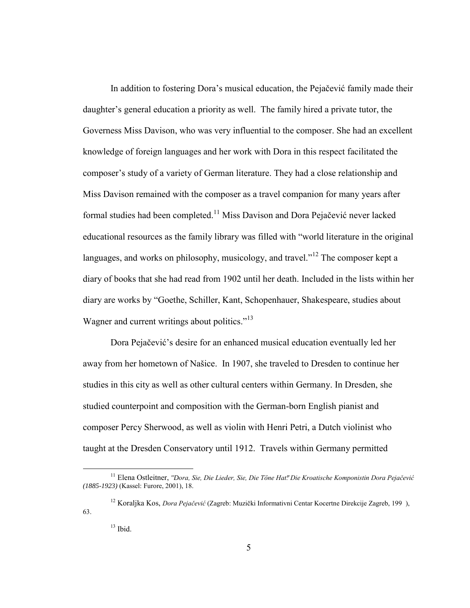In addition to fostering Dora's musical education, the Pejačević family made their daughter's general education a priority as well. The family hired a private tutor, the Governess Miss Davison, who was very influential to the composer. She had an excellent knowledge of foreign languages and her work with Dora in this respect facilitated the composer's study of a variety of German literature. They had a close relationship and Miss Davison remained with the composer as a travel companion for many years after formal studies had been completed.<sup>11</sup> Miss Davison and Dora Pejačević never lacked educational resources as the family library was filled with "world literature in the original languages, and works on philosophy, musicology, and travel."<sup>12</sup> The composer kept a diary of books that she had read from 1902 until her death. Included in the lists within her diary are works by "Goethe, Schiller, Kant, Schopenhauer, Shakespeare, studies about Wagner and current writings about politics."<sup>13</sup>

Dora Pejačević's desire for an enhanced musical education eventually led her away from her hometown of Našice. In 1907, she traveled to Dresden to continue her studies in this city as well as other cultural centers within Germany. In Dresden, she studied counterpoint and composition with the German-born English pianist and composer Percy Sherwood, as well as violin with Henri Petri, a Dutch violinist who taught at the Dresden Conservatory until 1912. Travels within Germany permitted

<sup>&</sup>lt;sup>11</sup> Elena Ostleitner, "Dora, Sie, Die Lieder, Sie, Die Töne Hat." Die Kroatische Komponistin Dora Pejačević *(1885-1923)* (Kassel: Furore, 2001), 18.

<sup>&</sup>lt;sup>12</sup> Koraljka Kos, *Dora Pejačević* (Zagreb: Muzički Informativni Centar Kocertne Direkcije Zagreb, 199), 63.

 $13$  Ibid.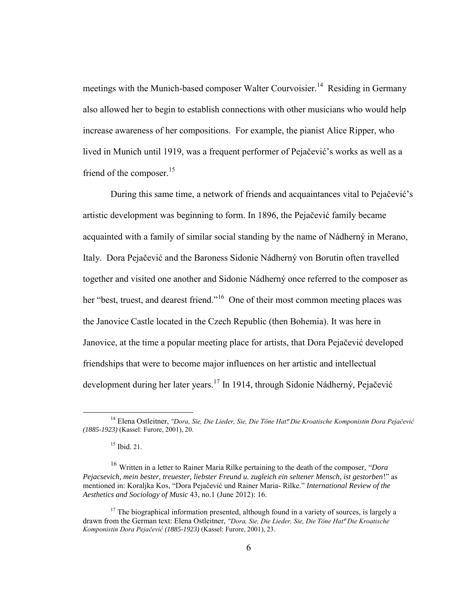meetings with the Munich-based composer Walter Courvoisier.<sup>14</sup> Residing in Germany also allowed her to begin to establish connections with other musicians who would help increase awareness of her compositions. For example, the pianist Alice Ripper, who lived in Munich until 1919, was a frequent performer of Pejačević's works as well as a friend of the composer. $15$ 

During this same time, a network of friends and acquaintances vital to Pejačević's artistic development was beginning to form. In 1896, the Pejačević family became acquainted with a family of similar social standing by the name of Nádherný in Merano, Italy. Dora Pejačević and the Baroness Sidonie Nádherný von Borutin often travelled together and visited one another and Sidonie Nádherný once referred to the composer as her "best, truest, and dearest friend."<sup>16</sup> One of their most common meeting places was the Janovice Castle located in the Czech Republic (then Bohemia). It was here in Janovice, at the time a popular meeting place for artists, that Dora Pejačević developed friendships that were to become major influences on her artistic and intellectual development during her later years.<sup>17</sup> In 1914, through Sidonie Nádherný, Pejačević

<sup>&</sup>lt;sup>14</sup> Elena Ostleitner, *"Dora, Sie, Die Lieder, Sie, Die Töne Hat." Die Kroatische Komponistin Dora Pejačević (1885-1923)* (Kassel: Furore, 2001), 20.

 $15$  Ibid. 21.

<sup>16</sup> Written in a letter to Rainer Maria Rilke pertaining to the death of the composer, "*Dora Pejacsevich, mein bester, treuester, liebster Freund u. zugleich ein seltener Mensch, ist gestorben*!" as mentioned in: Koraljka Kos, "Dora Pejačević und Rainer Maria- Rilke." *International Review of the Aesthetics and Sociology of Music* 43, no.1 (June 2012): 16.

 $17$  The biographical information presented, although found in a variety of sources, is largely a drawn from the German text: Elena Ostleitner, *"Dora, Sie, Die Lieder, Sie, Die Töne Hat" Die Kroatische Komponistin Dora Pejačević (1885-1923)* (Kassel: Furore, 2001), 23.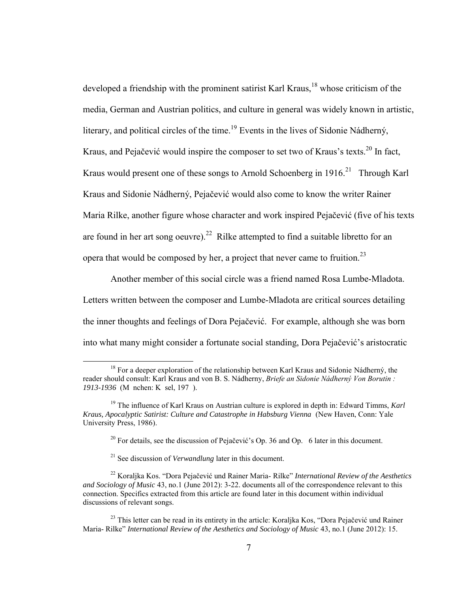developed a friendship with the prominent satirist Karl Kraus,<sup>18</sup> whose criticism of the media, German and Austrian politics, and culture in general was widely known in artistic, literary, and political circles of the time.<sup>19</sup> Events in the lives of Sidonie Nádherný, Kraus, and Pejačević would inspire the composer to set two of Kraus's texts.<sup>20</sup> In fact, Kraus would present one of these songs to Arnold Schoenberg in  $1916$ <sup>21</sup> Through Karl Kraus and Sidonie Nádherný, Pejačević would also come to know the writer Rainer Maria Rilke, another figure whose character and work inspired Pejačević (five of his texts are found in her art song oeuvre).<sup>22</sup> Rilke attempted to find a suitable libretto for an opera that would be composed by her, a project that never came to fruition.<sup>23</sup>

Another member of this social circle was a friend named Rosa Lumbe-Mladota. Letters written between the composer and Lumbe-Mladota are critical sources detailing the inner thoughts and feelings of Dora Pejačević. For example, although she was born into what many might consider a fortunate social standing, Dora Pejačević's aristocratic

<sup>&</sup>lt;sup>18</sup> For a deeper exploration of the relationship between Karl Kraus and Sidonie Nádherný, the reader should consult: Karl Kraus and von B. S. Nádherny, *Briefe an Sidonie Nádherný Von Borutin* : *1913-1936* (M nchen: K sel, 197 ).

<sup>19</sup> The influence of Karl Kraus on Austrian culture is explored in depth in: Edward Timms, *Karl Kraus, Apocalyptic Satirist: Culture and Catastrophe in Habsburg Vienna* (New Haven, Conn: Yale University Press, 1986).

<sup>&</sup>lt;sup>20</sup> For details, see the discussion of Pejačević's Op. 36 and Op. 6 later in this document.

<sup>21</sup> See discussion of *Verwandlung* later in this document.

<sup>22</sup> Koraljka Kos. "Dora Pejačević und Rainer Maria- Rilke" *International Review of the Aesthetics and Sociology of Music* 43, no.1 (June 2012): 3-22. documents all of the correspondence relevant to this connection. Specifics extracted from this article are found later in this document within individual discussions of relevant songs.

<sup>&</sup>lt;sup>23</sup> This letter can be read in its entirety in the article: Koraljka Kos, "Dora Pejačević und Rainer" Maria- Rilke" *International Review of the Aesthetics and Sociology of Music* 43, no.1 (June 2012): 15.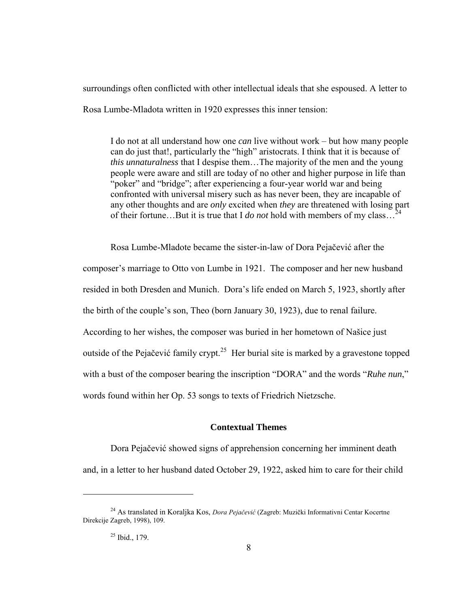surroundings often conflicted with other intellectual ideals that she espoused. A letter to Rosa Lumbe-Mladota written in 1920 expresses this inner tension:

I do not at all understand how one *can* live without work – but how many people can do just that!, particularly the "high" aristocrats. I think that it is because of *this unnaturalness* that I despise them…The majority of the men and the young people were aware and still are today of no other and higher purpose in life than "poker" and "bridge"; after experiencing a four-year world war and being confronted with universal misery such as has never been, they are incapable of any other thoughts and are *only* excited when *they* are threatened with losing part of their fortune…But it is true that I *do not* hold with members of my class…<sup>24</sup>

Rosa Lumbe-Mladote became the sister-in-law of Dora Pejačević after the composer's marriage to Otto von Lumbe in 1921. The composer and her new husband resided in both Dresden and Munich. Dora's life ended on March 5, 1923, shortly after the birth of the couple's son, Theo (born January 30, 1923), due to renal failure. According to her wishes, the composer was buried in her hometown of Našice just outside of the Pejačević family crypt. $25$  Her burial site is marked by a gravestone topped with a bust of the composer bearing the inscription "DORA" and the words "*Ruhe nun*," words found within her Op. 53 songs to texts of Friedrich Nietzsche.

### **Contextual Themes**

 Dora Pejačević showed signs of apprehension concerning her imminent death and, in a letter to her husband dated October 29, 1922, asked him to care for their child

<sup>&</sup>lt;sup>24</sup> As translated in Koralika Kos, *Dora Pejačević* (Zagreb: Muzički Informativni Centar Kocertne Direkcije Zagreb, 1998), 109.

 $25$  Ibid., 179.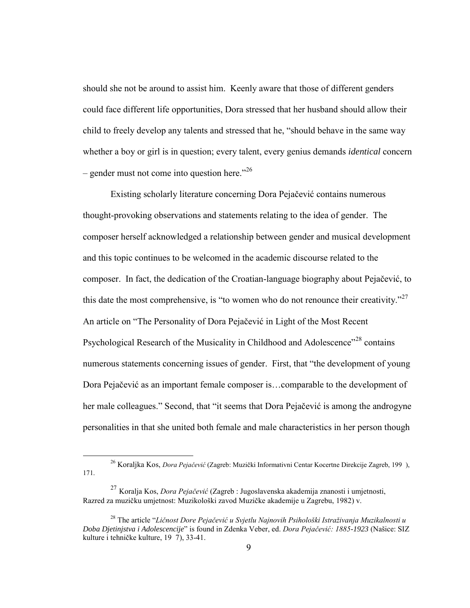should she not be around to assist him. Keenly aware that those of different genders could face different life opportunities, Dora stressed that her husband should allow their child to freely develop any talents and stressed that he, "should behave in the same way whether a boy or girl is in question; every talent, every genius demands *identical* concern – gender must not come into question here." $^{26}$ 

Existing scholarly literature concerning Dora Pejačević contains numerous thought-provoking observations and statements relating to the idea of gender. The composer herself acknowledged a relationship between gender and musical development and this topic continues to be welcomed in the academic discourse related to the composer. In fact, the dedication of the Croatian-language biography about Pejačević, to this date the most comprehensive, is "to women who do not renounce their creativity."<sup>27</sup> An article on "The Personality of Dora Pejačević in Light of the Most Recent Psychological Research of the Musicality in Childhood and Adolescence"<sup>28</sup> contains numerous statements concerning issues of gender. First, that "the development of young Dora Pejačević as an important female composer is…comparable to the development of her male colleagues." Second, that "it seems that Dora Pejačević is among the androgyne personalities in that she united both female and male characteristics in her person though

<sup>&</sup>lt;sup>26</sup> Koraljka Kos, *Dora Pejačević* (Zagreb: Muzički Informativni Centar Kocertne Direkcije Zagreb, 199), 171.

<sup>&</sup>lt;sup>27</sup> Koralja Kos, *Dora Pejačević* (Zagreb : Jugoslavenska akademija znanosti i umjetnosti, Razred za muzičku umjetnost: Muzikološki zavod Muzičke akademije u Zagrebu, 1982) v.

<sup>&</sup>lt;sup>28</sup> The article "Ličnost Dore Pejačević u Svjetlu Najnovih Psihološki Istraživanja Muzikalnosti u Doba Djetinjstva i Adolescencije" is found in Zdenka Veber, ed. Dora Pejačević: 1885-1923 (Našice: SIZ kulture i tehničke kulture, 19 7), 33-41.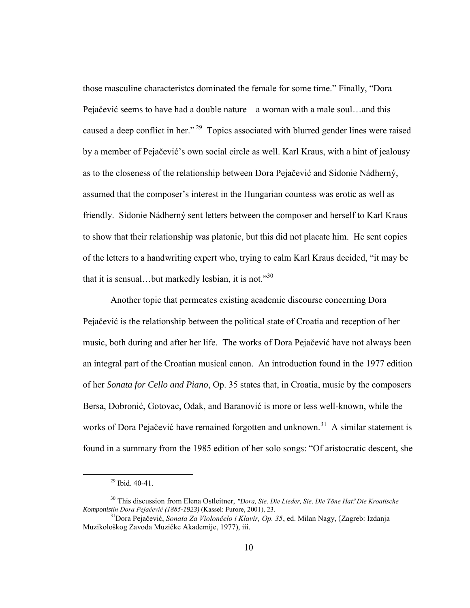those masculine characteristcs dominated the female for some time." Finally, "Dora Pejačević seems to have had a double nature – a woman with a male soul…and this caused a deep conflict in her."<sup>29</sup> Topics associated with blurred gender lines were raised by a member of Pejačević's own social circle as well. Karl Kraus, with a hint of jealousy as to the closeness of the relationship between Dora Pejačević and Sidonie Nádherný, assumed that the composer's interest in the Hungarian countess was erotic as well as friendly. Sidonie Nádherný sent letters between the composer and herself to Karl Kraus to show that their relationship was platonic, but this did not placate him. He sent copies of the letters to a handwriting expert who, trying to calm Karl Kraus decided, "it may be that it is sensual...but markedly lesbian, it is not."<sup>30</sup>

Another topic that permeates existing academic discourse concerning Dora Pejačević is the relationship between the political state of Croatia and reception of her music, both during and after her life.The works of Dora Pejačević have not always been an integral part of the Croatian musical canon. An introduction found in the 1977 edition of her *Sonata for Cello and Piano*, Op. 35 states that, in Croatia, music by the composers Bersa, Dobronić, Gotovac, Odak, and Baranović is more or less well-known, while the works of Dora Pejačević have remained forgotten and unknown.<sup>31</sup> A similar statement is found in a summary from the 1985 edition of her solo songs: "Of aristocratic descent, she

<sup>29</sup> Ibid. 40-41.

<sup>&</sup>lt;sup>30</sup> This discussion from Elena Ostleitner, *"Dora, Sie, Die Lieder, Sie, Die Töne Hat." Die Kroatische* Komponistin Dora Pejačević (1885-1923) (Kassel: Furore, 2001), 23.

<sup>&</sup>lt;sup>31</sup>Dora Pejačević, *Sonata Za Violončelo i Klavir, Op. 35*, ed. Milan Nagy, (Zagreb: Izdanja Muzikološkog Zavoda Muzičke Akademije, 1977), iii.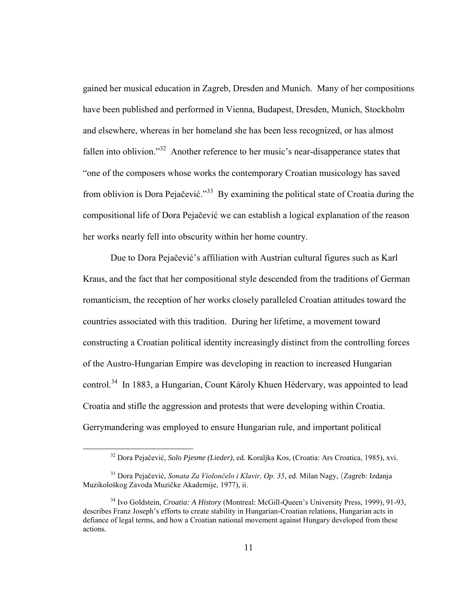gained her musical education in Zagreb, Dresden and Munich. Many of her compositions have been published and performed in Vienna, Budapest, Dresden, Munich, Stockholm and elsewhere, whereas in her homeland she has been less recognized, or has almost fallen into oblivion."<sup>32</sup> Another reference to her music's near-disapperance states that "one of the composers whose works the contemporary Croatian musicology has saved from oblivion is Dora Pejačević."<sup>33</sup> By examining the political state of Croatia during the compositional life of Dora Pejačević we can establish a logical explanation of the reason her works nearly fell into obscurity within her home country.

 Due to Dora Pejačević's affiliation with Austrian cultural figures such as Karl Kraus, and the fact that her compositional style descended from the traditions of German romanticism, the reception of her works closely paralleled Croatian attitudes toward the countries associated with this tradition. During her lifetime, a movement toward constructing a Croatian political identity increasingly distinct from the controlling forces of the Austro-Hungarian Empire was developing in reaction to increased Hungarian control.<sup>34</sup> In 1883, a Hungarian, Count Károly Khuen Hédervary, was appointed to lead Croatia and stifle the aggression and protests that were developing within Croatia. Gerrymandering was employed to ensure Hungarian rule, and important political

<sup>32</sup> Dora Pejačević, *Solo Pjesme (Lieder)*, ed. Koraljka Kos, (Croatia: Ars Croatica, 1985), xvi.

<sup>&</sup>lt;sup>33</sup> Dora Pejačević, *Sonata Za Violončelo i Klavir, Op. 35*, ed. Milan Nagy, (Zagreb: Izdanja Muzikološkog Zavoda Muzičke Akademije, 1977), ii.

<sup>34</sup> Ivo Goldstein, *Croatia: A History* (Montreal: McGill-Queen's University Press, 1999), 91-93, describes Franz Joseph's efforts to create stability in Hungarian-Croatian relations, Hungarian acts in defiance of legal terms, and how a Croatian national movement against Hungary developed from these actions.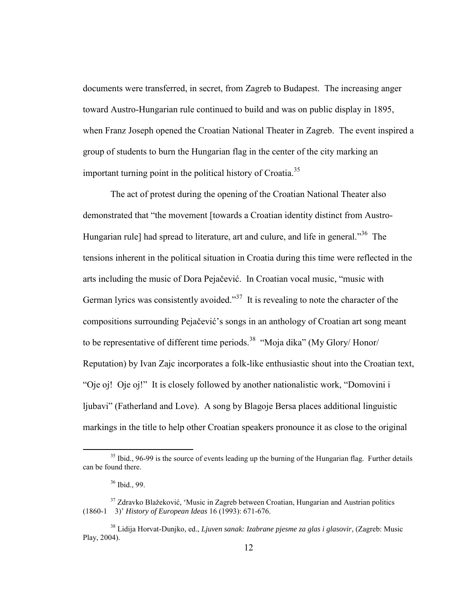documents were transferred, in secret, from Zagreb to Budapest. The increasing anger toward Austro-Hungarian rule continued to build and was on public display in 1895, when Franz Joseph opened the Croatian National Theater in Zagreb. The event inspired a group of students to burn the Hungarian flag in the center of the city marking an important turning point in the political history of Croatia.<sup>35</sup>

 The act of protest during the opening of the Croatian National Theater also demonstrated that "the movement [towards a Croatian identity distinct from Austro-Hungarian rule] had spread to literature, art and culure, and life in general."<sup>36</sup> The tensions inherent in the political situation in Croatia during this time were reflected in the arts including the music of Dora Pejačević. In Croatian vocal music, "music with German lyrics was consistently avoided."<sup>37</sup> It is revealing to note the character of the compositions surrounding Pejačević's songs in an anthology of Croatian art song meant to be representative of different time periods.<sup>38</sup> "Moja dika" (My Glory/ Honor/ Reputation) by Ivan Zajc incorporates a folk-like enthusiastic shout into the Croatian text, "Oje oj! Oje oj!" It is closely followed by another nationalistic work, "Domovini i ljubavi" (Fatherland and Love). A song by Blagoje Bersa places additional linguistic markings in the title to help other Croatian speakers pronounce it as close to the original

<sup>&</sup>lt;sup>35</sup> Ibid., 96-99 is the source of events leading up the burning of the Hungarian flag. Further details can be found there.

<sup>36</sup> Ibid., 99.

<sup>&</sup>lt;sup>37</sup> Zdravko Blažeković, 'Music in Zagreb between Croatian, Hungarian and Austrian politics (1860-1 3)' *History of European Ideas* 16 (1993): 671-676.

<sup>38</sup> Lidija Horvat-Dunjko, ed., *Ljuven sanak: Izabrane pjesme za glas i glasovir*, (Zagreb: Music Play, 2004).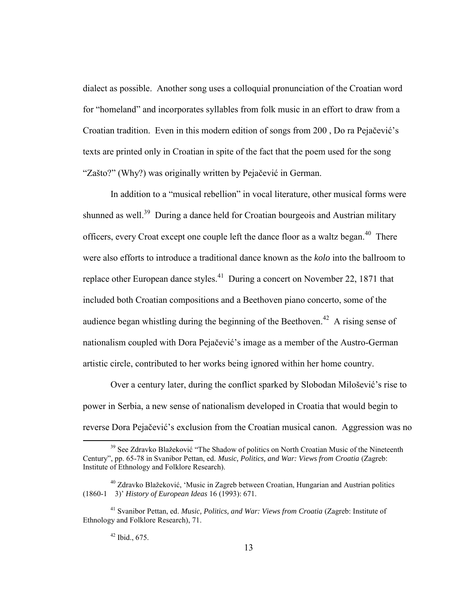dialect as possible. Another song uses a colloquial pronunciation of the Croatian word for "homeland" and incorporates syllables from folk music in an effort to draw from a Croatian tradition. Even in this modern edition of songs from 200 , Do ra Pejačević's texts are printed only in Croatian in spite of the fact that the poem used for the song "Zašto?" (Why?) was originally written by Pejačević in German.

 In addition to a "musical rebellion" in vocal literature, other musical forms were shunned as well.<sup>39</sup> During a dance held for Croatian bourgeois and Austrian military officers, every Croat except one couple left the dance floor as a waltz began. $40$  There were also efforts to introduce a traditional dance known as the *kolo* into the ballroom to replace other European dance styles.<sup>41</sup> During a concert on November 22, 1871 that included both Croatian compositions and a Beethoven piano concerto, some of the audience began whistling during the beginning of the Beethoven.<sup>42</sup> A rising sense of nationalism coupled with Dora Pejačević's image as a member of the Austro-German artistic circle, contributed to her works being ignored within her home country.

Over a century later, during the conflict sparked by Slobodan Milošević's rise to power in Serbia, a new sense of nationalism developed in Croatia that would begin to reverse Dora Pejačević's exclusion from the Croatian musical canon. Aggression was no

<sup>&</sup>lt;sup>39</sup> See Zdravko Blažeković "The Shadow of politics on North Croatian Music of the Nineteenth Century", pp. 65-78 in Svanibor Pettan, ed. *Music, Politics, and War: Views from Croatia* (Zagreb: Institute of Ethnology and Folklore Research).

<sup>40</sup> Zdravko Blažeković, 'Music in Zagreb between Croatian, Hungarian and Austrian politics (1860-1 3)' *History of European Ideas* 16 (1993): 671.

<sup>41</sup> Svanibor Pettan, ed. *Music, Politics, and War: Views from Croatia* (Zagreb: Institute of Ethnology and Folklore Research), 71.

 $42$  Ibid., 675.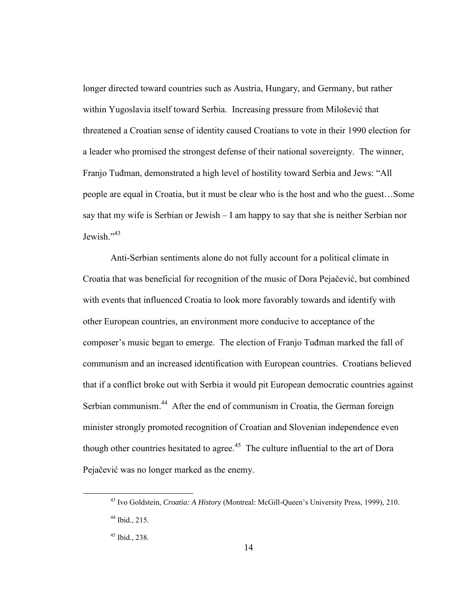longer directed toward countries such as Austria, Hungary, and Germany, but rather within Yugoslavia itself toward Serbia. Increasing pressure from Milošević that threatened a Croatian sense of identity caused Croatians to vote in their 1990 election for a leader who promised the strongest defense of their national sovereignty. The winner, Franjo Tuđman, demonstrated a high level of hostility toward Serbia and Jews: "All people are equal in Croatia, but it must be clear who is the host and who the guest…Some say that my wife is Serbian or Jewish – I am happy to say that she is neither Serbian nor Jewish."<sup>43</sup>

 Anti-Serbian sentiments alone do not fully account for a political climate in Croatia that was beneficial for recognition of the music of Dora Pejačević, but combined with events that influenced Croatia to look more favorably towards and identify with other European countries, an environment more conducive to acceptance of the composer's music began to emerge. The election of Franjo Tuđman marked the fall of communism and an increased identification with European countries. Croatians believed that if a conflict broke out with Serbia it would pit European democratic countries against Serbian communism.<sup>44</sup> After the end of communism in Croatia, the German foreign minister strongly promoted recognition of Croatian and Slovenian independence even though other countries hesitated to agree.<sup>45</sup> The culture influential to the art of Dora Pejačević was no longer marked as the enemy.

<sup>43</sup> Ivo Goldstein, *Croatia: A History* (Montreal: McGill-Queen's University Press, 1999), 210.

 $44$  Ibid., 215.

 $45$  Ibid., 238.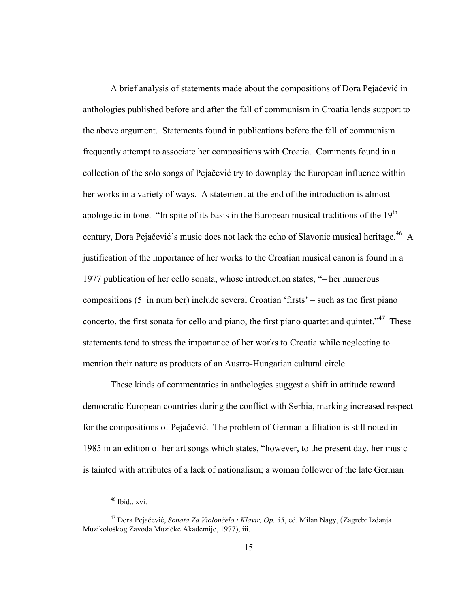A brief analysis of statements made about the compositions of Dora Pejačević in anthologies published before and after the fall of communism in Croatia lends support to the above argument. Statements found in publications before the fall of communism frequently attempt to associate her compositions with Croatia. Comments found in a collection of the solo songs of Pejačević try to downplay the European influence within her works in a variety of ways. A statement at the end of the introduction is almost apologetic in tone. "In spite of its basis in the European musical traditions of the  $19<sup>th</sup>$ century, Dora Pejačević's music does not lack the echo of Slavonic musical heritage.<sup>46</sup> A justification of the importance of her works to the Croatian musical canon is found in a 1977 publication of her cello sonata, whose introduction states, "– her numerous compositions (5 in num ber) include several Croatian 'firsts' – such as the first piano concerto, the first sonata for cello and piano, the first piano quartet and quintet."<sup>47</sup> These statements tend to stress the importance of her works to Croatia while neglecting to mention their nature as products of an Austro-Hungarian cultural circle.

These kinds of commentaries in anthologies suggest a shift in attitude toward democratic European countries during the conflict with Serbia, marking increased respect for the compositions of Pejačević. The problem of German affiliation is still noted in 1985 in an edition of her art songs which states, "however, to the present day, her music is tainted with attributes of a lack of nationalism; a woman follower of the late German

 $46$  Ibid., xvi.

<sup>&</sup>lt;sup>47</sup> Dora Pejačević, *Sonata Za Violončelo i Klavir, Op. 35*, ed. Milan Nagy, (Zagreb: Izdanja Muzikološkog Zavoda Muzičke Akademije, 1977), iii.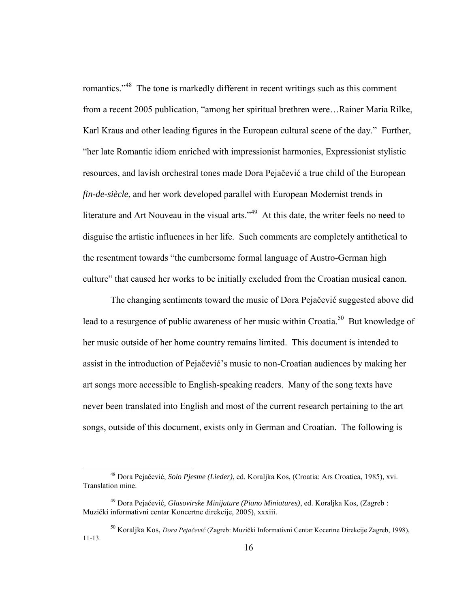romantics."<sup>48</sup> The tone is markedly different in recent writings such as this comment from a recent 2005 publication, "among her spiritual brethren were…Rainer Maria Rilke, Karl Kraus and other leading figures in the European cultural scene of the day." Further, "her late Romantic idiom enriched with impressionist harmonies, Expressionist stylistic resources, and lavish orchestral tones made Dora Pejačević a true child of the European *fin-de-siècle*, and her work developed parallel with European Modernist trends in literature and Art Nouveau in the visual arts."<sup>49</sup> At this date, the writer feels no need to disguise the artistic influences in her life. Such comments are completely antithetical to the resentment towards "the cumbersome formal language of Austro-German high culture" that caused her works to be initially excluded from the Croatian musical canon.

The changing sentiments toward the music of Dora Pejačević suggested above did lead to a resurgence of public awareness of her music within Croatia.<sup>50</sup> But knowledge of her music outside of her home country remains limited. This document is intended to assist in the introduction of Pejačević's music to non-Croatian audiences by making her art songs more accessible to English-speaking readers. Many of the song texts have never been translated into English and most of the current research pertaining to the art songs, outside of this document, exists only in German and Croatian. The following is

<sup>48</sup> Dora Pejačević, *Solo Pjesme (Lieder)*, ed. Koraljka Kos, (Croatia: Ars Croatica, 1985), xvi. Translation mine.

<sup>49</sup> Dora Pejačević, *Glasovirske Minijature (Piano Miniatures)*, ed. Koraljka Kos, (Zagreb : Muzički informativni centar Koncertne direkcije, 2005), xxxiii.

<sup>&</sup>lt;sup>50</sup> Koraljka Kos, *Dora Pejačević* (Zagreb: Muzički Informativni Centar Kocertne Direkcije Zagreb, 1998), 11-13.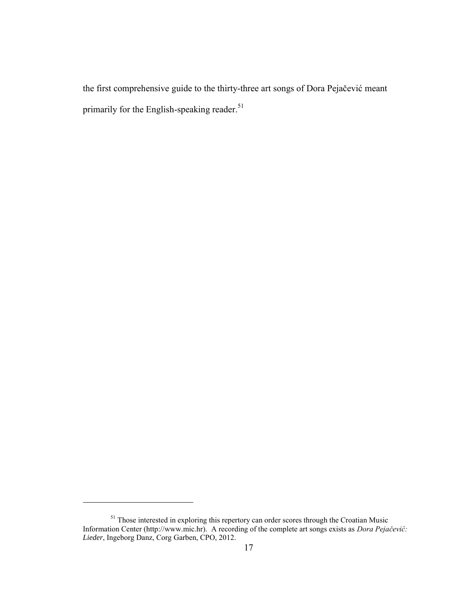the first comprehensive guide to the thirty-three art songs of Dora Pejačević meant primarily for the English-speaking reader.<sup>51</sup>

<sup>&</sup>lt;sup>51</sup> Those interested in exploring this repertory can order scores through the Croatian Music Information Center (http://www.mic.hr). A recording of the complete art songs exists as *Dora Pejačević Lieder*, Ingeborg Danz, Corg Garben, CPO, 2012.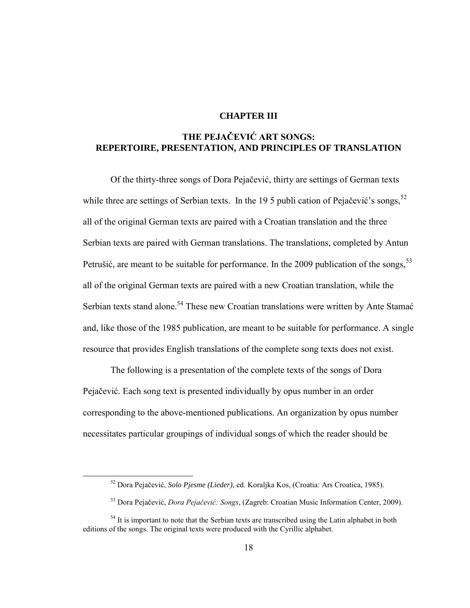#### **CHAPTER III**

### **THE PEJAČEVIĆ ART SONGS: REPERTOIRE, PRESENTATION, AND PRINCIPLES OF TRANSLATION**

Of the thirty-three songs of Dora Pejačević, thirty are settings of German texts while three are settings of Serbian texts. In the 19 5 publi cation of Pejačević's songs,  $52$ all of the original German texts are paired with a Croatian translation and the three Serbian texts are paired with German translations. The translations, completed by Antun Petrušić, are meant to be suitable for performance. In the 2009 publication of the songs,  $53$ all of the original German texts are paired with a new Croatian translation, while the Serbian texts stand alone.<sup>54</sup> These new Croatian translations were written by Ante Stamać and, like those of the 1985 publication, are meant to be suitable for performance. A single resource that provides English translations of the complete song texts does not exist.

 The following is a presentation of the complete texts of the songs of Dora Pejačević. Each song text is presented individually by opus number in an order corresponding to the above-mentioned publications. An organization by opus number necessitates particular groupings of individual songs of which the reader should be

<sup>52</sup> Dora Pejačević, *Solo Pjesme (Lieder)*, ed. Koraljka Kos, (Croatia: Ars Croatica, 1985).

<sup>&</sup>lt;sup>53</sup> Dora Pejačević, *Dora Pejačević: Songs*, (Zagreb: Croatian Music Information Center, 2009).

<sup>&</sup>lt;sup>54</sup> It is important to note that the Serbian texts are transcribed using the Latin alphabet in both editions of the songs. The original texts were produced with the Cyrillic alphabet.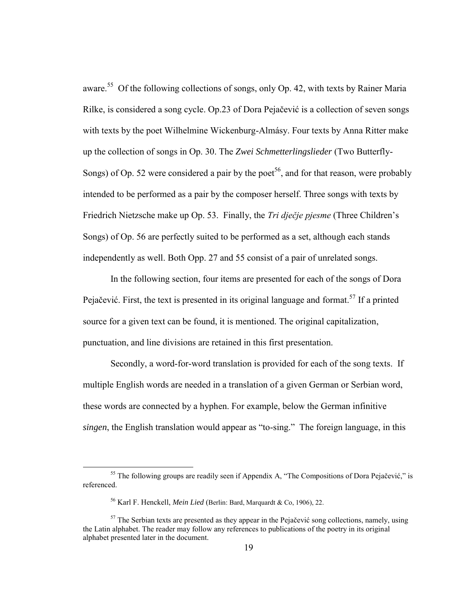aware.<sup>55</sup> Of the following collections of songs, only Op. 42, with texts by Rainer Maria Rilke, is considered a song cycle. Op.23 of Dora Pejačević is a collection of seven songs with texts by the poet Wilhelmine Wickenburg-Almásy. Four texts by Anna Ritter make up the collection of songs in Op. 30. The *Zwei Schmetterlingslieder* (Two Butterfly-Songs) of Op. 52 were considered a pair by the poet<sup>56</sup>, and for that reason, were probably intended to be performed as a pair by the composer herself. Three songs with texts by Friedrich Nietzsche make up Op. 53. Finally, the *Tri dječje pjesme* (Three Children's Songs) of Op. 56 are perfectly suited to be performed as a set, although each stands independently as well. Both Opp. 27 and 55 consist of a pair of unrelated songs.

In the following section, four items are presented for each of the songs of Dora Pejačević. First, the text is presented in its original language and format.<sup>57</sup> If a printed source for a given text can be found, it is mentioned. The original capitalization, punctuation, and line divisions are retained in this first presentation.

Secondly, a word-for-word translation is provided for each of the song texts. If multiple English words are needed in a translation of a given German or Serbian word, these words are connected by a hyphen. For example, below the German infinitive *singen*, the English translation would appear as "to-sing." The foreign language, in this

<sup>&</sup>lt;sup>55</sup> The following groups are readily seen if Appendix A, "The Compositions of Dora Pejačević," is referenced.

<sup>56</sup> Karl F. Henckell, *Mein Lied* (Berlin: Bard, Marquardt & Co, 1906), 22.

 $57$  The Serbian texts are presented as they appear in the Pejačević song collections, namely, using the Latin alphabet. The reader may follow any references to publications of the poetry in its original alphabet presented later in the document.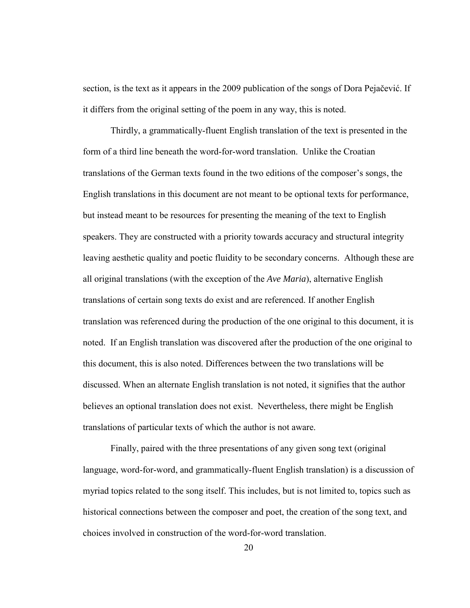section, is the text as it appears in the 2009 publication of the songs of Dora Pejačević. If it differs from the original setting of the poem in any way, this is noted.

Thirdly, a grammatically-fluent English translation of the text is presented in the form of a third line beneath the word-for-word translation. Unlike the Croatian translations of the German texts found in the two editions of the composer's songs, the English translations in this document are not meant to be optional texts for performance, but instead meant to be resources for presenting the meaning of the text to English speakers. They are constructed with a priority towards accuracy and structural integrity leaving aesthetic quality and poetic fluidity to be secondary concerns. Although these are all original translations (with the exception of the *Ave Maria*), alternative English translations of certain song texts do exist and are referenced. If another English translation was referenced during the production of the one original to this document, it is noted. If an English translation was discovered after the production of the one original to this document, this is also noted. Differences between the two translations will be discussed. When an alternate English translation is not noted, it signifies that the author believes an optional translation does not exist. Nevertheless, there might be English translations of particular texts of which the author is not aware.

 Finally, paired with the three presentations of any given song text (original language, word-for-word, and grammatically-fluent English translation) is a discussion of myriad topics related to the song itself. This includes, but is not limited to, topics such as historical connections between the composer and poet, the creation of the song text, and choices involved in construction of the word-for-word translation.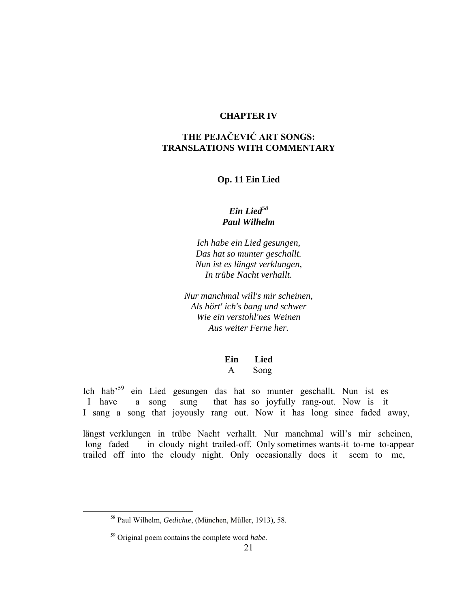#### **CHAPTER IV**

# **THE PEJAČEVIĆ ART SONGS: TRANSLATIONS WITH COMMENTARY**

#### **Op. 11 Ein Lied**

### *Ein Lied<sup>58</sup> Paul Wilhelm*

*Ich habe ein Lied gesungen, Das hat so munter geschallt. Nun ist es längst verklungen, In trübe Nacht verhallt.*

*Nur manchmal will's mir scheinen, Als hört' ich's bang und schwer Wie ein verstohl'nes Weinen Aus weiter Ferne her.*

**Ein Lied** A Song

Ich hab<sup>59</sup> ein Lied gesungen das hat so munter geschallt. Nun ist es I have a song sung that has so joyfully rang-out. Now is it I sang a song that joyously rang out. Now it has long since faded away,

längst verklungen in trübe Nacht verhallt. Nur manchmal will's mir scheinen, long faded in cloudy night trailed-off. Only sometimes wants-it to-me to-appear trailed off into the cloudy night. Only occasionally does it seem to me,

<sup>58</sup> Paul Wilhelm, *Gedichte*, (München, Müller, 1913), 58.

<sup>59</sup> Original poem contains the complete word *habe.*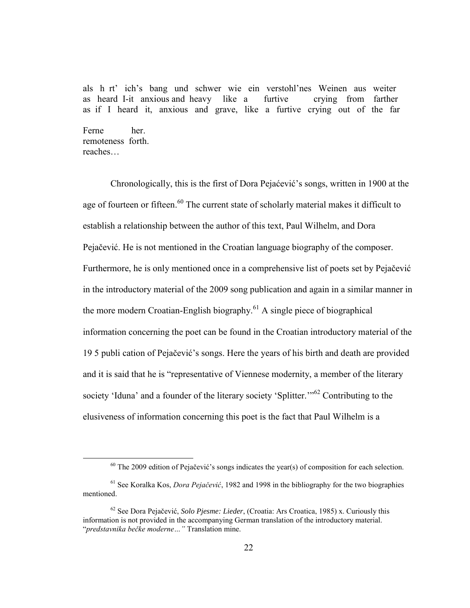als h rt' ich's bang und schwer wie ein verstohl'nes Weinen aus weiter as heard I-it anxious and heavy like a furtive crying from farther as if I heard it, anxious and grave, like a furtive crying out of the far

Ferne her. remoteness forth. reaches…

 $\overline{a}$ 

Chronologically, this is the first of Dora Pejaćević's songs, written in 1900 at the age of fourteen or fifteen.<sup>60</sup> The current state of scholarly material makes it difficult to establish a relationship between the author of this text, Paul Wilhelm, and Dora Pejačević. He is not mentioned in the Croatian language biography of the composer. Furthermore, he is only mentioned once in a comprehensive list of poets set by Pejačević in the introductory material of the 2009 song publication and again in a similar manner in the more modern Croatian-English biography.<sup>61</sup> A single piece of biographical information concerning the poet can be found in the Croatian introductory material of the 19 5 publi cation of Pejačević's songs. Here the years of his birth and death are provided and it is said that he is "representative of Viennese modernity, a member of the literary society 'Iduna' and a founder of the literary society 'Splitter."<sup>62</sup> Contributing to the elusiveness of information concerning this poet is the fact that Paul Wilhelm is a

 $60$  The 2009 edition of Pejačević's songs indicates the year(s) of composition for each selection.

<sup>&</sup>lt;sup>61</sup> See Koralka Kos, *Dora Pejačević*, 1982 and 1998 in the bibliography for the two biographies mentioned.

<sup>62</sup> See Dora Pejačević, *Solo Pjesme: Lieder*, (Croatia: Ars Croatica, 1985) x. Curiously this information is not provided in the accompanying German translation of the introductory material. "*predstavnika bečke moderne...*" Translation mine.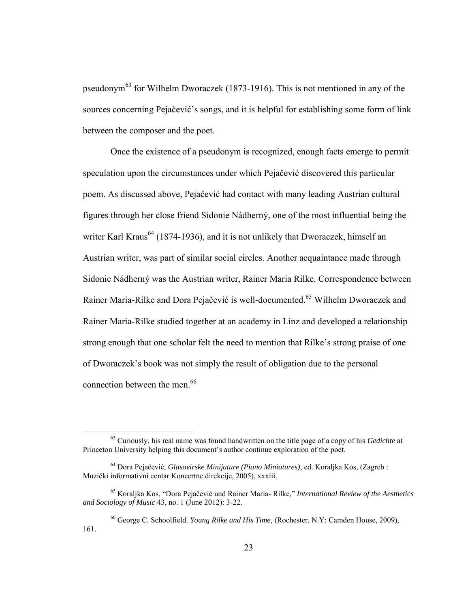pseudonym<sup>63</sup> for Wilhelm Dworaczek (1873-1916). This is not mentioned in any of the sources concerning Pejačević's songs, and it is helpful for establishing some form of link between the composer and the poet.

Once the existence of a pseudonym is recognized, enough facts emerge to permit speculation upon the circumstances under which Pejačević discovered this particular poem. As discussed above, Pejačević had contact with many leading Austrian cultural figures through her close friend Sidonie Nádherný, one of the most influential being the writer Karl Kraus<sup>64</sup> (1874-1936), and it is not unlikely that Dworaczek, himself an Austrian writer, was part of similar social circles. Another acquaintance made through Sidonie Nádherný was the Austrian writer, Rainer Maria Rilke. Correspondence between Rainer Maria-Rilke and Dora Pejačević is well-documented.<sup>65</sup> Wilhelm Dworaczek and Rainer Maria-Rilke studied together at an academy in Linz and developed a relationship strong enough that one scholar felt the need to mention that Rilke's strong praise of one of Dworaczek's book was not simply the result of obligation due to the personal connection between the men.<sup>66</sup>

<sup>63</sup> Curiously, his real name was found handwritten on the title page of a copy of his *Gedichte* at Princeton University helping this document's author continue exploration of the poet.

<sup>64</sup> Dora Pejačević, *Glasovirske Minijature (Piano Miniatures)*, ed. Koraljka Kos, (Zagreb : Muzički informativni centar Koncertne direkcije, 2005), xxxiii.

<sup>65</sup> Koraljka Kos, "Dora Pejačević und Rainer Maria- Rilke," *International Review of the Aesthetics and Sociology of Music* 43, no. 1 (June 2012): 3-22.

<sup>66</sup> George C. Schoolfield. *Young Rilke and His Time*, (Rochester, N.Y: Camden House, 2009), 161.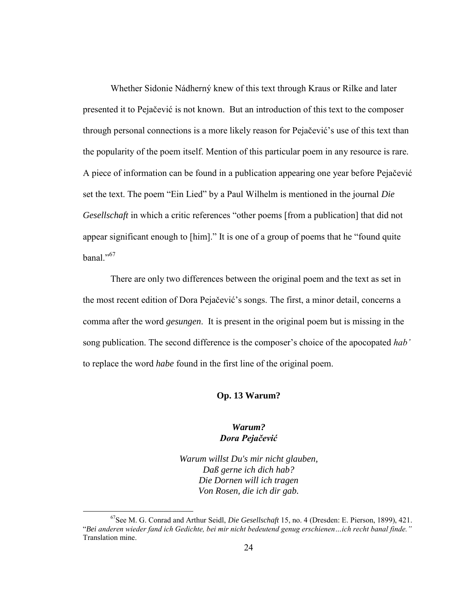Whether Sidonie Nádherný knew of this text through Kraus or Rilke and later presented it to Pejačević is not known. But an introduction of this text to the composer through personal connections is a more likely reason for Pejačević's use of this text than the popularity of the poem itself. Mention of this particular poem in any resource is rare. A piece of information can be found in a publication appearing one year before Pejačević set the text. The poem "Ein Lied" by a Paul Wilhelm is mentioned in the journal *Die Gesellschaft* in which a critic references "other poems [from a publication] that did not appear significant enough to [him]." It is one of a group of poems that he "found quite banal $^{1,67}$ 

 There are only two differences between the original poem and the text as set in the most recent edition of Dora Pejačević's songs. The first, a minor detail, concerns a comma after the word *gesungen*. It is present in the original poem but is missing in the song publication. The second difference is the composer's choice of the apocopated *ab'* to replace the word *habe* found in the first line of the original poem.

#### **Op. 13 Warum?**

### *Warum? Dora Pejačević*

*Warum willst Du's mir nicht glauben, Daß gerne ich dich hab? Die Dornen will ich tragen Von Rosen, die ich dir gab.*

<sup>67</sup>See M. G. Conrad and Arthur Seidl, *Die Gesellschaft* 15, no. 4 (Dresden: E. Pierson, 1899), 421. "Bei anderen wieder fand ich Gedichte, bei mir nicht bedeutend genug erschienen...ich recht banal finde." Translation mine.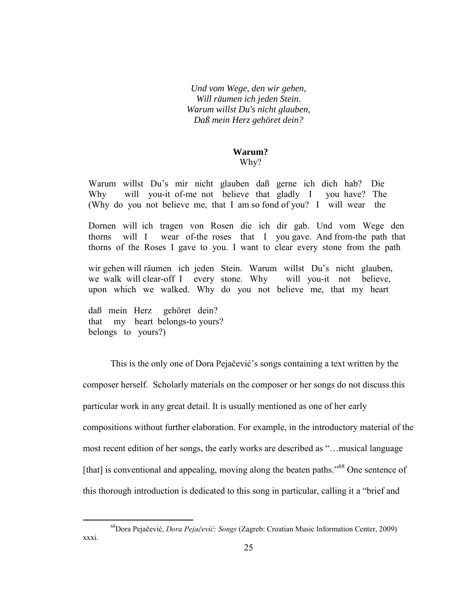*Und vom Wege, den wir gehen, Will räumen ich jeden Stein. Warum willst Du's nicht glauben, Daß mein Herz gehöret dein?*

### **Warum?**

#### Why?

Warum willst Du's mir nicht glauben daß gerne ich dich hab? Die Why will you-it of-me not believe that gladly I you have? The (Why do you not believe me, that I am so fond of you? I will wear the

Dornen will ich tragen von Rosen die ich dir gab. Und vom Wege den thorns will I wear of-the roses that I you gave. And from-the path that thorns of the Roses I gave to you. I want to clear every stone from the path

wir gehen will räumen ich jeden Stein. Warum willst Du's nicht glauben, we walk will clear-off I every stone. Why will you-it not believe, upon which we walked. Why do you not believe me, that my heart

daß mein Herz gehöret dein? that my heart belongs-to yours? belongs to yours?)

 $\overline{a}$ 

This is the only one of Dora Pejačević's songs containing a text written by the composer herself. Scholarly materials on the composer or her songs do not discuss this particular work in any great detail. It is usually mentioned as one of her early compositions without further elaboration. For example, in the introductory material of the most recent edition of her songs, the early works are described as "…musical language [that] is conventional and appealing, moving along the beaten paths."<sup>68</sup> One sentence of this thorough introduction is dedicated to this song in particular, calling it a "brief and

<sup>&</sup>lt;sup>68</sup>Dora Pejačević, *Dora Pejačević: Songs* (Zagreb: Croatian Music Information Center, 2009) xxxi.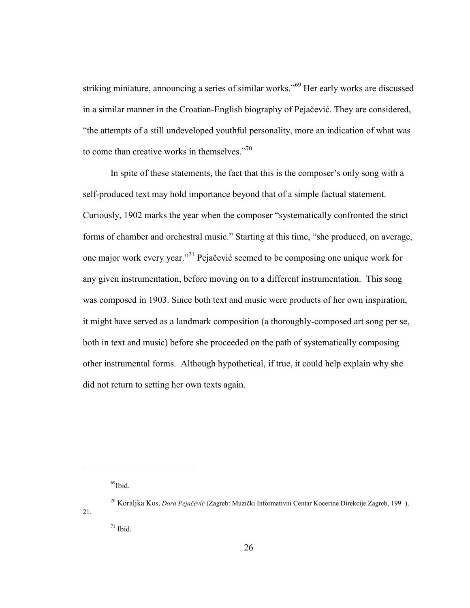striking miniature, announcing a series of similar works."<sup>69</sup> Her early works are discussed in a similar manner in the Croatian-English biography of Pejačević. They are considered, "the attempts of a still undeveloped youthful personality, more an indication of what was to come than creative works in themselves."<sup>70</sup>

 In spite of these statements, the fact that this is the composer's only song with a self-produced text may hold importance beyond that of a simple factual statement. Curiously, 1902 marks the year when the composer "systematically confronted the strict forms of chamber and orchestral music." Starting at this time, "she produced, on average, one major work every year."<sup>71</sup> Pejačević seemed to be composing one unique work for any given instrumentation, before moving on to a different instrumentation. This song was composed in 1903. Since both text and music were products of her own inspiration, it might have served as a landmark composition (a thoroughly-composed art song per se, both in text and music) before she proceeded on the path of systematically composing other instrumental forms. Although hypothetical, if true, it could help explain why she did not return to setting her own texts again.

 $\overline{a}$ 

21.

 $69$ Ibid.

<sup>&</sup>lt;sup>70</sup> Koraljka Kos, *Dora Pejačević* (Zagreb: Muzički Informativni Centar Kocertne Direkcije Zagreb, 199),

 $71$  Ibid.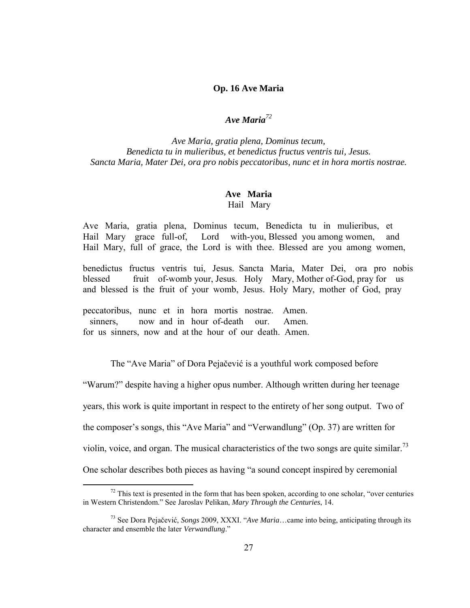#### **Op. 16 Ave Maria**

# *Ave Maria<sup>72</sup>*

*Ave Maria, gratia plena, Dominus tecum, Benedicta tu in mulieribus, et benedictus fructus ventris tui, Jesus. Sancta Maria, Mater Dei, ora pro nobis peccatoribus, nunc et in hora mortis nostrae.* 

#### **Ave Maria** Hail Mary

Ave Maria, gratia plena, Dominus tecum, Benedicta tu in mulieribus, et Hail Mary grace full-of, Lord with-you, Blessed you among women, and Hail Mary, full of grace, the Lord is with thee. Blessed are you among women,

benedictus fructus ventris tui, Jesus. Sancta Maria, Mater Dei, ora pro nobis blessed fruit of-womb your, Jesus. Holy Mary, Mother of-God, pray for us and blessed is the fruit of your womb, Jesus. Holy Mary, mother of God, pray

peccatoribus, nunc et in hora mortis nostrae. Amen. sinners, now and in hour of-death our. Amen. for us sinners, now and at the hour of our death. Amen.

 $\overline{a}$ 

The "Ave Maria" of Dora Pejačević is a youthful work composed before

"Warum?" despite having a higher opus number. Although written during her teenage

years, this work is quite important in respect to the entirety of her song output. Two of

the composer's songs, this "Ave Maria" and "Verwandlung" (Op. 37) are written for

violin, voice, and organ. The musical characteristics of the two songs are quite similar.<sup>73</sup>

One scholar describes both pieces as having "a sound concept inspired by ceremonial

 $72$  This text is presented in the form that has been spoken, according to one scholar, "over centuries" in Western Christendom." See Jaroslav Pelikan, *Mary Through the Centuries*, 14.

<sup>73</sup> See Dora Pejačević, *Songs* 2009, XXXI. "*Ave Maria*…came into being, anticipating through its character and ensemble the later *Verwandlung*."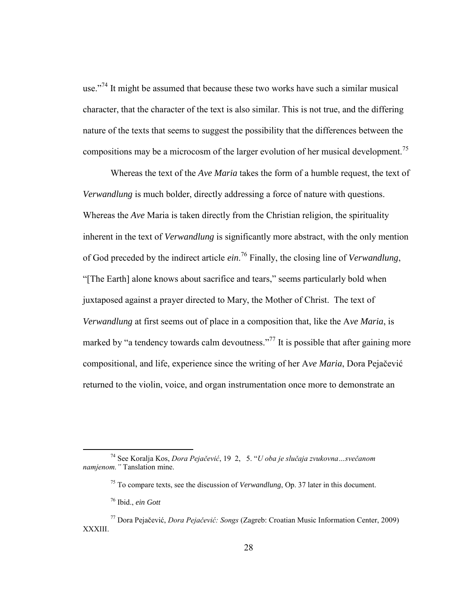use."<sup>74</sup> It might be assumed that because these two works have such a similar musical character, that the character of the text is also similar. This is not true, and the differing nature of the texts that seems to suggest the possibility that the differences between the compositions may be a microcosm of the larger evolution of her musical development.<sup>75</sup>

 Whereas the text of the *Ave Maria* takes the form of a humble request, the text of *Verwandlung* is much bolder, directly addressing a force of nature with questions. Whereas the *Ave* Maria is taken directly from the Christian religion, the spirituality inherent in the text of *Verwandlung* is significantly more abstract, with the only mention of God preceded by the indirect article *ein*. <sup>76</sup> Finally, the closing line of *Verwandlung*, "[The Earth] alone knows about sacrifice and tears," seems particularly bold when juxtaposed against a prayer directed to Mary, the Mother of Christ. The text of *Verwandlung* at first seems out of place in a composition that, like the A*ve Maria*, is marked by "a tendency towards calm devoutness."<sup>77</sup> It is possible that after gaining more compositional, and life, experience since the writing of her A*ve Maria*, Dora Pejačević returned to the violin, voice, and organ instrumentation once more to demonstrate an

<sup>&</sup>lt;sup>74</sup> See Koralja Kos, *Dora Pejačević*, 19 2, 5. "*U oba je slučaja zvukovna* ... *svečanom namjenom.* "Tanslation mine.

<sup>75</sup> To compare texts, see the discussion of *Verwandlung*, Op. 37 later in this document.

<sup>76</sup> Ibid., *ein Gott* 

<sup>&</sup>lt;sup>77</sup> Dora Pejačević, *Dora Pejačević: Songs* (Zagreb: Croatian Music Information Center, 2009) XXXIII.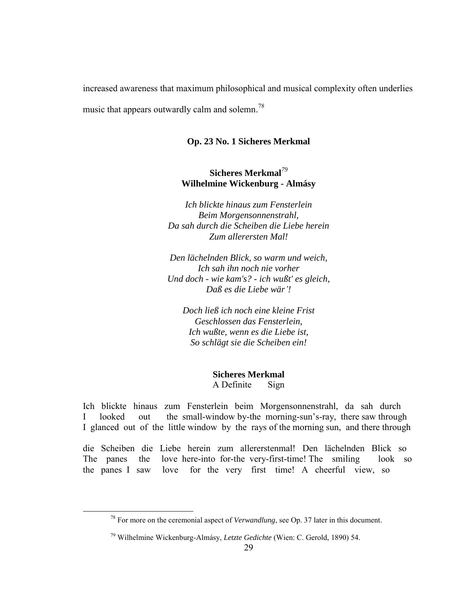increased awareness that maximum philosophical and musical complexity often underlies music that appears outwardly calm and solemn.<sup>78</sup>

#### **Op. 23 No. 1 Sicheres Merkmal**

# **Sicheres Merkmal***<sup>79</sup>* **Wilhelmine Wickenburg - Almásy**

*Ich blickte hinaus zum Fensterlein Beim Morgensonnenstrahl, Da sah durch die Scheiben die Liebe herein Zum allerersten Mal!*

*Den lächelnden Blick, so warm und weich, Ich sah ihn noch nie vorher Und doch - wie kam's? - ich wußt' es gleich, Daß es die Liebe wär'!*

*Doch ließ ich noch eine kleine Frist Geschlossen das Fensterlein, Ich wußte, wenn es die Liebe ist, So schlägt sie die Scheiben ein!*

> **Sicheres Merkmal** A Definite Sign

Ich blickte hinaus zum Fensterlein beim Morgensonnenstrahl, da sah durch I looked out the small-window by-the morning-sun's-ray, there saw through I glanced out of the little window by the rays of the morning sun, and there through

die Scheiben die Liebe herein zum allererstenmal! Den lächelnden Blick so The panes the love here-into for-the very-first-time! The smiling look so the panes I saw love for the very first time! A cheerful view, so

<sup>78</sup> For more on the ceremonial aspect of *Verwandlung*, see Op. 37 later in this document.

<sup>79</sup> Wilhelmine Wickenburg-Almásy, *Letzte Gedichte* (Wien: C. Gerold, 1890) 54.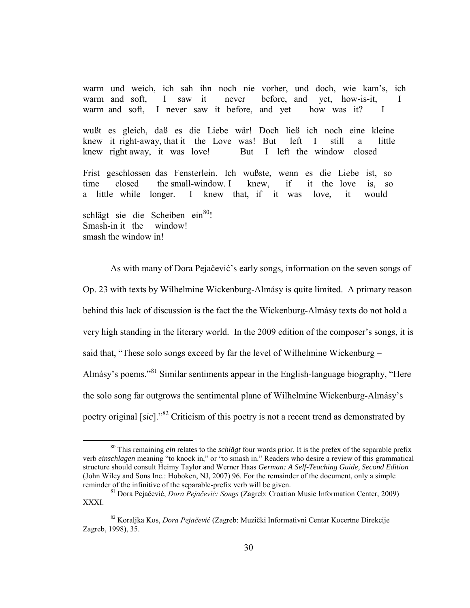warm und weich, ich sah ihn noch nie vorher, und doch, wie kam's, ich warm and soft, I saw it never before, and yet, how-is-it, I warm and soft, I never saw it before, and yet – how was it?  $- I$ 

wußt es gleich, daß es die Liebe wär! Doch ließ ich noch eine kleine knew it right-away, that it the Love was! But left I still a little knew right away, it was love! But I left the window closed

Frist geschlossen das Fensterlein. Ich wußste, wenn es die Liebe ist, so time closed the small-window. I knew, if it the love is, so a little while longer. I knew that, if it was love, it would

schlägt sie die Scheiben ein<sup>80</sup>! Smash-in it the window! smash the window in!

 $\overline{a}$ 

 As with many of Dora Pejačević's early songs, information on the seven songs of Op. 23 with texts by Wilhelmine Wickenburg-Almásy is quite limited. A primary reason behind this lack of discussion is the fact the the Wickenburg-Almásy texts do not hold a very high standing in the literary world. In the 2009 edition of the composer's songs, it is said that, "These solo songs exceed by far the level of Wilhelmine Wickenburg – Almásy's poems."<sup>81</sup> Similar sentiments appear in the English-language biography, "Here the solo song far outgrows the sentimental plane of Wilhelmine Wickenburg-Almásy's poetry original [*sic*]."<sup>82</sup> Criticism of this poetry is not a recent trend as demonstrated by

<sup>80</sup> This remaining *ein* relates to the *schlägt* four words prior. It is the prefex of the separable prefix verb *einschlagen* meaning "to knock in," or "to smash in." Readers who desire a review of this grammatical structure should consult Heimy Taylor and Werner Haas *German: A Self-Teaching Guide, Second Edition*  (John Wiley and Sons Inc.: Hoboken, NJ, 2007) 96. For the remainder of the document, only a simple reminder of the infinitive of the separable-prefix verb will be given.

<sup>&</sup>lt;sup>81</sup> Dora Pejačević, *Dora Pejačević: Songs* (Zagreb: Croatian Music Information Center, 2009) XXXI.

<sup>&</sup>lt;sup>82</sup> Koraljka Kos, *Dora Pejačević* (Zagreb: Muzički Informativni Centar Kocertne Direkcije Zagreb, 1998), 35.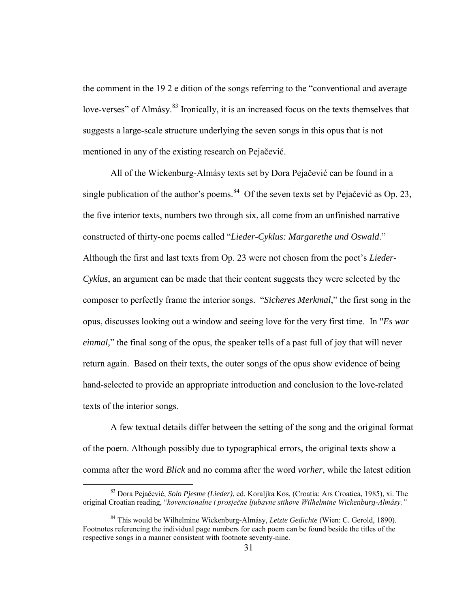the comment in the 19 2 e dition of the songs referring to the "conventional and average love-verses" of Almásy.<sup>83</sup> Ironically, it is an increased focus on the texts themselves that suggests a large-scale structure underlying the seven songs in this opus that is not mentioned in any of the existing research on Pejačević.

 All of the Wickenburg-Almásy texts set by Dora Pejačević can be found in a single publication of the author's poems.<sup>84</sup> Of the seven texts set by Pejačević as Op. 23, the five interior texts, numbers two through six, all come from an unfinished narrative constructed of thirty-one poems called "*Lieder-Cyklus: Margarethe und Oswald*." Although the first and last texts from Op. 23 were not chosen from the poet's *Lieder-Cyklus*, an argument can be made that their content suggests they were selected by the composer to perfectly frame the interior songs. "*Sicheres Merkmal*," the first song in the opus, discusses looking out a window and seeing love for the very first time. In "*Es war einmal*," the final song of the opus, the speaker tells of a past full of joy that will never return again. Based on their texts, the outer songs of the opus show evidence of being hand-selected to provide an appropriate introduction and conclusion to the love-related texts of the interior songs.

 A few textual details differ between the setting of the song and the original format of the poem. Although possibly due to typographical errors, the original texts show a comma after the word *Blick* and no comma after the word *vorher*, while the latest edition

<sup>83</sup> Dora Pejačević, *Solo Pjesme (Lieder)*, ed. Koraljka Kos, (Croatia: Ars Croatica, 1985), xi. The original Croatian reading, "kovencionalne i prosječne ljubavne stihove Wilhelmine Wickenburg-Almásy."

<sup>84</sup> This would be Wilhelmine Wickenburg-Almásy, *Letzte Gedichte* (Wien: C. Gerold, 1890). Footnotes referencing the individual page numbers for each poem can be found beside the titles of the respective songs in a manner consistent with footnote seventy-nine.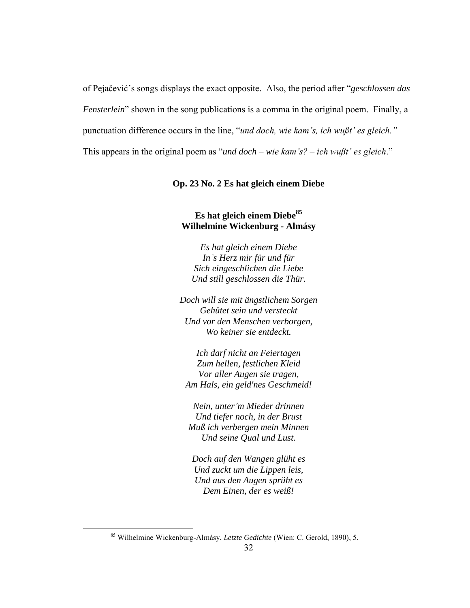of Pejačević's songs displays the exact opposite. Also, the period after "*geschlossen das Fensterlein*" shown in the song publications is a comma in the original poem. Finally, a punctuation difference occurs in the line, "*und doch, wie kam's, ich wußt' es gleich*." This appears in the original poem as "*und doch – wie kam's? – ich wußt' es gleich*."

### **Op. 23 No. 2 Es hat gleich einem Diebe**

# **Es hat gleich einem Diebe<sup>85</sup> Wilhelmine Wickenburg - Almásy**

*Es hat gleich einem Diebe In's Herz mir für und für Sich eingeschlichen die Liebe Und still geschlossen die Thür.*

*Doch will sie mit ängstlichem Sorgen Gehütet sein und versteckt Und vor den Menschen verborgen, Wo keiner sie entdeckt.*

*Ich darf nicht an Feiertagen Zum hellen, festlichen Kleid Vor aller Augen sie tragen, Am Hals, ein geld'nes Geschmeid!*

*Nein, unter'm Mieder drinnen Und tiefer noch, in der Brust Muß ich verbergen mein Minnen Und seine Qual und Lust.*

*Doch auf den Wangen glüht es Und zuckt um die Lippen leis, Und aus den Augen sprüht es Dem Einen, der es weiß!*

<sup>85</sup> Wilhelmine Wickenburg-Almásy, *Letzte Gedichte* (Wien: C. Gerold, 1890), 5.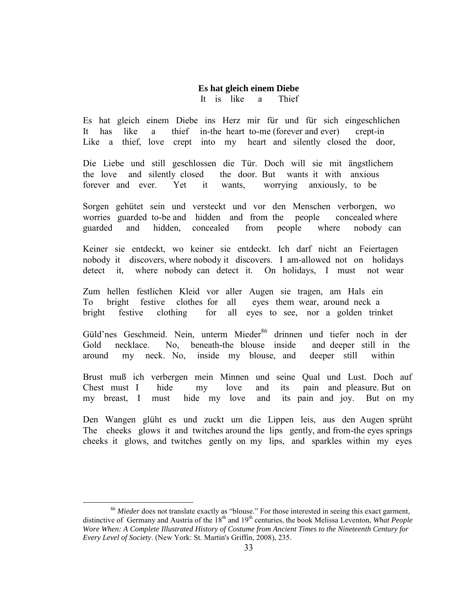### **Es hat gleich einem Diebe**

It is like a Thief

Es hat gleich einem Diebe ins Herz mir für und für sich eingeschlichen It has like a thief in-the heart to-me (forever and ever) crept-in Like a thief, love crept into my heart and silently closed the door,

Die Liebe und still geschlossen die Tür. Doch will sie mit ängstlichem the love and silently closed the door. But wants it with anxious forever and ever. Yet it wants, worrying anxiously, to be

Sorgen gehütet sein und versteckt und vor den Menschen verborgen, wo worries guarded to-be and hidden and from the people concealed where guarded and hidden, concealed from people where nobody can

Keiner sie entdeckt, wo keiner sie entdeckt. Ich darf nicht an Feiertagen nobody it discovers, where nobody it discovers. I am-allowed not on holidays detect it, where nobody can detect it. On holidays, I must not wear

Zum hellen festlichen Kleid vor aller Augen sie tragen, am Hals ein To bright festive clothes for all eyes them wear, around neck a bright festive clothing for all eyes to see, nor a golden trinket

Güld'nes Geschmeid. Nein, unterm Mieder<sup>86</sup> drinnen und tiefer noch in der Gold necklace. No, beneath-the blouse inside and deeper still in the around my neck. No, inside my blouse, and deeper still within

Brust muß ich verbergen mein Minnen und seine Qual und Lust. Doch auf Chest must I hide my love and its pain and pleasure. But on my breast, I must hide my love and its pain and joy. But on my

Den Wangen glüht es und zuckt um die Lippen leis, aus den Augen sprüht The cheeks glows it and twitches around the lips gently, and from-the eyes springs cheeks it glows, and twitches gently on my lips, and sparkles within my eyes

 $\overline{a}$ <sup>86</sup> Mieder does not translate exactly as "blouse." For those interested in seeing this exact garment, distinctive of Germany and Austria of the 18<sup>th</sup> and 19<sup>th</sup> centuries, the book Melissa Leventon, *What People Wore When: A Complete Illustrated History of Costume from Ancient Times to the Nineteenth Century for Every Level of Society*. (New York: St. Martin's Griffin, 2008), 235.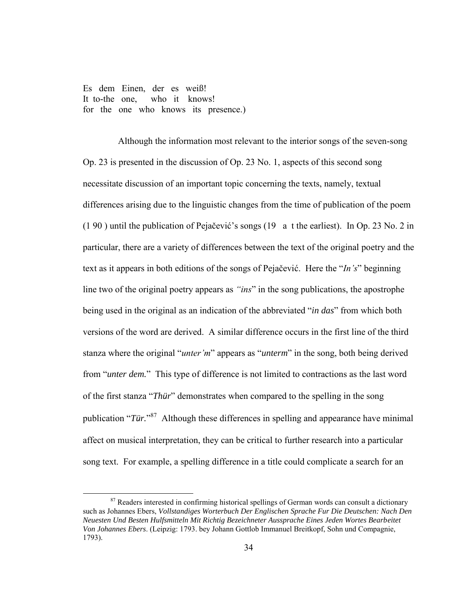Es dem Einen, der es weiß! It to-the one, who it knows! for the one who knows its presence.)

 $\overline{a}$ 

Although the information most relevant to the interior songs of the seven-song Op. 23 is presented in the discussion of Op. 23 No. 1, aspects of this second song necessitate discussion of an important topic concerning the texts, namely, textual differences arising due to the linguistic changes from the time of publication of the poem (1 90 ) until the publication of Pejačević's songs (19 a t the earliest). In Op. 23 No. 2 in particular, there are a variety of differences between the text of the original poetry and the text as it appears in both editions of the songs of Pejačević. Here the "*In's*" beginning line two of the original poetry appears as *"ins*" in the song publications, the apostrophe being used in the original as an indication of the abbreviated "*in das*" from which both versions of the word are derived. A similar difference occurs in the first line of the third stanza where the original "*unter* 'm" appears as "*unterm*" in the song, both being derived from "*unter dem.*" This type of difference is not limited to contractions as the last word of the first stanza "*Thür*" demonstrates when compared to the spelling in the song publication "*Tür.*" 87 Although these differences in spelling and appearance have minimal affect on musical interpretation, they can be critical to further research into a particular song text. For example, a spelling difference in a title could complicate a search for an

<sup>&</sup>lt;sup>87</sup> Readers interested in confirming historical spellings of German words can consult a dictionary such as Johannes Ebers, *Vollstandiges Worterbuch Der Englischen Sprache Fur Die Deutschen: Nach Den Neuesten Und Besten Hulfsmitteln Mit Richtig Bezeichneter Aussprache Eines Jeden Wortes Bearbeitet Von Johannes Ebers*. (Leipzig: 1793. bey Johann Gottlob Immanuel Breitkopf, Sohn und Compagnie, 1793).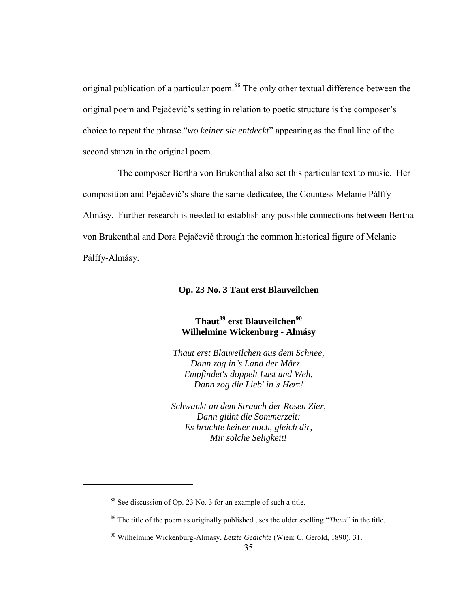original publication of a particular poem.<sup>88</sup> The only other textual difference between the original poem and Pejačević's setting in relation to poetic structure is the composer's choice to repeat the phrase "*wo keiner sie entdeckt*" appearing as the final line of the second stanza in the original poem.

The composer Bertha von Brukenthal also set this particular text to music. Her composition and Pejačević's share the same dedicatee, the Countess Melanie Pálffy-Almásy. Further research is needed to establish any possible connections between Bertha von Brukenthal and Dora Pejačević through the common historical figure of Melanie Pálffy-Almásy.

### **Op. 23 No. 3 Taut erst Blauveilchen**

# **Thaut<sup>89</sup> erst Blauveilchen<sup>90</sup> Wilhelmine Wickenburg - Almásy**

*Thaut erst Blauveilchen aus dem Schnee, Dann zog in's Land der März – Empfindet's doppelt Lust und Weh, Dann zog die Lieb' in's Herz!* 

*Schwankt an dem Strauch der Rosen Zier, Dann glüht die Sommerzeit: Es brachte keiner noch, gleich dir, Mir solche Seligkeit!*

<sup>88</sup> See discussion of Op. 23 No. 3 for an example of such a title.

<sup>89</sup> The title of the poem as originally published uses the older spelling "*Thaut*" in the title.

<sup>90</sup> Wilhelmine Wickenburg-Almásy, *Letzte Gedichte* (Wien: C. Gerold, 1890), 31.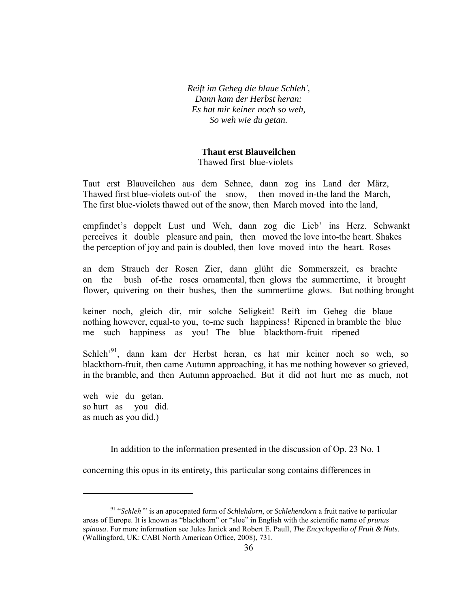*Reift im Geheg die blaue Schleh', Dann kam der Herbst heran: Es hat mir keiner noch so weh, So weh wie du getan.*

#### **Thaut erst Blauveilchen**

Thawed first blue-violets

Taut erst Blauveilchen aus dem Schnee, dann zog ins Land der März, Thawed first blue-violets out-of the snow, then moved in-the land the March, The first blue-violets thawed out of the snow, then March moved into the land,

empfindet's doppelt Lust und Weh, dann zog die Lieb' ins Herz. Schwankt perceives it double pleasure and pain, then moved the love into-the heart. Shakes the perception of joy and pain is doubled, then love moved into the heart. Roses

an dem Strauch der Rosen Zier, dann glüht die Sommerszeit, es brachte on the bush of-the roses ornamental, then glows the summertime, it brought flower, quivering on their bushes, then the summertime glows. But nothing brought

keiner noch, gleich dir, mir solche Seligkeit! Reift im Geheg die blaue nothing however, equal-to you, to-me such happiness! Ripened in bramble the blue me such happiness as you! The blue blackthorn-fruit ripened

Schleh'<sup>91</sup>, dann kam der Herbst heran, es hat mir keiner noch so weh, so blackthorn-fruit, then came Autumn approaching, it has me nothing however so grieved, in the bramble, and then Autumn approached. But it did not hurt me as much, not

weh wie du getan. so hurt as you did. as much as you did.)

 $\overline{a}$ 

In addition to the information presented in the discussion of Op. 23 No. 1

concerning this opus in its entirety, this particular song contains differences in

<sup>&</sup>lt;sup>91</sup> "*Schleh*" is an apocopated form of *Schlehdorn*, or *Schlehendorn* a fruit native to particular areas of Europe. It is known as "blackthorn" or "sloe" in English with the scientific name of *prunus spinosa*. For more information see Jules Janick and Robert E. Paull, *The Encyclopedia of Fruit & Nuts*. (Wallingford, UK: CABI North American Office, 2008), 731.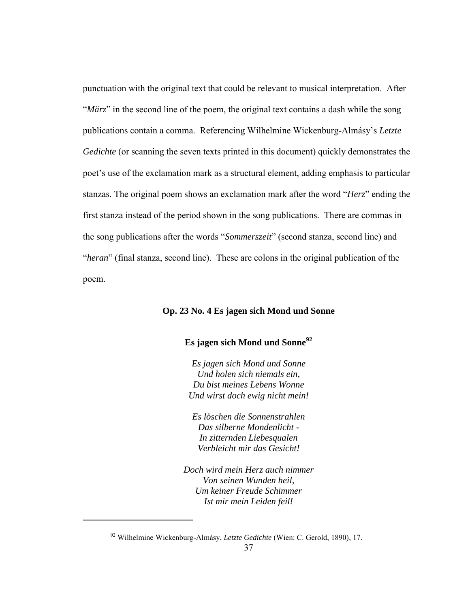punctuation with the original text that could be relevant to musical interpretation. After "*März*" in the second line of the poem, the original text contains a dash while the song publications contain a comma. Referencing Wilhelmine Wickenburg-Almásy's *Letzte Gedichte* (or scanning the seven texts printed in this document) quickly demonstrates the poet's use of the exclamation mark as a structural element, adding emphasis to particular stanzas. The original poem shows an exclamation mark after the word "*Herz*" ending the first stanza instead of the period shown in the song publications. There are commas in the song publications after the words "*Sommerszeit*" (second stanza, second line) and "*heran*" (final stanza, second line). These are colons in the original publication of the poem.

#### **Op. 23 No. 4 Es jagen sich Mond und Sonne**

### **Es jagen sich Mond und Sonne<sup>92</sup>**

*Es jagen sich Mond und Sonne Und holen sich niemals ein, Du bist meines Lebens Wonne Und wirst doch ewig nicht mein!*

*Es löschen die Sonnenstrahlen Das silberne Mondenlicht - In zitternden Liebesqualen Verbleicht mir das Gesicht!*

*Doch wird mein Herz auch nimmer Von seinen Wunden heil, Um keiner Freude Schimmer Ist mir mein Leiden feil!*

<sup>92</sup> Wilhelmine Wickenburg-Almásy, *Letzte Gedichte* (Wien: C. Gerold, 1890), 17.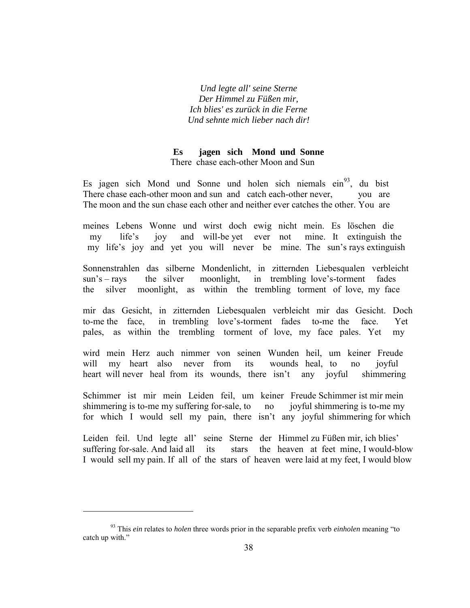*Und legte all' seine Sterne Der Himmel zu Füßen mir, Ich blies' es zurück in die Ferne Und sehnte mich lieber nach dir!*

### **Es jagen sich Mond und Sonne** There chase each-other Moon and Sun

Es jagen sich Mond und Sonne und holen sich niemals  $\sin^{93}$ , du bist There chase each-other moon and sun and catch each-other never, you are The moon and the sun chase each other and neither ever catches the other. You are

meines Lebens Wonne und wirst doch ewig nicht mein. Es löschen die my life's joy and will-be yet ever not mine. It extinguish the my life's joy and yet you will never be mine. The sun's rays extinguish

Sonnenstrahlen das silberne Mondenlicht, in zitternden Liebesqualen verbleicht sun's – rays the silver moonlight, in trembling love's-torment fades the silver moonlight, as within the trembling torment of love, my face

mir das Gesicht, in zitternden Liebesqualen verbleicht mir das Gesicht. Doch to-me the face, in trembling love's-torment fades to-me the face. Yet pales, as within the trembling torment of love, my face pales. Yet my

wird mein Herz auch nimmer von seinen Wunden heil, um keiner Freude will my heart also never from its wounds heal, to no joyful heart will never heal from its wounds, there isn't any joyful shimmering

Schimmer ist mir mein Leiden feil, um keiner Freude Schimmer ist mir mein shimmering is to-me my suffering for-sale, to no joyful shimmering is to-me my for which I would sell my pain, there isn't any joyful shimmering for which

Leiden feil. Und legte all' seine Sterne der Himmel zu Füßen mir, ich blies' suffering for-sale. And laid all its stars the heaven at feet mine, I would-blow I would sell my pain. If all of the stars of heaven were laid at my feet, I would blow

<sup>93</sup> This *ein* relates to *holen* three words prior in the separable prefix verb *einholen* meaning "to catch up with."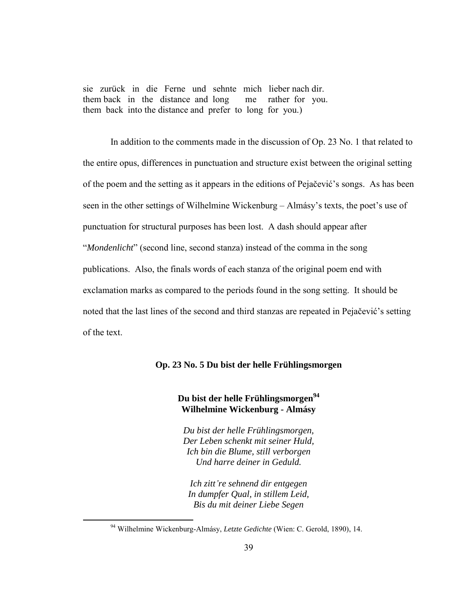sie zurück in die Ferne und sehnte mich lieber nach dir. them back in the distance and long me rather for you. them back into the distance and prefer to long for you.)

 In addition to the comments made in the discussion of Op. 23 No. 1 that related to the entire opus, differences in punctuation and structure exist between the original setting of the poem and the setting as it appears in the editions of Pejačević's songs. As has been seen in the other settings of Wilhelmine Wickenburg – Almásy's texts, the poet's use of punctuation for structural purposes has been lost. A dash should appear after "*Mondenlicht*" (second line, second stanza) instead of the comma in the song publications. Also, the finals words of each stanza of the original poem end with exclamation marks as compared to the periods found in the song setting. It should be noted that the last lines of the second and third stanzas are repeated in Pejačević's setting of the text.

### **Op. 23 No. 5 Du bist der helle Frühlingsmorgen**

# **Du bist der helle Frühlingsmorgen<sup>94</sup> Wilhelmine Wickenburg - Almásy**

*Du bist der helle Frühlingsmorgen, Der Leben schenkt mit seiner Huld, Ich bin die Blume, still verborgen Und harre deiner in Geduld.*

*Ich zitt're sehnend dir entgegen In dumpfer Qual, in stillem Leid, Bis du mit deiner Liebe Segen*

<sup>94</sup> Wilhelmine Wickenburg-Almásy, *Letzte Gedichte* (Wien: C. Gerold, 1890), 14.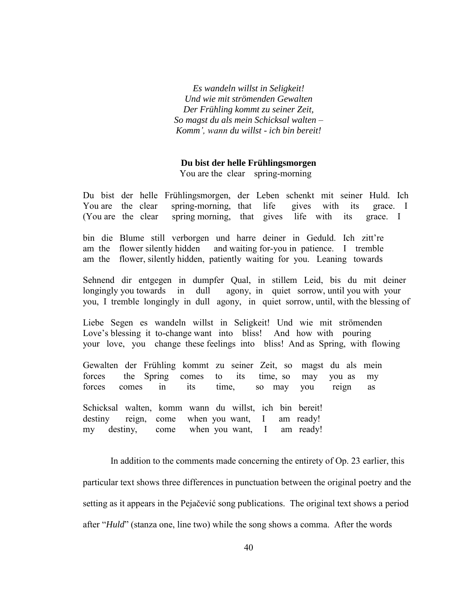*Es wandeln willst in Seligkeit! Und wie mit strömenden Gewalten Der Frühling kommt zu seiner Zeit, So magst du als mein Schicksal walten – Komm' wann du willst - ich bin bereit!*

### **Du bist der helle Frühlingsmorgen**

You are the clear spring-morning

Du bist der helle Frühlingsmorgen, der Leben schenkt mit seiner Huld. Ich You are the clear spring-morning, that life gives with its grace. I (You are the clear spring morning, that gives life with its grace. I

bin die Blume still verborgen und harre deiner in Geduld. Ich zitt're am the flower silently hidden and waiting for-you in patience. I tremble am the flower, silently hidden, patiently waiting for you. Leaning towards

Sehnend dir entgegen in dumpfer Qual, in stillem Leid, bis du mit deiner longingly you towards in dull agony, in quiet sorrow, until you with your you, I tremble longingly in dull agony, in quiet sorrow, until, with the blessing of

Liebe Segen es wandeln willst in Seligkeit! Und wie mit strömenden Love's blessing it to-change want into bliss! And how with pouring your love, you change these feelings into bliss! And as Spring, with flowing

Gewalten der Frühling kommt zu seiner Zeit, so magst du als mein forces the Spring comes to its time, so may you as my forces comes in its time, so may you reign as

Schicksal walten, komm wann du willst, ich bin bereit! destiny reign, come when you want, I am ready! my destiny, come when you want, I am ready!

 In addition to the comments made concerning the entirety of Op. 23 earlier, this particular text shows three differences in punctuation between the original poetry and the setting as it appears in the Pejačević song publications. The original text shows a period after "*Huld*" (stanza one, line two) while the song shows a comma. After the words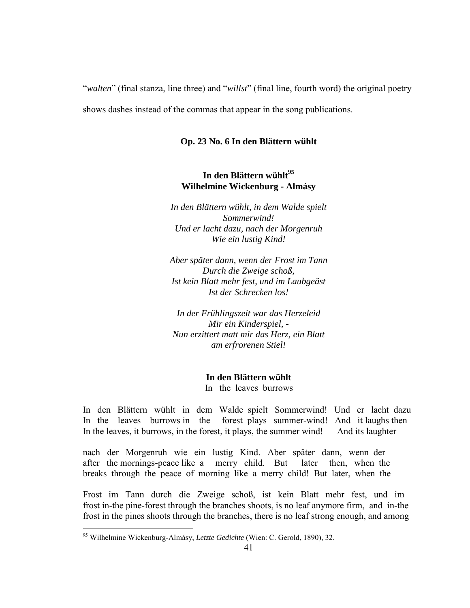"*walten*" (final stanza, line three) and "*willst*" (final line, fourth word) the original poetry shows dashes instead of the commas that appear in the song publications.

### **Op. 23 No. 6 In den Blättern wühlt**

## **In den Blättern wühlt<sup>95</sup> Wilhelmine Wickenburg - Almásy**

*In den Blättern wühlt, in dem Walde spielt Sommerwind! Und er lacht dazu, nach der Morgenruh Wie ein lustig Kind!*

*Aber später dann, wenn der Frost im Tann Durch die Zweige schoß, Ist kein Blatt mehr fest, und im Laubgeäst Ist der Schrecken los!*

*In der Frühlingszeit war das Herzeleid Mir ein Kinderspiel, - Nun erzittert matt mir das Herz, ein Blatt am erfrorenen Stiel!*

> **In den Blättern wühlt** In the leaves burrows

In den Blättern wühlt in dem Walde spielt Sommerwind! Und er lacht dazu In the leaves burrows in the forest plays summer-wind! And it laughs then In the leaves, it burrows, in the forest, it plays, the summer wind! And its laughter

nach der Morgenruh wie ein lustig Kind. Aber später dann, wenn der after the mornings-peace like a merry child. But later then, when the breaks through the peace of morning like a merry child! But later, when the

Frost im Tann durch die Zweige schoß, ist kein Blatt mehr fest, und im frost in-the pine-forest through the branches shoots, is no leaf anymore firm, and in-the frost in the pines shoots through the branches, there is no leaf strong enough, and among

<sup>95</sup> Wilhelmine Wickenburg-Almásy, *Letzte Gedichte* (Wien: C. Gerold, 1890), 32.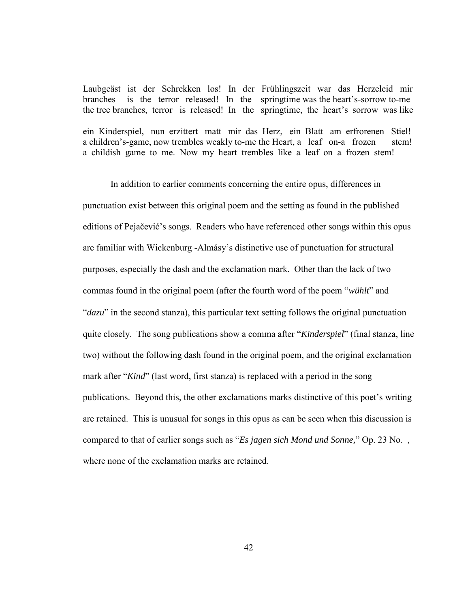Laubgeäst ist der Schrekken los! In der Frühlingszeit war das Herzeleid mir branches is the terror released! In the springtime was the heart's-sorrow to-me the tree branches, terror is released! In the springtime, the heart's sorrow was like

ein Kinderspiel, nun erzittert matt mir das Herz, ein Blatt am erfrorenen Stiel! a children's-game, now trembles weakly to-me the Heart, a leaf on-a frozen stem! a childish game to me. Now my heart trembles like a leaf on a frozen stem!

 In addition to earlier comments concerning the entire opus, differences in punctuation exist between this original poem and the setting as found in the published editions of Pejačević's songs. Readers who have referenced other songs within this opus are familiar with Wickenburg -Almásy's distinctive use of punctuation for structural purposes, especially the dash and the exclamation mark. Other than the lack of two commas found in the original poem (after the fourth word of the poem "*wühlt*" and "*dazu*" in the second stanza), this particular text setting follows the original punctuation quite closely. The song publications show a comma after "*Kinderspiel*" (final stanza, line two) without the following dash found in the original poem, and the original exclamation mark after "*Kind*" (last word, first stanza) is replaced with a period in the song publications. Beyond this, the other exclamations marks distinctive of this poet's writing are retained. This is unusual for songs in this opus as can be seen when this discussion is compared to that of earlier songs such as "*Es jagen sich Mond und Sonne,*" Op. 23 No. , where none of the exclamation marks are retained.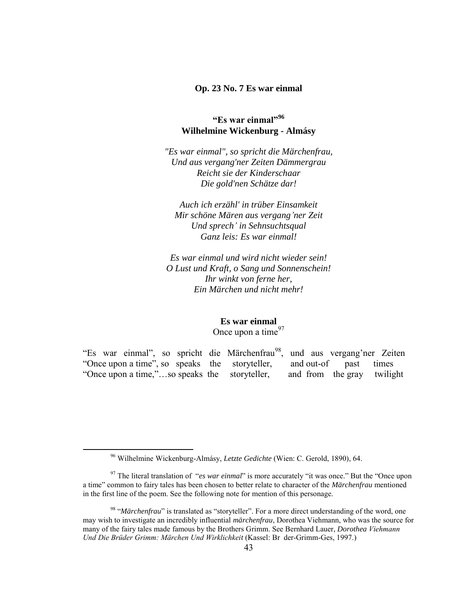### **Op. 23 No. 7 Es war einmal**

### **"Es war einmal"<sup>96</sup> Wilhelmine Wickenburg - Almásy**

*"Es war einmal", so spricht die Märchenfrau, Und aus vergang'ner Zeiten Dämmergrau Reicht sie der Kinderschaar Die gold'nen Schätze dar!*

*Auch ich erzähl' in trüber Einsamkeit Mir schöne Mären aus vergang'ner Zeit Und sprech' in Sehnsuchtsqual Ganz leis: Es war einmal!*

*Es war einmal und wird nicht wieder sein! O Lust und Kraft, o Sang und Sonnenschein! Ihr winkt von ferne her, Ein Märchen und nicht mehr!*

> **Es war einmal** Once upon a time $97$

"Es war einmal", so spricht die Märchenfrau<sup>98</sup>, und aus vergang'ner Zeiten "Once upon a time", so speaks the storyteller, and out-of past times "Once upon a time,"…so speaks the storyteller, and from the gray twilight

<sup>96</sup> Wilhelmine Wickenburg-Almásy, *Letzte Gedichte* (Wien: C. Gerold, 1890), 64.

<sup>&</sup>lt;sup>97</sup> The literal translation of "*es war einmal*" is more accurately "it was once." But the "Once upon a time" common to fairy tales has been chosen to better relate to character of the *Märchenfrau* mentioned in the first line of the poem. See the following note for mention of this personage.

<sup>&</sup>lt;sup>98</sup> "Märchenfrau" is translated as "storyteller". For a more direct understanding of the word, one may wish to investigate an incredibly influential *märchenfrau*, Dorothea Viehmann, who was the source for many of the fairy tales made famous by the Brothers Grimm. See Bernhard Lauer, *Dorothea Viehmann Un ie e G i M c en Un Wi klic keit* (Kassel: Br der-Grimm-Ges, 1997.)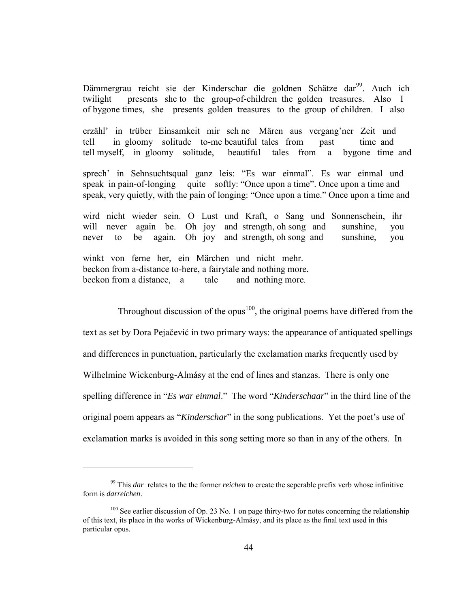Dämmergrau reicht sie der Kinderschar die goldnen Schätze dar<sup>99</sup>. Auch ich twilight presents she to the group-of-children the golden treasures. Also I of bygone times, she presents golden treasures to the group of children. I also

erzähl' in trüber Einsamkeit mir sch ne Mären aus vergang'ner Zeit und tell in gloomy solitude to-me beautiful tales from past time and tell myself, in gloomy solitude, beautiful tales from a bygone time and

sprech' in Sehnsuchtsqual ganz leis: "Es war einmal". Es war einmal und speak in pain-of-longing quite softly: "Once upon a time". Once upon a time and speak, very quietly, with the pain of longing: "Once upon a time." Once upon a time and

wird nicht wieder sein. O Lust und Kraft, o Sang und Sonnenschein, ihr will never again be. Oh joy and strength, oh song and sunshine, you never to be again. Oh joy and strength, oh song and sunshine, you

winkt von ferne her, ein Märchen und nicht mehr. beckon from a-distance to-here, a fairytale and nothing more. beckon from a distance, a tale and nothing more.

 $\overline{a}$ 

Throughout discussion of the opus<sup>100</sup>, the original poems have differed from the text as set by Dora Pejačević in two primary ways: the appearance of antiquated spellings and differences in punctuation, particularly the exclamation marks frequently used by Wilhelmine Wickenburg-Almásy at the end of lines and stanzas. There is only one spelling difference in "*Es war einmal*." The word "*Kinderschaar*" in the third line of the original poem appears as "*Kinderschar*" in the song publications. Yet the poet's use of exclamation marks is avoided in this song setting more so than in any of the others. In

<sup>99</sup> This *dar* relates to the the former *reichen* to create the seperable prefix verb whose infinitive form is *darreichen*.

 $100$  See earlier discussion of Op. 23 No. 1 on page thirty-two for notes concerning the relationship of this text, its place in the works of Wickenburg-Almásy, and its place as the final text used in this particular opus.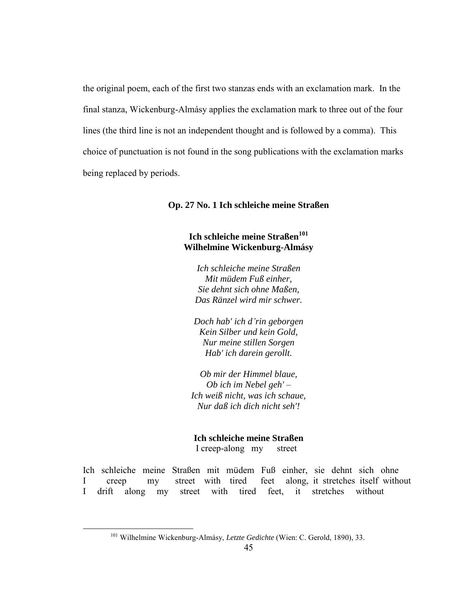the original poem, each of the first two stanzas ends with an exclamation mark. In the final stanza, Wickenburg-Almásy applies the exclamation mark to three out of the four lines (the third line is not an independent thought and is followed by a comma). This choice of punctuation is not found in the song publications with the exclamation marks being replaced by periods.

#### **Op. 27 No. 1 Ich schleiche meine Straßen**

## **Ich schleiche meine Straßen<sup>101</sup> Wilhelmine Wickenburg-Almásy**

*Ich schleiche meine Straßen Mit müdem Fuß einher, Sie dehnt sich ohne Maßen, Das Ränzel wird mir schwer.*

*Doch hab' ich d'rin geborgen Kein Silber und kein Gold, Nur meine stillen Sorgen Hab' ich darein gerollt.*

*Ob mir der Himmel blaue, Ob ich im Nebel geh' – Ich weiß nicht, was ich schaue, Nur daß ich dich nicht seh'!*

#### **Ich schleiche meine Straßen**

I creep-along my street

Ich schleiche meine Straßen mit müdem Fuß einher, sie dehnt sich ohne I creep my street with tired feet along, it stretches itself without I drift along my street with tired feet, it stretches without

<sup>101</sup> Wilhelmine Wickenburg-Almásy, *Letzte Gedichte* (Wien: C. Gerold, 1890), 33.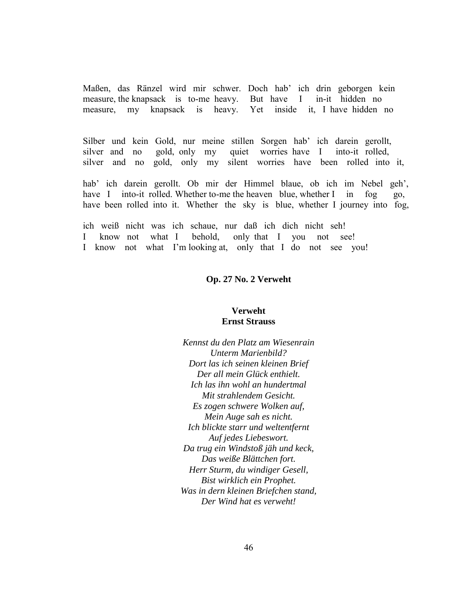Maßen, das Ränzel wird mir schwer. Doch hab' ich drin geborgen kein measure, the knapsack is to-me heavy. But have I in-it hidden no measure, my knapsack is heavy. Yet inside it, I have hidden no

Silber und kein Gold, nur meine stillen Sorgen hab' ich darein gerollt, silver and no gold, only my quiet worries have I into-it rolled, silver and no gold, only my silent worries have been rolled into it,

hab' ich darein gerollt. Ob mir der Himmel blaue, ob ich im Nebel geh', have I into-it rolled. Whether to-me the heaven blue, whether I in fog go, have been rolled into it. Whether the sky is blue, whether I journey into fog,

ich weiß nicht was ich schaue, nur daß ich dich nicht seh! I know not what I behold, only that I you not see! I know not what I'm looking at, only that I do not see you!

#### **Op. 27 No. 2 Verweht**

### **Verweht Ernst Strauss**

*Kennst du den Platz am Wiesenrain Unterm Marienbild? Dort las ich seinen kleinen Brief Der all mein Glück enthielt. Ich las ihn wohl an hundertmal Mit strahlendem Gesicht. Es zogen schwere Wolken auf, Mein Auge sah es nicht. Ich blickte starr und weltentfernt Auf jedes Liebeswort. Da trug ein Windstoß jäh und keck, Das weiße Blättchen fort. Herr Sturm, du windiger Gesell, Bist wirklich ein Prophet. Was in dern kleinen Briefchen stand, Der Wind hat es verweht!*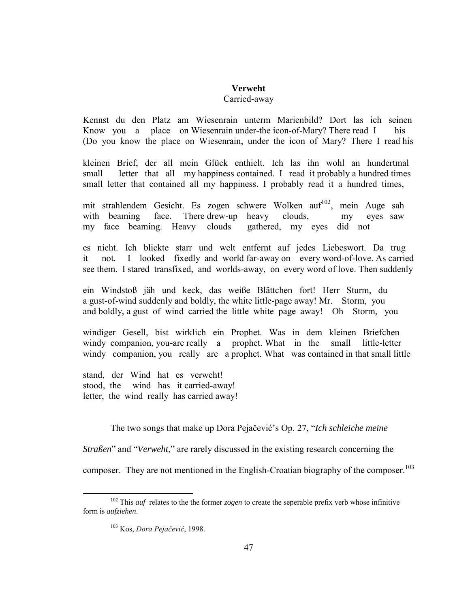# **Verweht**

### Carried-away

Kennst du den Platz am Wiesenrain unterm Marienbild? Dort las ich seinen Know you a place on Wiesenrain under-the icon-of-Mary? There read I his (Do you know the place on Wiesenrain, under the icon of Mary? There I read his

kleinen Brief, der all mein Glück enthielt. Ich las ihn wohl an hundertmal small letter that all my happiness contained. I read it probably a hundred times small letter that contained all my happiness. I probably read it a hundred times,

mit strahlendem Gesicht. Es zogen schwere Wolken auf<sup>102</sup>, mein Auge sah with beaming face. There drew-up heavy clouds, my eyes saw my face beaming. Heavy clouds gathered, my eyes did not

es nicht. Ich blickte starr und welt entfernt auf jedes Liebeswort. Da trug it not. I looked fixedly and world far-away on every word-of-love. As carried see them. I stared transfixed, and worlds-away, on every word of love. Then suddenly

ein Windstoß jäh und keck, das weiße Blättchen fort! Herr Sturm, du a gust-of-wind suddenly and boldly, the white little-page away! Mr. Storm, you and boldly, a gust of wind carried the little white page away! Oh Storm, you

windiger Gesell, bist wirklich ein Prophet. Was in dem kleinen Briefchen windy companion, you-are really a prophet. What in the small little-letter windy companion, you really are a prophet. What was contained in that small little

stand, der Wind hat es verweht! stood, the wind has it carried-away! letter, the wind really has carried away!

The two songs that make up Dora Pejačević's Op. 27, "*Ich schleiche meine* 

*Straßen*" and "*Verweht*," are rarely discussed in the existing research concerning the

composer. They are not mentioned in the English-Croatian biography of the composer.<sup>103</sup>

<sup>102</sup> This *auf* relates to the the former *zogen* to create the seperable prefix verb whose infinitive form is *aufziehen*.

<sup>&</sup>lt;sup>103</sup> Kos, *Dora Pejačević*, 1998.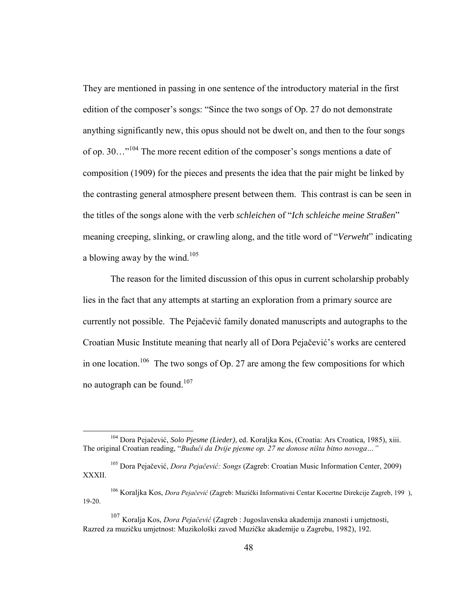They are mentioned in passing in one sentence of the introductory material in the first edition of the composer's songs: "Since the two songs of Op. 27 do not demonstrate anything significantly new, this opus should not be dwelt on, and then to the four songs of op. 30...<sup>"104</sup> The more recent edition of the composer's songs mentions a date of composition (1909) for the pieces and presents the idea that the pair might be linked by the contrasting general atmosphere present between them. This contrast is can be seen in the titles of the songs alone with the verb *schleichen* of "*Ich schleiche meine Straßen*" meaning creeping, slinking, or crawling along, and the title word of "*Verweht*" indicating a blowing away by the wind.<sup>105</sup>

 The reason for the limited discussion of this opus in current scholarship probably lies in the fact that any attempts at starting an exploration from a primary source are currently not possible. The Pejačević family donated manuscripts and autographs to the Croatian Music Institute meaning that nearly all of Dora Pejačević's works are centered in one location.<sup>106</sup> The two songs of Op. 27 are among the few compositions for which no autograph can be found. $107$ 

<sup>104</sup> Dora Pejačević, *Solo Pjesme (Lieder)*, ed. Koraljka Kos, (Croatia: Ars Croatica, 1985), xiii. The original Croatian reading, "Budući da Dvije pjesme op. 27 ne donose ništa bitno novoga..."

<sup>&</sup>lt;sup>105</sup> Dora Pejačević, *Dora Pejačević: Songs* (Zagreb: Croatian Music Information Center, 2009) XXXII.

<sup>&</sup>lt;sup>106</sup> Koralika Kos, *Dora Pejačević* (Zagreb: Muzički Informativni Centar Kocertne Direkcije Zagreb, 199), 19-20.

<sup>&</sup>lt;sup>107</sup> Koralja Kos, *Dora Pejačević* (Zagreb : Jugoslavenska akademija znanosti i umjetnosti, Razred za muzičku umjetnost: Muzikološki zavod Muzičke akademije u Zagrebu, 1982), 192.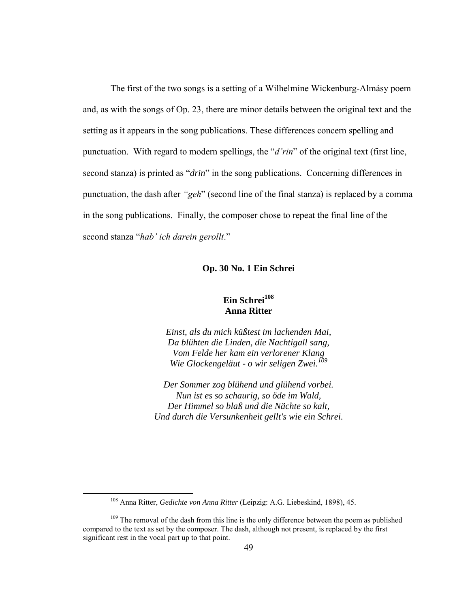The first of the two songs is a setting of a Wilhelmine Wickenburg-Almásy poem and, as with the songs of Op. 23, there are minor details between the original text and the setting as it appears in the song publications. These differences concern spelling and punctuation. With regard to modern spellings, the "*d'rin*" of the original text (first line, second stanza) is printed as "*drin*" in the song publications. Concerning differences in punctuation, the dash after "geh" (second line of the final stanza) is replaced by a comma in the song publications. Finally, the composer chose to repeat the final line of the second stanza "hab' ich darein gerollt."

#### **Op. 30 No. 1 Ein Schrei**

# **Ein Schrei<sup>108</sup> Anna Ritter**

*Einst, als du mich küßtest im lachenden Mai, Da blühten die Linden, die Nachtigall sang, Vom Felde her kam ein verlorener Klang Wie Glockengeläut - o wir seligen Zwei.<sup>109</sup>*

*Der Sommer zog blühend und glühend vorbei. Nun ist es so schaurig, so öde im Wald, Der Himmel so blaß und die Nächte so kalt, Und durch die Versunkenheit gellt's wie ein Schrei.*

<sup>108</sup> Anna Ritter, *Gedichte von Anna Ritter* (Leipzig: A.G. Liebeskind, 1898), 45.

 $109$  The removal of the dash from this line is the only difference between the poem as published compared to the text as set by the composer. The dash, although not present, is replaced by the first significant rest in the vocal part up to that point.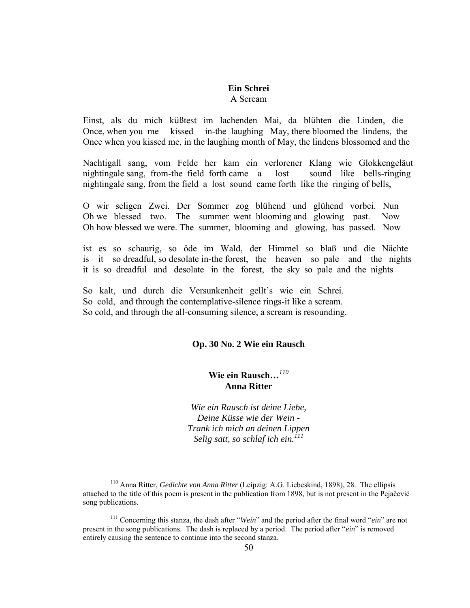#### **Ein Schrei** A Scream

Einst, als du mich küßtest im lachenden Mai, da blühten die Linden, die Once, when you me kissed in-the laughing May, there bloomed the lindens, the Once when you kissed me, in the laughing month of May, the lindens blossomed and the

Nachtigall sang, vom Felde her kam ein verlorener Klang wie Glokkengeläut nightingale sang, from-the field forth came a lost sound like bells-ringing nightingale sang, from the field a lost sound came forth like the ringing of bells,

O wir seligen Zwei. Der Sommer zog blühend und glühend vorbei. Nun Oh we blessed two. The summer went blooming and glowing past. Now Oh how blessed we were. The summer, blooming and glowing, has passed. Now

ist es so schaurig, so öde im Wald, der Himmel so blaß und die Nächte is it so dreadful, so desolate in-the forest, the heaven so pale and the nights it is so dreadful and desolate in the forest, the sky so pale and the nights

So kalt, und durch die Versunkenheit gellt's wie ein Schrei. So cold, and through the contemplative-silence rings-it like a scream. So cold, and through the all-consuming silence, a scream is resounding.

 $\overline{a}$ 

### **Op. 30 No. 2 Wie ein Rausch**

# **Wie ein Rausch…***<sup>110</sup>* **Anna Ritter**

*Wie ein Rausch ist deine Liebe, Deine Küsse wie der Wein - Trank ich mich an deinen Lippen Selig satt, so schlaf ich ein.<sup>111</sup>*

<sup>110</sup> Anna Ritter, *Gedichte von Anna Ritter* (Leipzig: A.G. Liebeskind, 1898), 28. The ellipsis attached to the title of this poem is present in the publication from 1898, but is not present in the Pejačević song publications.

<sup>111</sup> Concerning this stanza, the dash after "*Wein*" and the period after the final word "*ein*" are not present in the song publications. The dash is replaced by a period. The period after "*ein*" is removed entirely causing the sentence to continue into the second stanza.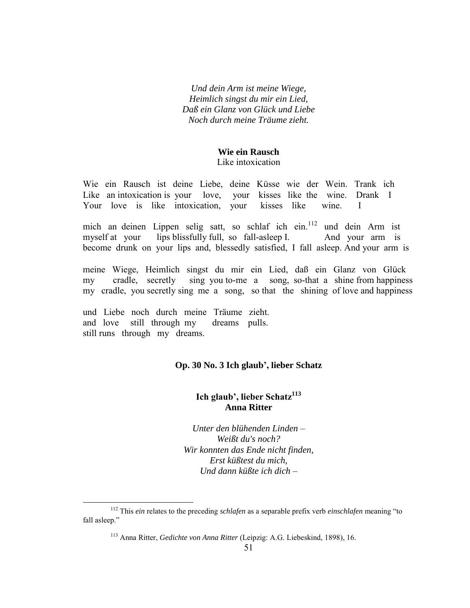*Und dein Arm ist meine Wiege, Heimlich singst du mir ein Lied, Daß ein Glanz von Glück und Liebe Noch durch meine Träume zieht.*

### **Wie ein Rausch**

Like intoxication

Wie ein Rausch ist deine Liebe, deine Küsse wie der Wein. Trank ich Like an intoxication is your love, your kisses like the wine. Drank I Your love is like intoxication, your kisses like wine. I

mich an deinen Lippen selig satt, so schlaf ich ein. 112 und dein Arm ist myself at your lips blissfully full, so fall-asleep I. And your arm is become drunk on your lips and, blessedly satisfied, I fall asleep. And your arm is

meine Wiege, Heimlich singst du mir ein Lied, daß ein Glanz von Glück my cradle, secretly sing you to-me a song, so-that a shine from happiness my cradle, you secretly sing me a song, so that the shining of love and happiness

und Liebe noch durch meine Träume zieht. and love still through my dreams pulls. still runs through my dreams.

 $\overline{a}$ 

### **Op. 30 No. 3 Ich glaub', lieber Schatz**

### **Ich glaub', lieber Schatz<sup>113</sup> Anna Ritter**

*Unter den blühenden Linden – Weißt du's noch? Wir konnten das Ende nicht finden, Erst küßtest du mich, Und dann küßte ich dich –*

<sup>112</sup> This *ein* relates to the preceding *schlafen* as a separable prefix verb *einschlafen* meaning "to fall asleep."

<sup>113</sup> Anna Ritter, *Gedichte von Anna Ritter* (Leipzig: A.G. Liebeskind, 1898), 16.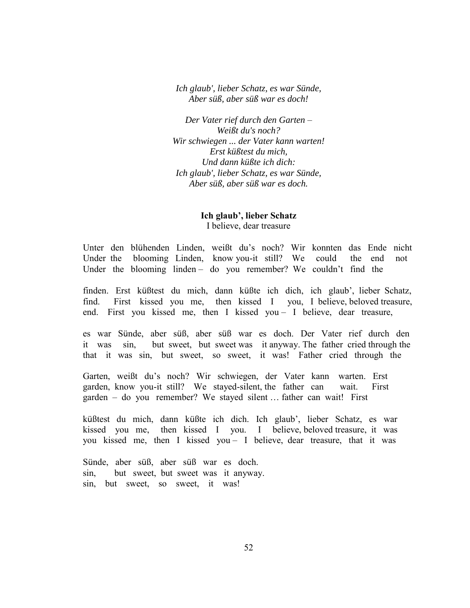*Ich glaub', lieber Schatz, es war Sünde, Aber süß, aber süß war es doch!*

*Der Vater rief durch den Garten – Weißt du's noch? Wir schwiegen ... der Vater kann warten! Erst küßtest du mich, Und dann küßte ich dich: Ich glaub', lieber Schatz, es war Sünde, Aber süß, aber süß war es doch.*

> **Ich glaub', lieber Schatz** I believe, dear treasure

Unter den blühenden Linden, weißt du's noch? Wir konnten das Ende nicht Under the blooming Linden, know you-it still? We could the end not Under the blooming linden – do you remember? We couldn't find the

finden. Erst küßtest du mich, dann küßte ich dich, ich glaub', lieber Schatz, find. First kissed you me, then kissed I you, I believe, beloved treasure, end. First you kissed me, then I kissed you – I believe, dear treasure,

es war Sünde, aber süß, aber süß war es doch. Der Vater rief durch den it was sin, but sweet, but sweet was it anyway. The father cried through the that it was sin, but sweet, so sweet, it was! Father cried through the

Garten, weißt du's noch? Wir schwiegen, der Vater kann warten. Erst garden, know you-it still? We stayed-silent, the father can wait. First garden – do you remember? We stayed silent … father can wait! First

küßtest du mich, dann küßte ich dich. Ich glaub', lieber Schatz, es war kissed you me, then kissed I you. I believe, beloved treasure, it was you kissed me, then I kissed you – I believe, dear treasure, that it was

Sünde, aber süß, aber süß war es doch. sin, but sweet, but sweet was it anyway. sin, but sweet, so sweet, it was!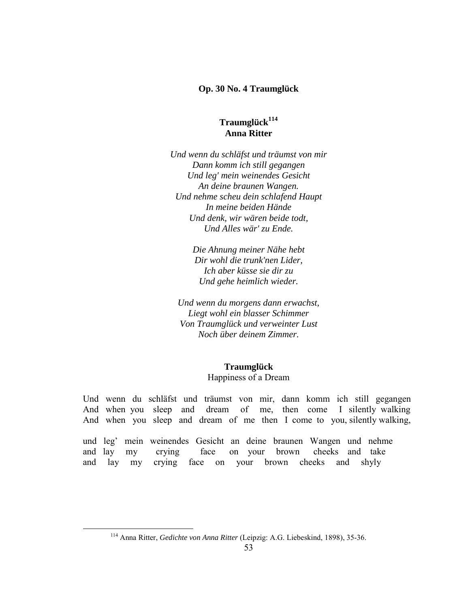#### **Op. 30 No. 4 Traumglück**

# **Traumglück<sup>114</sup> Anna Ritter**

*Und wenn du schläfst und träumst von mir Dann komm ich still gegangen Und leg' mein weinendes Gesicht An deine braunen Wangen. Und nehme scheu dein schlafend Haupt In meine beiden Hände Und denk, wir wären beide todt, Und Alles wär' zu Ende.*

> *Die Ahnung meiner Nähe hebt Dir wohl die trunk'nen Lider, Ich aber küsse sie dir zu Und gehe heimlich wieder.*

*Und wenn du morgens dann erwachst, Liegt wohl ein blasser Schimmer Von Traumglück und verweinter Lust Noch über deinem Zimmer.*

#### **Traumglück**

#### Happiness of a Dream

Und wenn du schläfst und träumst von mir, dann komm ich still gegangen And when you sleep and dream of me, then come I silently walking And when you sleep and dream of me then I come to you, silently walking,

und leg' mein weinendes Gesicht an deine braunen Wangen und nehme and lay my crying face on your brown cheeks and take and lay my crying face on your brown cheeks and shyly

<sup>114</sup> Anna Ritter, *Gedichte von Anna Ritter* (Leipzig: A.G. Liebeskind, 1898), 35-36.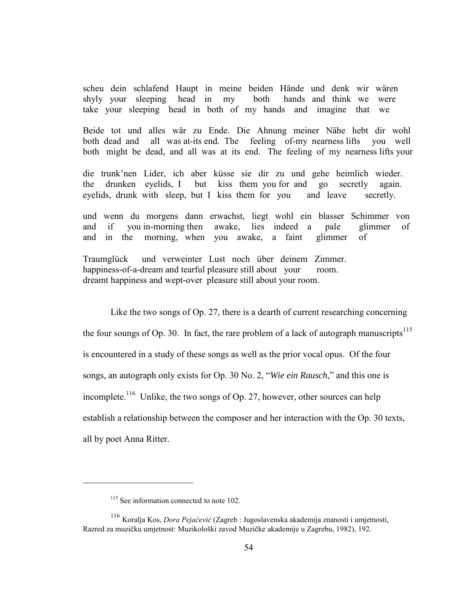scheu dein schlafend Haupt in meine beiden Hände und denk wir wären shyly your sleeping head in my both hands and think we were take your sleeping head in both of my hands and imagine that we

Beide tot und alles wär zu Ende. Die Ahnung meiner Nähe hebt dir wohl both dead and all was at-its end. The feeling of-my nearness lifts you well both might be dead, and all was at its end. The feeling of my nearness lifts your

die trunk'nen Lider, ich aber küsse sie dir zu und gehe heimlich wieder. the drunken eyelids, I but kiss them you for and go secretly again. eyelids, drunk with sleep, but I kiss them for you and leave secretly.

und wenn du morgens dann erwachst, liegt wohl ein blasser Schimmer von and if you in-morning then awake, lies indeed a pale glimmer of and in the morning, when you awake, a faint glimmer of

Traumglück und verweinter Lust noch über deinem Zimmer. happiness-of-a-dream and tearful pleasure still about your room. dreamt happiness and wept-over pleasure still about your room.

Like the two songs of Op. 27, there is a dearth of current researching concerning the four soungs of Op. 30. In fact, the rare problem of a lack of autograph manuscripts<sup>115</sup> is encountered in a study of these songs as well as the prior vocal opus. Of the four songs, an autograph only exists for Op. 30 No. 2, "*Wie ein Rausch*," and this one is incomplete.<sup>116</sup> Unlike, the two songs of Op. 27, however, other sources can help establish a relationship between the composer and her interaction with the Op. 30 texts, all by poet Anna Ritter.

<sup>&</sup>lt;sup>115</sup> See information connected to note 102.

<sup>&</sup>lt;sup>116</sup> Koralja Kos, *Dora Pejačević* (Zagreb : Jugoslavenska akademija znanosti i umjetnosti, Razred za muzičku umjetnost: Muzikološki zavod Muzičke akademije u Zagrebu, 1982), 192.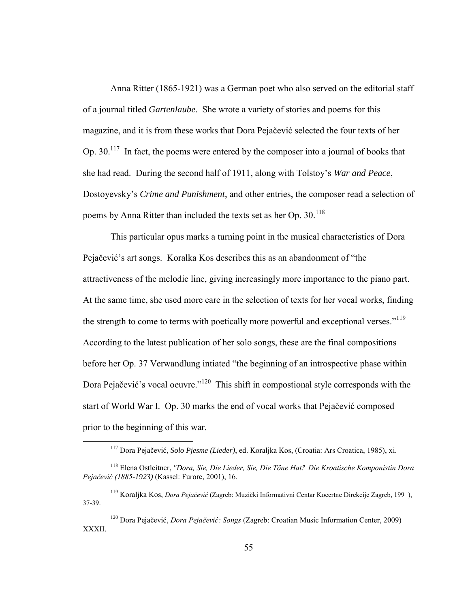Anna Ritter (1865-1921) was a German poet who also served on the editorial staff of a journal titled *Gartenlaube*. She wrote a variety of stories and poems for this magazine, and it is from these works that Dora Pejačević selected the four texts of her Op. 30.<sup>117</sup> In fact, the poems were entered by the composer into a journal of books that she had read. During the second half of 1911, along with Tolstoy's *War and Peace*, Dostoyevsky's *Crime and Punishment*, and other entries, the composer read a selection of poems by Anna Ritter than included the texts set as her Op. 30.<sup>118</sup>

 This particular opus marks a turning point in the musical characteristics of Dora Pejačević's art songs. Koralka Kos describes this as an abandonment of "the attractiveness of the melodic line, giving increasingly more importance to the piano part. At the same time, she used more care in the selection of texts for her vocal works, finding the strength to come to terms with poetically more powerful and exceptional verses."<sup>119</sup> According to the latest publication of her solo songs, these are the final compositions before her Op. 37 Verwandlung intiated "the beginning of an introspective phase within Dora Pejačević's vocal oeuvre."<sup>120</sup> This shift in compostional style corresponds with the start of World War I. Op. 30 marks the end of vocal works that Pejačević composed prior to the beginning of this war.

<sup>117</sup> Dora Pejačević, *Solo Pjesme (Lieder)*, ed. Koraljka Kos, (Croatia: Ars Croatica, 1985), xi.

<sup>&</sup>lt;sup>118</sup> Elena Ostleitner, *"Dora, Sie, Die Lieder, Sie, Die Töne Hat." Die Kroatische Komponistin Dora* Pejačević (1885-1923) (Kassel: Furore, 2001), 16.

<sup>&</sup>lt;sup>119</sup> Koraljka Kos, *Dora Pejačević* (Zagreb: Muzički Informativni Centar Kocertne Direkcije Zagreb, 199), 37-39.

<sup>&</sup>lt;sup>120</sup> Dora Pejačević, *Dora Pejačević: Songs* (Zagreb: Croatian Music Information Center, 2009) XXXII.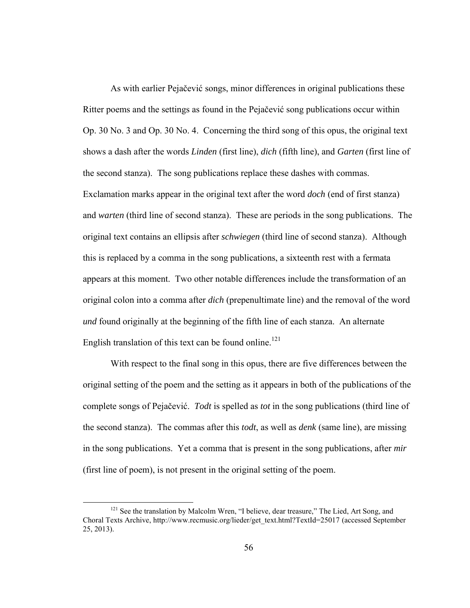As with earlier Pejačević songs, minor differences in original publications these Ritter poems and the settings as found in the Pejačević song publications occur within Op. 30 No. 3 and Op. 30 No. 4. Concerning the third song of this opus, the original text shows a dash after the words *Linden* (first line), *dich* (fifth line), and *Garten* (first line of the second stanza). The song publications replace these dashes with commas. Exclamation marks appear in the original text after the word *doch* (end of first stanza) and *warten* (third line of second stanza). These are periods in the song publications. The original text contains an ellipsis after *schwiegen* (third line of second stanza). Although this is replaced by a comma in the song publications, a sixteenth rest with a fermata appears at this moment. Two other notable differences include the transformation of an original colon into a comma after *dich* (prepenultimate line) and the removal of the word *und* found originally at the beginning of the fifth line of each stanza. An alternate English translation of this text can be found online.<sup>121</sup>

 With respect to the final song in this opus, there are five differences between the original setting of the poem and the setting as it appears in both of the publications of the complete songs of Pejačević. *Todt* is spelled as *tot* in the song publications (third line of the second stanza). The commas after this *todt*, as well as *denk* (same line), are missing in the song publications. Yet a comma that is present in the song publications, after *mir* (first line of poem), is not present in the original setting of the poem.

<sup>&</sup>lt;sup>121</sup> See the translation by Malcolm Wren, "I believe, dear treasure," The Lied, Art Song, and Choral Texts Archive, http://www.recmusic.org/lieder/get\_text.html?TextId=25017 (accessed September 25, 2013).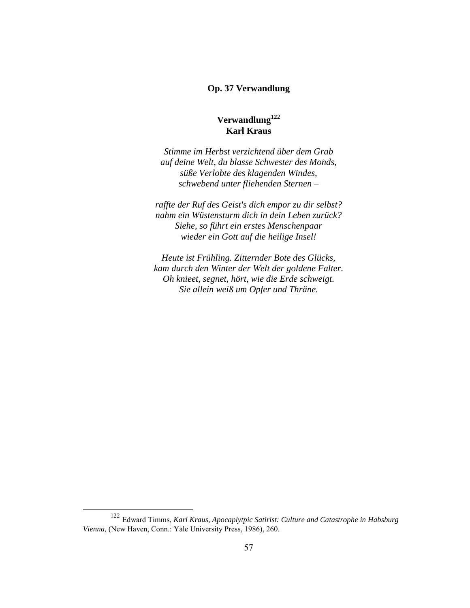### **Op. 37 Verwandlung**

# **Verwandlung<sup>122</sup> Karl Kraus**

*Stimme im Herbst verzichtend über dem Grab auf deine Welt, du blasse Schwester des Monds, süße Verlobte des klagenden Windes, schwebend unter fliehenden Sternen –*

*raffte der Ruf des Geist's dich empor zu dir selbst? nahm ein Wüstensturm dich in dein Leben zurück? Siehe, so führt ein erstes Menschenpaar wieder ein Gott auf die heilige Insel!*

*Heute ist Frühling. Zitternder Bote des Glücks, kam durch den Winter der Welt der goldene Falter. Oh knieet, segnet, hört, wie die Erde schweigt. Sie allein weiß um Opfer und Thräne.*

<sup>122</sup> Edward Timms, *Karl Kraus, Apocaplytpic Satirist: Culture and Catastrophe in Habsburg Vienna,* (New Haven, Conn.: Yale University Press, 1986), 260.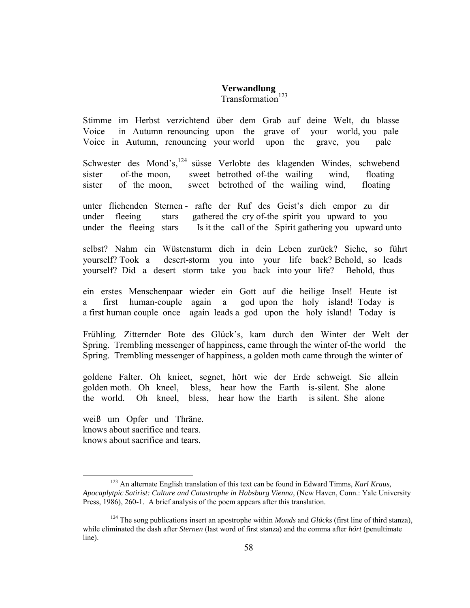### **Verwandlung**  $Transformation<sup>123</sup>$

Stimme im Herbst verzichtend über dem Grab auf deine Welt, du blasse Voice in Autumn renouncing upon the grave of your world, you pale Voice in Autumn, renouncing your world upon the grave, you pale

Schwester des Mond's,<sup>124</sup> süsse Verlobte des klagenden Windes, schwebend sister of-the moon, sweet betrothed of-the wailing wind, floating sister of the moon, sweet betrothed of the wailing wind, floating

unter fliehenden Sternen - rafte der Ruf des Geist's dich empor zu dir under fleeing stars – gathered the cry of-the spirit you upward to you under the fleeing stars – Is it the call of the Spirit gathering you upward unto

selbst? Nahm ein Wüstensturm dich in dein Leben zurück? Siehe, so führt yourself? Took a desert-storm you into your life back? Behold, so leads yourself? Did a desert storm take you back into your life? Behold, thus

ein erstes Menschenpaar wieder ein Gott auf die heilige Insel! Heute ist a first human-couple again a god upon the holy island! Today is a first human couple once again leads a god upon the holy island! Today is

Frühling. Zitternder Bote des Glück's, kam durch den Winter der Welt der Spring. Trembling messenger of happiness, came through the winter of-the world the Spring. Trembling messenger of happiness, a golden moth came through the winter of

goldene Falter. Oh knieet, segnet, hört wie der Erde schweigt. Sie allein golden moth. Oh kneel, bless, hear how the Earth is-silent. She alone the world. Oh kneel, bless, hear how the Earth is silent. She alone

weiß um Opfer und Thräne. knows about sacrifice and tears. knows about sacrifice and tears.

<sup>123</sup> An alternate English translation of this text can be found in Edward Timms, *Karl Kraus, Apocaplytpic Satirist: Culture and Catastrophe in Habsburg Vienna,* (New Haven, Conn.: Yale University Press, 1986), 260-1. A brief analysis of the poem appears after this translation.

<sup>124</sup> The song publications insert an apostrophe within *Monds* and *Glücks* (first line of third stanza), while eliminated the dash after *Sternen* (last word of first stanza) and the comma after *hört* (penultimate line).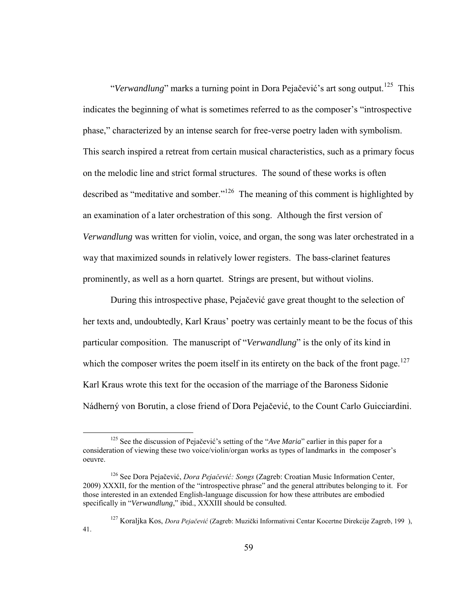"Verwandlung" marks a turning point in Dora Pejačević's art song output.<sup>125</sup> This indicates the beginning of what is sometimes referred to as the composer's "introspective phase," characterized by an intense search for free-verse poetry laden with symbolism. This search inspired a retreat from certain musical characteristics, such as a primary focus on the melodic line and strict formal structures. The sound of these works is often described as "meditative and somber."<sup>126</sup> The meaning of this comment is highlighted by an examination of a later orchestration of this song. Although the first version of *Verwandlung* was written for violin, voice, and organ, the song was later orchestrated in a way that maximized sounds in relatively lower registers. The bass-clarinet features prominently, as well as a horn quartet. Strings are present, but without violins.

 During this introspective phase, Pejačević gave great thought to the selection of her texts and, undoubtedly, Karl Kraus' poetry was certainly meant to be the focus of this particular composition. The manuscript of "*Verwandlung*" is the only of its kind in which the composer writes the poem itself in its entirety on the back of the front page.<sup>127</sup> Karl Kraus wrote this text for the occasion of the marriage of the Baroness Sidonie Nádherný von Borutin, a close friend of Dora Pejačević, to the Count Carlo Guicciardini.

<sup>&</sup>lt;sup>125</sup> See the discussion of Pejačević's setting of the "*Ave Maria*" earlier in this paper for a consideration of viewing these two voice/violin/organ works as types of landmarks in the composer's oeuvre.

<sup>&</sup>lt;sup>126</sup> See Dora Pejačević, *Dora Pejačević: Songs* (Zagreb: Croatian Music Information Center, 2009) XXXII, for the mention of the "introspective phrase" and the general attributes belonging to it. For those interested in an extended English-language discussion for how these attributes are embodied specifically in "*Verwandlung*," ibid., XXXIII should be consulted.

<sup>&</sup>lt;sup>127</sup> Koralika Kos, *Dora Pejačević* (Zagreb: Muzički Informativni Centar Kocertne Direkcije Zagreb, 199), 41.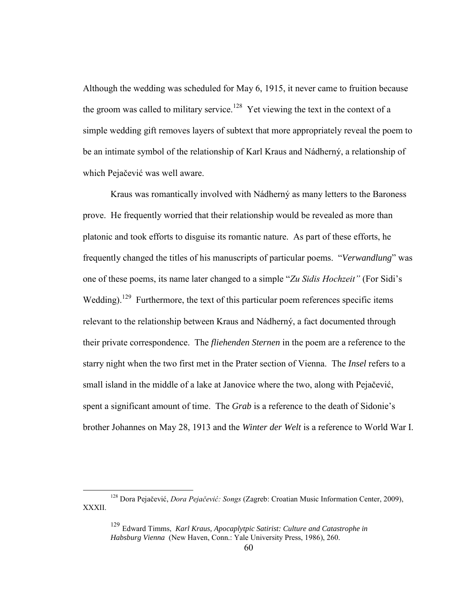Although the wedding was scheduled for May 6, 1915, it never came to fruition because the groom was called to military service.<sup>128</sup> Yet viewing the text in the context of a simple wedding gift removes layers of subtext that more appropriately reveal the poem to be an intimate symbol of the relationship of Karl Kraus and Nádherný, a relationship of which Pejačević was well aware.

 Kraus was romantically involved with Nádherný as many letters to the Baroness prove. He frequently worried that their relationship would be revealed as more than platonic and took efforts to disguise its romantic nature. As part of these efforts, he frequently changed the titles of his manuscripts of particular poems. "*Verwandlung*" was one of these poems, its name later changed to a simple "*Zu Sidis Hochzeit*" (For Sidi's Wedding).<sup>129</sup> Furthermore, the text of this particular poem references specific items relevant to the relationship between Kraus and Nádherný, a fact documented through their private correspondence. The *fliehenden Sternen* in the poem are a reference to the starry night when the two first met in the Prater section of Vienna. The *Insel* refers to a small island in the middle of a lake at Janovice where the two, along with Pejačević, spent a significant amount of time. The *Grab* is a reference to the death of Sidonie's brother Johannes on May 28, 1913 and the *Winter der Welt* is a reference to World War I.

<sup>&</sup>lt;sup>128</sup> Dora Pejačević, *Dora Pejačević: Songs* (Zagreb: Croatian Music Information Center, 2009), XXXII.

<sup>129</sup> Edward Timms, *Karl Kraus, Apocaplytpic Satirist: Culture and Catastrophe in Habsburg Vienna* (New Haven, Conn.: Yale University Press, 1986), 260.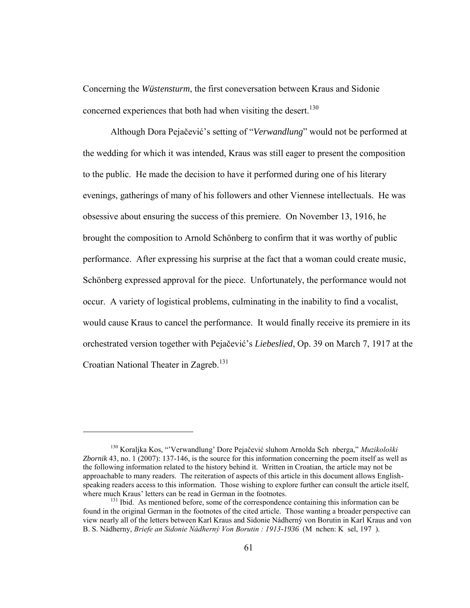Concerning the *Wüstensturm*, the first coneversation between Kraus and Sidonie concerned experiences that both had when visiting the desert.<sup>130</sup>

 Although Dora Pejačević's setting of "*Verwandlung*" would not be performed at the wedding for which it was intended, Kraus was still eager to present the composition to the public. He made the decision to have it performed during one of his literary evenings, gatherings of many of his followers and other Viennese intellectuals. He was obsessive about ensuring the success of this premiere. On November 13, 1916, he brought the composition to Arnold Schönberg to confirm that it was worthy of public performance. After expressing his surprise at the fact that a woman could create music, Schönberg expressed approval for the piece. Unfortunately, the performance would not occur. A variety of logistical problems, culminating in the inability to find a vocalist, would cause Kraus to cancel the performance. It would finally receive its premiere in its orchestrated version together with Pejačević's *Liebeslied*, Op. 39 on March 7, 1917 at the Croatian National Theater in Zagreb.<sup>131</sup>

<sup>&</sup>lt;sup>130</sup> Koraljka Kos, "'Verwandlung' Dore Pejačević sluhom Arnolda Sch nberga," *Muzikološki Zbornik* 43, no. 1 (2007): 137-146, is the source for this information concerning the poem itself as well as the following information related to the history behind it. Written in Croatian, the article may not be approachable to many readers. The reiteration of aspects of this article in this document allows Englishspeaking readers access to this information. Those wishing to explore further can consult the article itself, where much Kraus' letters can be read in German in the footnotes.

 $131$  Ibid. As mentioned before, some of the correspondence containing this information can be found in the original German in the footnotes of the cited article. Those wanting a broader perspective can view nearly all of the letters between Karl Kraus and Sidonie Nádherný von Borutin in Karl Kraus and von B. S. Nádherny, *Briefe an Sidonie Nádherný Von Borutin : 1913-1936* (M nchen: K sel, 197).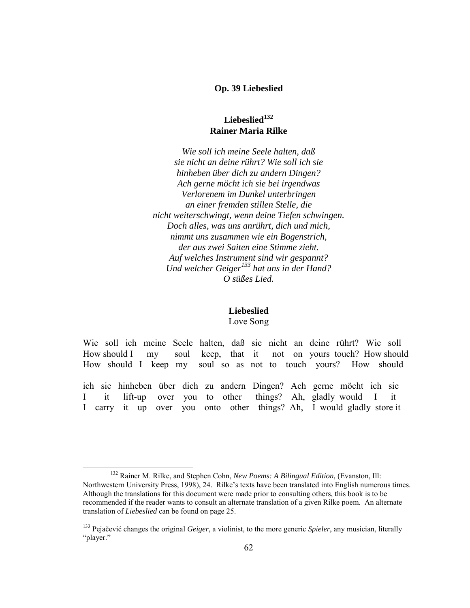#### **Op. 39 Liebeslied**

# **Liebeslied<sup>132</sup> Rainer Maria Rilke**

*Wie soll ich meine Seele halten, daß sie nicht an deine rührt? Wie soll ich sie hinheben über dich zu andern Dingen? Ach gerne möcht ich sie bei irgendwas Verlorenem im Dunkel unterbringen an einer fremden stillen Stelle, die nicht weiterschwingt, wenn deine Tiefen schwingen. Doch alles, was uns anrührt, dich und mich, nimmt uns zusammen wie ein Bogenstrich, der aus zwei Saiten eine Stimme zieht. Auf welches Instrument sind wir gespannt? Und welcher Geiger<sup>133</sup> hat uns in der Hand? O süßes Lied.*

# **Liebeslied**

# Love Song

Wie soll ich meine Seele halten, daß sie nicht an deine rührt? Wie soll How should I my soul keep, that it not on yours touch? How should How should I keep my soul so as not to touch yours? How should

ich sie hinheben über dich zu andern Dingen? Ach gerne möcht ich sie I it lift-up over you to other things? Ah, gladly would I it I carry it up over you onto other things? Ah, I would gladly store it

<sup>&</sup>lt;sup>132</sup> Rainer M. Rilke, and Stephen Cohn, *New Poems: A Bilingual Edition*, (Evanston, Ill: Northwestern University Press, 1998), 24. Rilke's texts have been translated into English numerous times. Although the translations for this document were made prior to consulting others, this book is to be recommended if the reader wants to consult an alternate translation of a given Rilke poem. An alternate translation of *Liebeslied* can be found on page 25.

<sup>133</sup> Pejačević changes the original *Geiger*, a violinist, to the more generic *Spieler*, any musician, literally "player."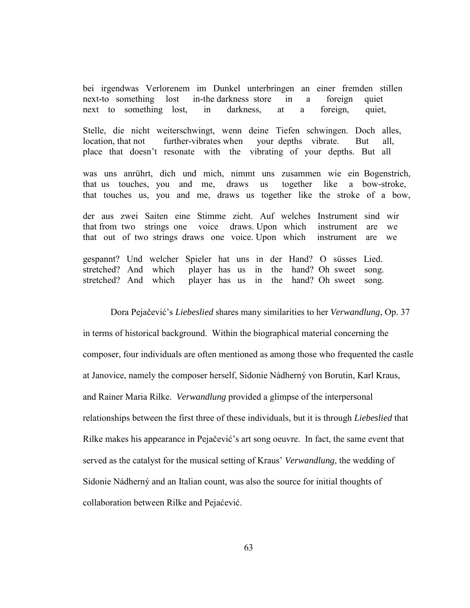bei irgendwas Verlorenem im Dunkel unterbringen an einer fremden stillen next-to something lost in-the darkness store in a foreign quiet next to something lost, in darkness, at a foreign, quiet,

Stelle, die nicht weiterschwingt, wenn deine Tiefen schwingen. Doch alles, location, that not further-vibrates when your depths vibrate. But all, place that doesn't resonate with the vibrating of your depths. But all

was uns anrührt, dich und mich, nimmt uns zusammen wie ein Bogenstrich, that us touches, you and me, draws us together like a bow-stroke, that touches us, you and me, draws us together like the stroke of a bow,

der aus zwei Saiten eine Stimme zieht. Auf welches Instrument sind wir that from two strings one voice draws. Upon which instrument are we that out of two strings draws one voice. Upon which instrument are we

gespannt? Und welcher Spieler hat uns in der Hand? O süsses Lied. stretched? And which player has us in the hand? Oh sweet song. stretched? And which player has us in the hand? Oh sweet song.

 Dora Pejačević's *Liebeslied* shares many similarities to her *Verwandlung*, Op. 37 in terms of historical background. Within the biographical material concerning the composer, four individuals are often mentioned as among those who frequented the castle at Janovice, namely the composer herself, Sidonie Nádherný von Borutin, Karl Kraus, and Rainer Maria Rilke. *Verwandlung* provided a glimpse of the interpersonal relationships between the first three of these individuals, but it is through *Liebeslied* that Rilke makes his appearance in Pejačević's art song oeuvre. In fact, the same event that served as the catalyst for the musical setting of Kraus' *Verwandlung*, the wedding of Sidonie Nádherný and an Italian count, was also the source for initial thoughts of collaboration between Rilke and Pejaćević.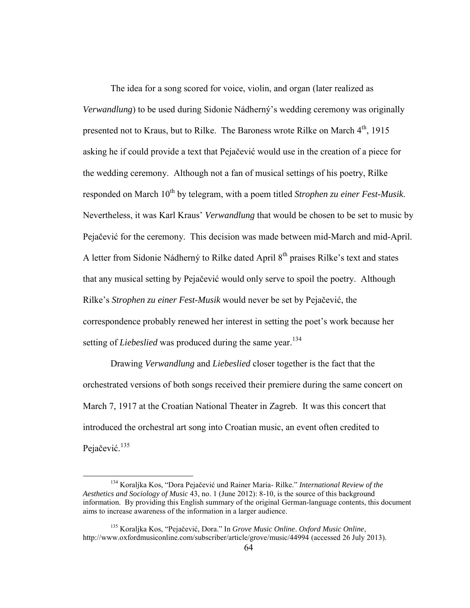The idea for a song scored for voice, violin, and organ (later realized as *Verwandlung*) to be used during Sidonie Nádherný's wedding ceremony was originally presented not to Kraus, but to Rilke. The Baroness wrote Rilke on March  $4<sup>th</sup>$ , 1915 asking he if could provide a text that Pejačević would use in the creation of a piece for the wedding ceremony. Although not a fan of musical settings of his poetry, Rilke responded on March 10<sup>th</sup> by telegram, with a poem titled *Strophen zu einer Fest-Musik*. Nevertheless, it was Karl Kraus' *Verwandlung* that would be chosen to be set to music by Pejačević for the ceremony. This decision was made between mid-March and mid-April. A letter from Sidonie Nádherný to Rilke dated April 8<sup>th</sup> praises Rilke's text and states that any musical setting by Pejačević would only serve to spoil the poetry. Although Rilke's *Strophen zu einer Fest-Musik* would never be set by Pejačević, the correspondence probably renewed her interest in setting the poet's work because her setting of *Liebeslied* was produced during the same year.<sup>134</sup>

 Drawing *Verwandlung* and *Liebeslied* closer together is the fact that the orchestrated versions of both songs received their premiere during the same concert on March 7, 1917 at the Croatian National Theater in Zagreb. It was this concert that introduced the orchestral art song into Croatian music, an event often credited to Pejačević.<sup>135</sup>

<sup>134</sup> Koraljka Kos, "Dora Pejačević und Rainer Maria- Rilke." *International Review of the Aesthetics and Sociology of Music* 43, no. 1 (June 2012): 8-10, is the source of this background information. By providing this English summary of the original German-language contents, this document aims to increase awareness of the information in a larger audience.

<sup>135</sup> Koraljka Kos, "Pejačević, Dora." In *Grove Music Online*. *Oxford Music Online*, http://www.oxfordmusiconline.com/subscriber/article/grove/music/44994 (accessed 26 July 2013).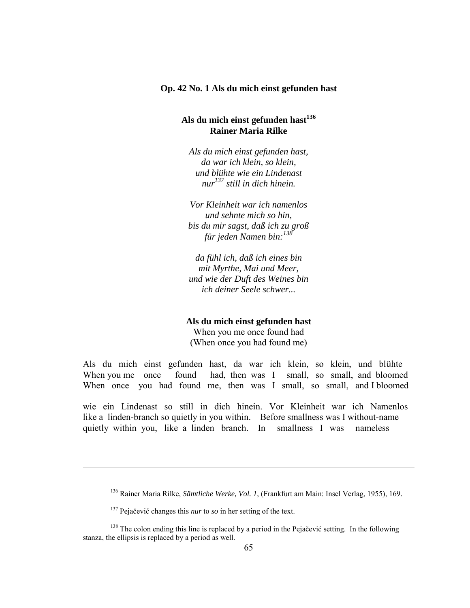#### **Op. 42 No. 1 Als du mich einst gefunden hast**

### **Als du mich einst gefunden hast<sup>136</sup> Rainer Maria Rilke**

*Als du mich einst gefunden hast, da war ich klein, so klein, und blühte wie ein Lindenast nur <sup>137</sup> still in dich hinein.*

*Vor Kleinheit war ich namenlos und sehnte mich so hin, bis du mir sagst, daß ich zu groß für jeden Namen bin:<sup>138</sup>*

*da fühl ich, daß ich eines bin mit Myrthe, Mai und Meer, und wie der Duft des Weines bin ich deiner Seele schwer...*

#### **Als du mich einst gefunden hast**

When you me once found had (When once you had found me)

Als du mich einst gefunden hast, da war ich klein, so klein, und blühte When you me once found had, then was I small, so small, and bloomed When once you had found me, then was I small, so small, and I bloomed

wie ein Lindenast so still in dich hinein. Vor Kleinheit war ich Namenlos like a linden-branch so quietly in you within. Before smallness was I without-name quietly within you, like a linden branch. In smallness I was nameless

<sup>136</sup> Rainer Maria Rilke, *Sämtliche Werke, Vol. 1*, (Frankfurt am Main: Insel Verlag, 1955), 169.

<sup>137</sup> Pejačević changes this *nur* to *so* in her setting of the text.

<sup>&</sup>lt;sup>138</sup> The colon ending this line is replaced by a period in the Pejačević setting. In the following stanza, the ellipsis is replaced by a period as well.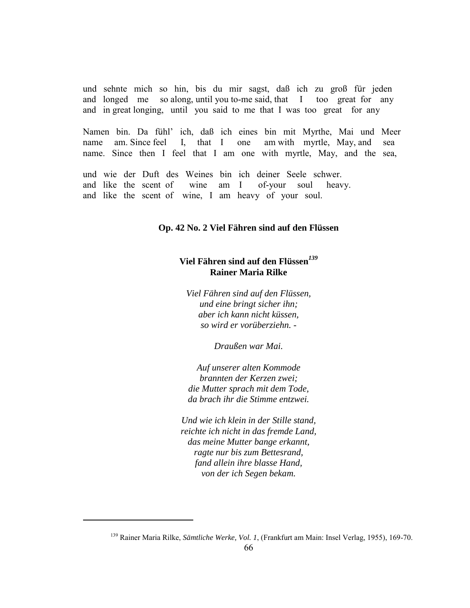und sehnte mich so hin, bis du mir sagst, daß ich zu groß für jeden and longed me so along, until you to-me said, that I too great for any and in great longing, until you said to me that I was too great for any

Namen bin. Da fühl' ich, daß ich eines bin mit Myrthe, Mai und Meer name am. Since feel I, that I one am with myrtle, May, and sea name. Since then I feel that I am one with myrtle, May, and the sea,

und wie der Duft des Weines bin ich deiner Seele schwer. and like the scent of wine am I of-your soul heavy. and like the scent of wine, I am heavy of your soul.

## **Op. 42 No. 2 Viel Fähren sind auf den Flüssen**

# **Viel Fähren sind auf den Flüssen***<sup>139</sup>* **Rainer Maria Rilke**

*Viel Fähren sind auf den Flüssen, und eine bringt sicher ihn; aber ich kann nicht küssen, so wird er vorüberziehn. -*

*Draußen war Mai.*

*Auf unserer alten Kommode brannten der Kerzen zwei; die Mutter sprach mit dem Tode, da brach ihr die Stimme entzwei.*

*Und wie ich klein in der Stille stand, reichte ich nicht in das fremde Land, das meine Mutter bange erkannt, ragte nur bis zum Bettesrand, fand allein ihre blasse Hand, von der ich Segen bekam.*

<sup>139</sup> Rainer Maria Rilke, *Sämtliche Werke, Vol. 1*, (Frankfurt am Main: Insel Verlag, 1955), 169-70.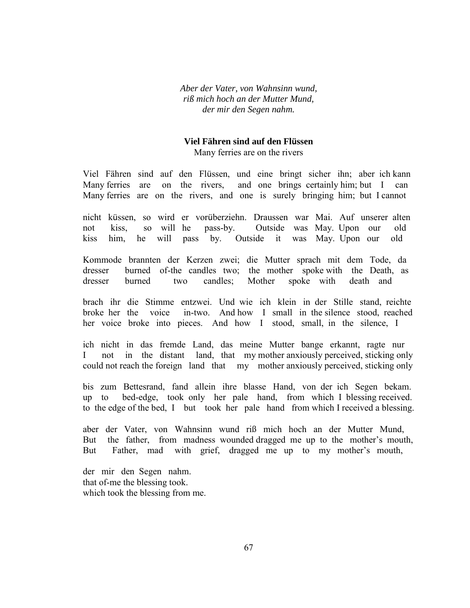*Aber der Vater, von Wahnsinn wund, riß mich hoch an der Mutter Mund, der mir den Segen nahm.*

#### **Viel Fähren sind auf den Flüssen**

Many ferries are on the rivers

Viel Fähren sind auf den Flüssen, und eine bringt sicher ihn; aber ich kann Many ferries are on the rivers, and one brings certainly him; but I can Many ferries are on the rivers, and one is surely bringing him; but I cannot

nicht küssen, so wird er vorüberziehn. Draussen war Mai. Auf unserer alten not kiss, so will he pass-by. Outside was May. Upon our old kiss him, he will pass by. Outside it was May. Upon our old

Kommode brannten der Kerzen zwei; die Mutter sprach mit dem Tode, da dresser burned of-the candles two; the mother spoke with the Death, as dresser burned two candles; Mother spoke with death and

brach ihr die Stimme entzwei. Und wie ich klein in der Stille stand, reichte broke her the voice in-two. And how I small in the silence stood, reached her voice broke into pieces. And how I stood, small, in the silence, I

ich nicht in das fremde Land, das meine Mutter bange erkannt, ragte nur I not in the distant land, that my mother anxiously perceived, sticking only could not reach the foreign land that my mother anxiously perceived, sticking only

bis zum Bettesrand, fand allein ihre blasse Hand, von der ich Segen bekam. up to bed-edge, took only her pale hand, from which I blessing received. to the edge of the bed, I but took her pale hand from which I received a blessing.

aber der Vater, von Wahnsinn wund riß mich hoch an der Mutter Mund, But the father, from madness wounded dragged me up to the mother's mouth, But Father, mad with grief, dragged me up to my mother's mouth,

der mir den Segen nahm. that of-me the blessing took. which took the blessing from me.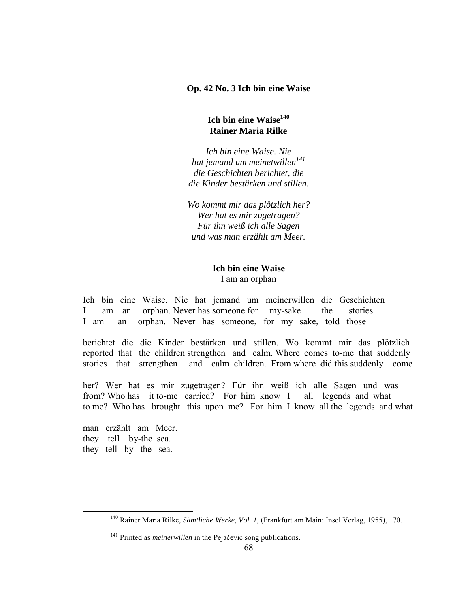**Op. 42 No. 3 Ich bin eine Waise** 

# **Ich bin eine Waise<sup>140</sup> Rainer Maria Rilke**

*Ich bin eine Waise. Nie hat jemand um meinetwillen<sup>141</sup> die Geschichten berichtet, die die Kinder bestärken und stillen.*

*Wo kommt mir das plötzlich her? Wer hat es mir zugetragen? Für ihn weiß ich alle Sagen und was man erzählt am Meer.*

# **Ich bin eine Waise** I am an orphan

Ich bin eine Waise. Nie hat jemand um meinerwillen die Geschichten I am an orphan. Never has someone for my-sake the stories I am an orphan. Never has someone, for my sake, told those

berichtet die die Kinder bestärken und stillen. Wo kommt mir das plötzlich reported that the children strengthen and calm. Where comes to-me that suddenly stories that strengthen and calm children. From where did this suddenly come

her? Wer hat es mir zugetragen? Für ihn weiß ich alle Sagen und was from? Who has it to-me carried? For him know I all legends and what to me? Who has brought this upon me? For him I know all the legends and what

man erzählt am Meer. they tell by-the sea. they tell by the sea.

<sup>140</sup> Rainer Maria Rilke, *Sämtliche Werke, Vol. 1*, (Frankfurt am Main: Insel Verlag, 1955), 170.

<sup>141</sup> Printed as *meinerwillen* in the Pejačević song publications.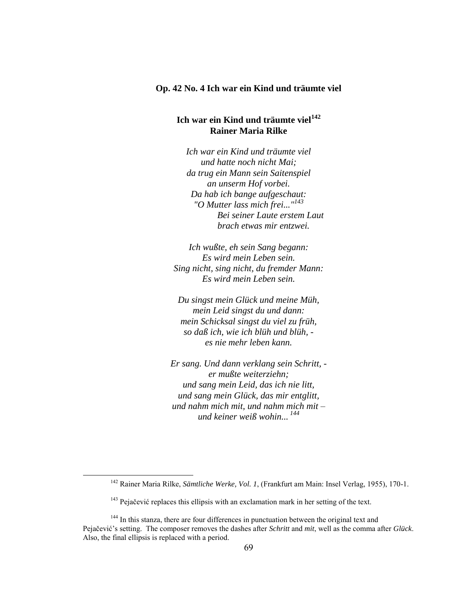# **Op. 42 No. 4 Ich war ein Kind und träumte viel**

# **Ich war ein Kind und träumte viel<sup>142</sup> Rainer Maria Rilke**

*Ich war ein Kind und träumte viel und hatte noch nicht Mai; da trug ein Mann sein Saitenspiel an unserm Hof vorbei. Da hab ich bange aufgeschaut: "O Mutter lass mich frei..."<sup>143</sup> Bei seiner Laute erstem Laut brach etwas mir entzwei.*

*Ich wußte, eh sein Sang begann: Es wird mein Leben sein. Sing nicht, sing nicht, du fremder Mann: Es wird mein Leben sein.*

*Du singst mein Glück und meine Müh, mein Leid singst du und dann: mein Schicksal singst du viel zu früh, so daß ich, wie ich blüh und blüh, es nie mehr leben kann.*

*Er sang. Und dann verklang sein Schritt, er mußte weiterziehn; und sang mein Leid, das ich nie litt, und sang mein Glück, das mir entglitt, und nahm mich mit, und nahm mich mit – und keiner weiß wohin... <sup>144</sup>*

<sup>142</sup> Rainer Maria Rilke, *Sämtliche Werke, Vol. 1*, (Frankfurt am Main: Insel Verlag, 1955), 170-1.

<sup>&</sup>lt;sup>143</sup> Pejačević replaces this ellipsis with an exclamation mark in her setting of the text.

<sup>&</sup>lt;sup>144</sup> In this stanza, there are four differences in punctuation between the original text and Pejačević's setting. The composer removes the dashes after *Schritt* and *mit*, well as the comma after *Glück*. Also, the final ellipsis is replaced with a period.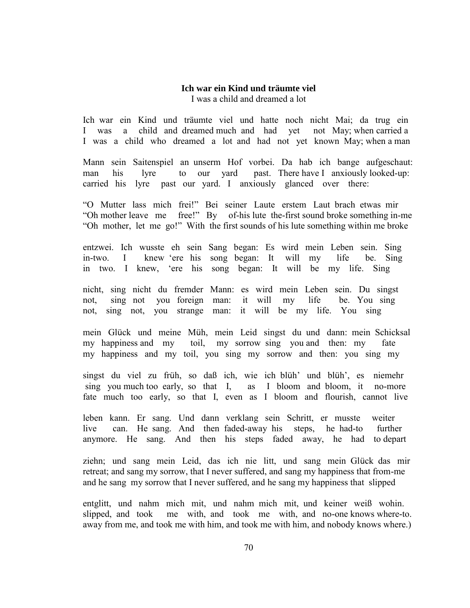#### **Ich war ein Kind und träumte viel** I was a child and dreamed a lot

Ich war ein Kind und träumte viel und hatte noch nicht Mai; da trug ein I was a child and dreamed much and had yet not May; when carried a I was a child who dreamed a lot and had not yet known May; when a man

Mann sein Saitenspiel an unserm Hof vorbei. Da hab ich bange aufgeschaut: man his lyre to our yard past. There have I anxiously looked-up: carried his lyre past our yard. I anxiously glanced over there:

"O Mutter lass mich frei!" Bei seiner Laute erstem Laut brach etwas mir "Oh mother leave me free!" By of-his lute the-first sound broke something in-me "Oh mother, let me go!" With the first sounds of his lute something within me broke

entzwei. Ich wusste eh sein Sang began: Es wird mein Leben sein. Sing in-two. I knew 'ere his song began: It will my life be. Sing in two. I knew, 'ere his song began: It will be my life. Sing

nicht, sing nicht du fremder Mann: es wird mein Leben sein. Du singst not, sing not you foreign man: it will my life be. You sing not, sing not, you strange man: it will be my life. You sing

mein Glück und meine Müh, mein Leid singst du und dann: mein Schicksal my happiness and my toil, my sorrow sing you and then: my fate my happiness and my toil, you sing my sorrow and then: you sing my

singst du viel zu früh, so daß ich, wie ich blüh' und blüh', es niemehr sing you much too early, so that I, as I bloom and bloom, it no-more fate much too early, so that I, even as I bloom and flourish, cannot live

leben kann. Er sang. Und dann verklang sein Schritt, er musste weiter live can. He sang. And then faded-away his steps, he had-to further anymore. He sang. And then his steps faded away, he had to depart

ziehn; und sang mein Leid, das ich nie litt, und sang mein Glück das mir retreat; and sang my sorrow, that I never suffered, and sang my happiness that from-me and he sang my sorrow that I never suffered, and he sang my happiness that slipped

entglitt, und nahm mich mit, und nahm mich mit, und keiner weiß wohin. slipped, and took me with, and took me with, and no-one knows where-to. away from me, and took me with him, and took me with him, and nobody knows where.)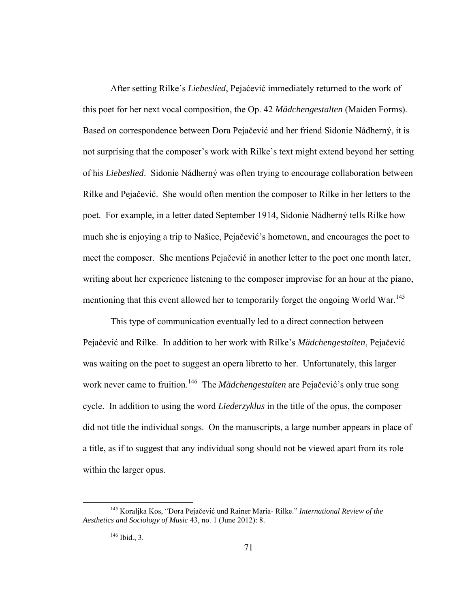After setting Rilke's *Liebeslied*, Pejaćević immediately returned to the work of this poet for her next vocal composition, the Op. 42 *Mädchengestalten* (Maiden Forms). Based on correspondence between Dora Pejačević and her friend Sidonie Nádherný, it is not surprising that the composer's work with Rilke's text might extend beyond her setting of his *Liebeslied*. Sidonie Nádherný was often trying to encourage collaboration between Rilke and Pejačević. She would often mention the composer to Rilke in her letters to the poet. For example, in a letter dated September 1914, Sidonie Nádherný tells Rilke how much she is enjoying a trip to Našice, Pejačević's hometown, and encourages the poet to meet the composer. She mentions Pejačević in another letter to the poet one month later, writing about her experience listening to the composer improvise for an hour at the piano, mentioning that this event allowed her to temporarily forget the ongoing World War.<sup>145</sup>

This type of communication eventually led to a direct connection between Pejačević and Rilke. In addition to her work with Rilke's *Mädchengestalten*, Pejačević was waiting on the poet to suggest an opera libretto to her. Unfortunately, this larger work never came to fruition.<sup>146</sup> The *Mädchengestalten* are Pejačević's only true song cycle. In addition to using the word *Liederzyklus* in the title of the opus, the composer did not title the individual songs. On the manuscripts, a large number appears in place of a title, as if to suggest that any individual song should not be viewed apart from its role within the larger opus.

<sup>145</sup> Koraljka Kos, "Dora Pejačević und Rainer Maria- Rilke." *International Review of the Aesthetics and Sociology of Music* 43, no. 1 (June 2012): 8.

 $146$  Ibid., 3.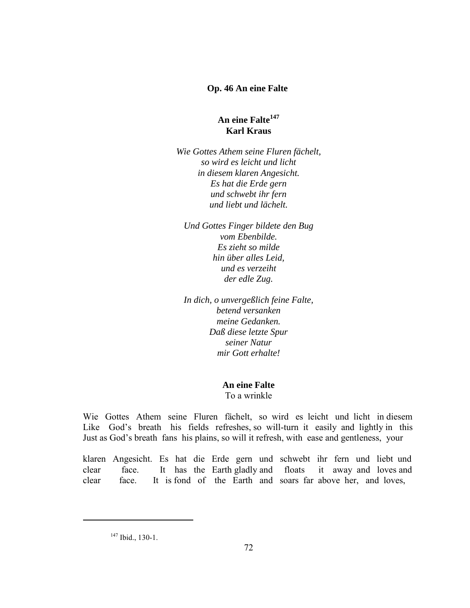## **Op. 46 An eine Falte**

# **An eine Falte<sup>147</sup> Karl Kraus**

*Wie Gottes Athem seine Fluren fächelt, so wird es leicht und licht in diesem klaren Angesicht. Es hat die Erde gern und schwebt ihr fern und liebt und lächelt.*

*Und Gottes Finger bildete den Bug vom Ebenbilde. Es zieht so milde hin über alles Leid, und es verzeiht der edle Zug.*

*In dich, o unvergeßlich feine Falte, betend versanken meine Gedanken. Daß diese letzte Spur seiner Natur mir Gott erhalte!*

**An eine Falte**

To a wrinkle

Wie Gottes Athem seine Fluren fächelt, so wird es leicht und licht in diesem Like God's breath his fields refreshes, so will-turn it easily and lightly in this Just as God's breath fans his plains, so will it refresh, with ease and gentleness, your

klaren Angesicht. Es hat die Erde gern und schwebt ihr fern und liebt und clear face. It has the Earth gladly and floats it away and loves and clear face. It is fond of the Earth and soars far above her, and loves,

 $147$  Ibid., 130-1.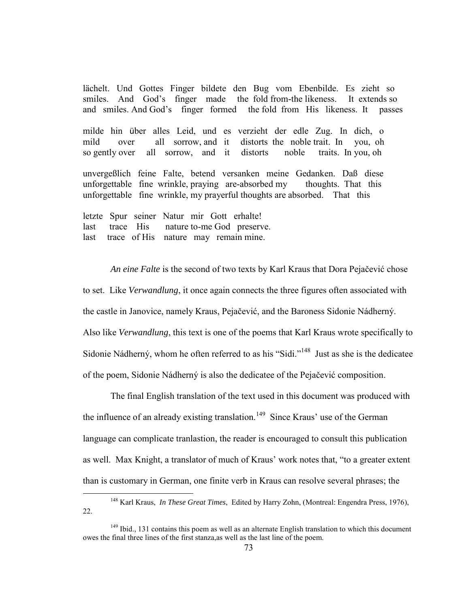lächelt. Und Gottes Finger bildete den Bug vom Ebenbilde. Es zieht so smiles. And God's finger made the fold from-the likeness. It extends so and smiles. And God's finger formed the fold from His likeness. It passes

milde hin über alles Leid, und es verzieht der edle Zug. In dich, o mild over all sorrow, and it distorts the noble trait. In you, oh so gently over all sorrow, and it distorts noble traits. In you, oh

unvergeßlich feine Falte, betend versanken meine Gedanken. Daß diese unforgettable fine wrinkle, praying are-absorbed my thoughts. That this unforgettable fine wrinkle, my prayerful thoughts are absorbed. That this

letzte Spur seiner Natur mir Gott erhalte! last trace His nature to-me God preserve. last trace of His nature may remain mine.

 $\overline{a}$ 

*An eine Falte* is the second of two texts by Karl Kraus that Dora Pejačević chose to set. Like *Verwandlung*, it once again connects the three figures often associated with the castle in Janovice, namely Kraus, Pejačević, and the Baroness Sidonie Nádherný. Also like *Verwandlung*, this text is one of the poems that Karl Kraus wrote specifically to Sidonie Nádherný, whom he often referred to as his "Sidi."<sup>148</sup> Just as she is the dedicatee of the poem, Sidonie Nádherný is also the dedicatee of the Pejačević composition.

 The final English translation of the text used in this document was produced with the influence of an already existing translation.<sup>149</sup> Since Kraus' use of the German language can complicate tranlastion, the reader is encouraged to consult this publication as well. Max Knight, a translator of much of Kraus' work notes that, "to a greater extent than is customary in German, one finite verb in Kraus can resolve several phrases; the

<sup>148</sup> Karl Kraus, *In These Great Times*, Edited by Harry Zohn, (Montreal: Engendra Press, 1976), 22.

 $149$  Ibid., 131 contains this poem as well as an alternate English translation to which this document owes the final three lines of the first stanza,as well as the last line of the poem.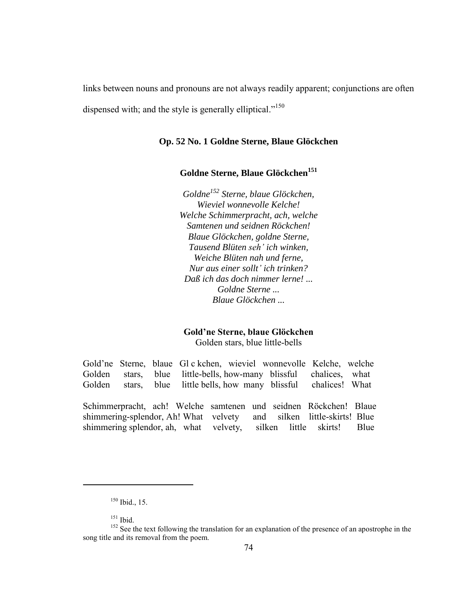links between nouns and pronouns are not always readily apparent; conjunctions are often

dispensed with; and the style is generally elliptical."<sup>150</sup>

## **Op. 52 No. 1 Goldne Sterne, Blaue Glöckchen**

## **Goldne Sterne, Blaue Glöckchen<sup>151</sup>**

*Goldne<sup>152</sup> Sterne, blaue Glöckchen, Wieviel wonnevolle Kelche! Welche Schimmerpracht, ach, welche Samtenen und seidnen Röckchen! Blaue Glöckchen, goldne Sterne, Tausend Blüten e ' ich winken, Weiche Blüten nah und ferne, Nur aus einer sollt' ich trinken? Daß ich das doch nimmer lerne! ... Goldne Sterne ... Blaue Glöckchen ...*

# **Gold'ne Sterne, blaue Glöckchen**

Golden stars, blue little-bells

Gold'ne Sterne, blaue Gl c kchen, wieviel wonnevolle Kelche, welche Golden stars, blue little-bells, how-many blissful chalices, what Golden stars, blue little bells, how many blissful chalices! What

Schimmerpracht, ach! Welche samtenen und seidnen Röckchen! Blaue shimmering-splendor, Ah! What velvety and silken little-skirts! Blue shimmering splendor, ah, what velvety, silken little skirts! Blue

 $150$  Ibid., 15.

<sup>151</sup> Ibid.

<sup>&</sup>lt;sup>152</sup> See the text following the translation for an explanation of the presence of an apostrophe in the song title and its removal from the poem.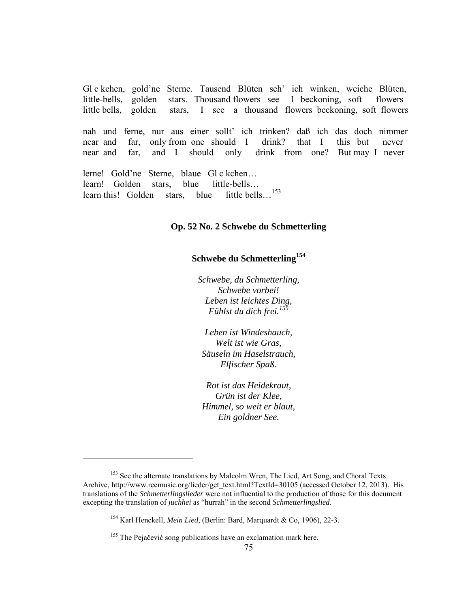Gl c kchen, gold'ne Sterne. Tausend Blüten seh' ich winken, weiche Blüten, little-bells, golden stars. Thousand flowers see I beckoning, soft flowers little bells, golden stars, I see a thousand flowers beckoning, soft flowers

nah und ferne, nur aus einer sollt' ich trinken? daß ich das doch nimmer near and far, only from one should I drink? that I this but never near and far, and I should only drink from one? But may I never

lerne! Gold'ne Sterne, blaue Gl c kchen… learn! Golden stars, blue little-bells… learn this! Golden stars, blue little bells...<sup>153</sup>

#### **Op. 52 No. 2 Schwebe du Schmetterling**

# **Schwebe du Schmetterling<sup>154</sup>**

*Schwebe, du Schmetterling, Schwebe vorbei! Leben ist leichtes Ding, Fühlst du dich frei.<sup>155</sup>*

*Leben ist Windeshauch, Welt ist wie Gras, Säuseln im Haselstrauch, Elfischer Spaß.*

*Rot ist das Heidekraut, Grün ist der Klee, Himmel, so weit er blaut, Ein goldner See.*

<sup>&</sup>lt;sup>153</sup> See the alternate translations by Malcolm Wren, The Lied, Art Song, and Choral Texts Archive, http://www.recmusic.org/lieder/get\_text.html?TextId=30105 (accessed October 12, 2013). His translations of the *Schmetterlingslieder* were not influential to the production of those for this document excepting the translation of *juchhei* as "hurrah" in the second *Schmetterlingslied.*

<sup>154</sup> Karl Henckell, *Mein Lied*, (Berlin: Bard, Marquardt & Co, 1906), 22-3.

<sup>&</sup>lt;sup>155</sup> The Pejačević song publications have an exclamation mark here.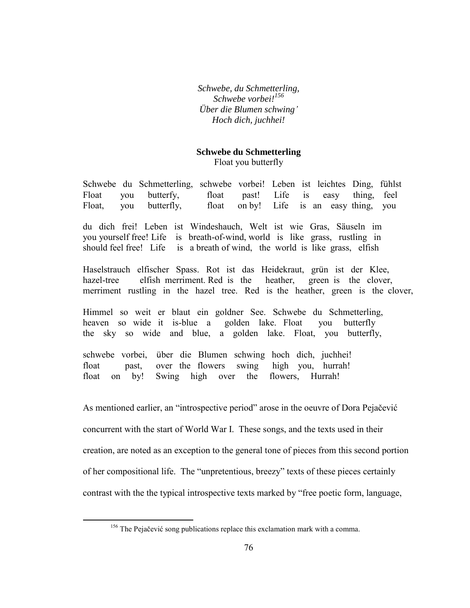*Schwebe, du Schmetterling, Schwebe vorbei!<sup>156</sup> Über die Blumen schwing' Hoch dich, juchhei!*

# **Schwebe du Schmetterling** Float you butterfly

Schwebe du Schmetterling, schwebe vorbei! Leben ist leichtes Ding, fühlst Float you butterfy, float past! Life is easy thing, feel Float, you butterfly, float on by! Life is an easy thing, you

du dich frei! Leben ist Windeshauch, Welt ist wie Gras, Säuseln im you yourself free! Life is breath-of-wind, world is like grass, rustling in should feel free! Life is a breath of wind, the world is like grass, elfish

Haselstrauch elfischer Spass. Rot ist das Heidekraut, grün ist der Klee, hazel-tree elfish merriment. Red is the heather, green is the clover, merriment rustling in the hazel tree. Red is the heather, green is the clover,

Himmel so weit er blaut ein goldner See. Schwebe du Schmetterling, heaven so wide it is-blue a golden lake. Float you butterfly the sky so wide and blue, a golden lake. Float, you butterfly,

schwebe vorbei, über die Blumen schwing hoch dich, juchhei! float past, over the flowers swing high you, hurrah! float on by! Swing high over the flowers, Hurrah!

As mentioned earlier, an "introspective period" arose in the oeuvre of Dora Pejačević concurrent with the start of World War I. These songs, and the texts used in their creation, are noted as an exception to the general tone of pieces from this second portion of her compositional life. The "unpretentious, breezy" texts of these pieces certainly contrast with the the typical introspective texts marked by "free poetic form, language,

<sup>&</sup>lt;sup>156</sup> The Pejačević song publications replace this exclamation mark with a comma.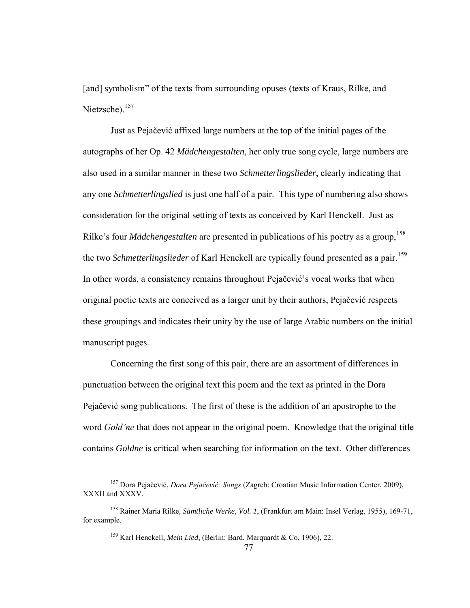[and] symbolism" of the texts from surrounding opuses (texts of Kraus, Rilke, and Nietzsche).<sup>157</sup>

 Just as Pejačević affixed large numbers at the top of the initial pages of the autographs of her Op. 42 *Mädchengestalten*, her only true song cycle, large numbers are also used in a similar manner in these two *Schmetterlingslieder*, clearly indicating that any one *Schmetterlingslied* is just one half of a pair. This type of numbering also shows consideration for the original setting of texts as conceived by Karl Henckell. Just as Rilke's four *Mädchengestalten* are presented in publications of his poetry as a group,<sup>158</sup> the two *Schmetterlingslieder* of Karl Henckell are typically found presented as a pair.<sup>159</sup> In other words, a consistency remains throughout Pejačević's vocal works that when original poetic texts are conceived as a larger unit by their authors, Pejačević respects these groupings and indicates their unity by the use of large Arabic numbers on the initial manuscript pages.

Concerning the first song of this pair, there are an assortment of differences in punctuation between the original text this poem and the text as printed in the Dora Pejačević song publications. The first of these is the addition of an apostrophe to the word *Gold'ne* that does not appear in the original poem. Knowledge that the original title contains *Goldne* is critical when searching for information on the text. Other differences

<sup>&</sup>lt;sup>157</sup> Dora Pejačević, *Dora Pejačević: Songs* (Zagreb: Croatian Music Information Center, 2009), XXXII and XXXV.

<sup>158</sup> Rainer Maria Rilke, *Sämtliche Werke, Vol. 1*, (Frankfurt am Main: Insel Verlag, 1955), 169-71, for example.

<sup>159</sup> Karl Henckell, *Mein Lied*, (Berlin: Bard, Marquardt & Co, 1906), 22.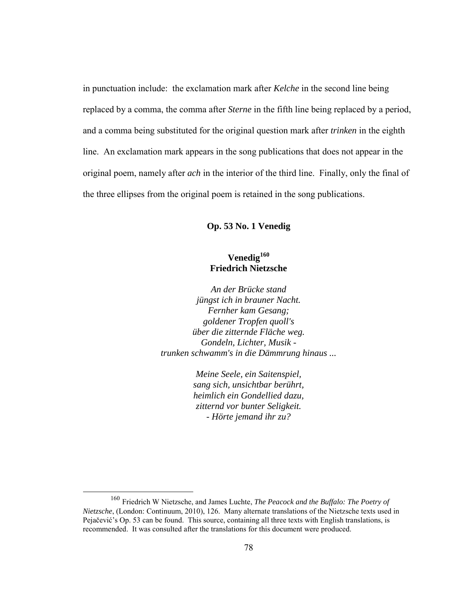in punctuation include: the exclamation mark after *Kelche* in the second line being replaced by a comma, the comma after *Sterne* in the fifth line being replaced by a period, and a comma being substituted for the original question mark after *trinken* in the eighth line. An exclamation mark appears in the song publications that does not appear in the original poem, namely after *ach* in the interior of the third line. Finally, only the final of the three ellipses from the original poem is retained in the song publications.

## **Op. 53 No. 1 Venedig**

# **Venedig<sup>160</sup> Friedrich Nietzsche**

*An der Brücke stand jüngst ich in brauner Nacht. Fernher kam Gesang; goldener Tropfen quoll's über die zitternde Fläche weg. Gondeln, Lichter, Musik trunken schwamm's in die Dämmrung hinaus ...*

> *Meine Seele, ein Saitenspiel, sang sich, unsichtbar berührt, heimlich ein Gondellied dazu, zitternd vor bunter Seligkeit. - Hörte jemand ihr zu?*

<sup>160</sup> Friedrich W Nietzsche, and James Luchte, *The Peacock and the Buffalo: The Poetry of Nietzsche*, (London: Continuum, 2010), 126. Many alternate translations of the Nietzsche texts used in Pejačević's Op. 53 can be found. This source, containing all three texts with English translations, is recommended. It was consulted after the translations for this document were produced.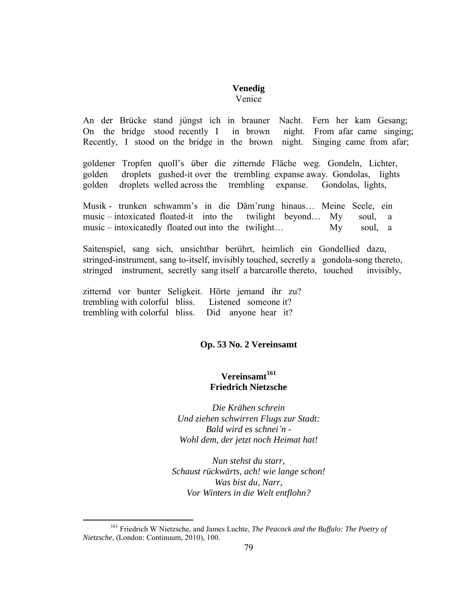#### **Venedig** Venice

An der Brücke stand jüngst ich in brauner Nacht. Fern her kam Gesang; On the bridge stood recently I in brown night. From afar came singing; Recently, I stood on the bridge in the brown night. Singing came from afar;

goldener Tropfen quoll's über die zitternde Fläche weg. Gondeln, Lichter, golden droplets gushed-it over the trembling expanse away. Gondolas, lights golden droplets welled across the trembling expanse. Gondolas, lights,

Musik - trunken schwamm's in die Däm'rung hinaus… Meine Seele, ein music – intoxicated floated-it into the twilight beyond… My soul, a music – intoxicatedly floated out into the twilight… My soul, a

Saitenspiel, sang sich, unsichtbar berührt, heimlich ein Gondellied dazu, stringed-instrument, sang to-itself, invisibly touched, secretly a gondola-song thereto, stringed instrument, secretly sang itself a barcarolle thereto, touched invisibly,

zitternd vor bunter Seligkeit. Hörte jemand ihr zu? trembling with colorful bliss. Listened someone it? trembling with colorful bliss. Did anyone hear it?

 $\overline{a}$ 

## **Op. 53 No. 2 Vereinsamt**

# **Vereinsamt<sup>161</sup> Friedrich Nietzsche**

*Die Krähen schrein Und ziehen schwirren Flugs zur Stadt: Bald wird es schnei'n - Wohl dem, der jetzt noch Heimat hat!*

*Nun stehst du starr, Schaust rückwärts, ach! wie lange schon! Was bist du, Narr, Vor Winters in die Welt entflohn?*

<sup>161</sup> Friedrich W Nietzsche, and James Luchte, *The Peacock and the Buffalo: The Poetry of Nietzsche*, (London: Continuum, 2010), 100.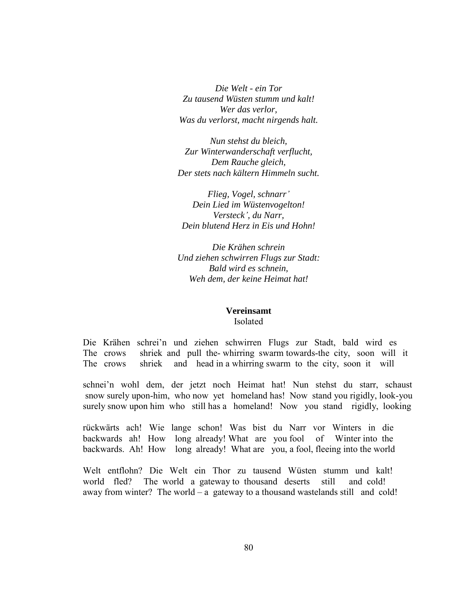*Die Welt - ein Tor Zu tausend Wüsten stumm und kalt! Wer das verlor, Was du verlorst, macht nirgends halt.*

*Nun stehst du bleich, Zur Winterwanderschaft verflucht, Dem Rauche gleich, Der stets nach kältern Himmeln sucht.*

*Flieg, Vogel, schnarr' Dein Lied im Wüstenvogelton! Versteck', du Narr, Dein blutend Herz in Eis und Hohn!*

*Die Krähen schrein Und ziehen schwirren Flugs zur Stadt: Bald wird es schnein, Weh dem, der keine Heimat hat!*

#### **Vereinsamt** Isolated

Die Krähen schrei'n und ziehen schwirren Flugs zur Stadt, bald wird es The crows shriek and pull the- whirring swarm towards-the city, soon will it The crows shriek and head in a whirring swarm to the city, soon it will

schnei'n wohl dem, der jetzt noch Heimat hat! Nun stehst du starr, schaust snow surely upon-him, who now yet homeland has! Now stand you rigidly, look-you surely snow upon him who still has a homeland! Now you stand rigidly, looking

rückwärts ach! Wie lange schon! Was bist du Narr vor Winters in die backwards ah! How long already! What are you fool of Winter into the backwards. Ah! How long already! What are you, a fool, fleeing into the world

Welt entflohn? Die Welt ein Thor zu tausend Wüsten stumm und kalt! world fled? The world a gateway to thousand deserts still and cold! away from winter? The world – a gateway to a thousand wastelands still and cold!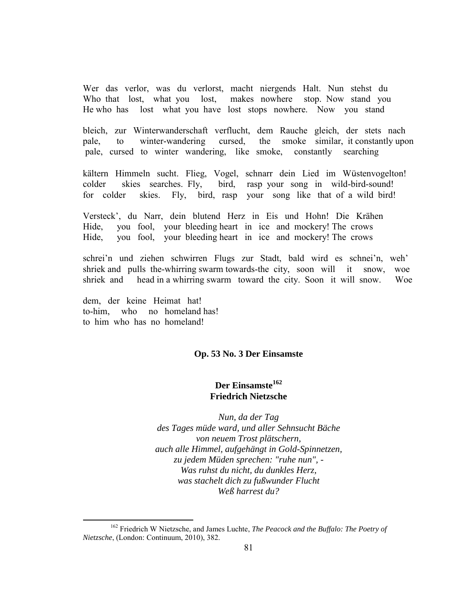Wer das verlor, was du verlorst, macht niergends Halt. Nun stehst du Who that lost, what you lost, makes nowhere stop. Now stand you He who has lost what you have lost stops nowhere. Now you stand

bleich, zur Winterwanderschaft verflucht, dem Rauche gleich, der stets nach pale, to winter-wandering cursed, the smoke similar, it constantly upon pale, cursed to winter wandering, like smoke, constantly searching

kältern Himmeln sucht. Flieg, Vogel, schnarr dein Lied im Wüstenvogelton! colder skies searches. Fly, bird, rasp your song in wild-bird-sound! for colder skies. Fly, bird, rasp your song like that of a wild bird!

Versteck', du Narr, dein blutend Herz in Eis und Hohn! Die Krähen Hide, you fool, your bleeding heart in ice and mockery! The crows Hide, you fool, your bleeding heart in ice and mockery! The crows

schrei'n und ziehen schwirren Flugs zur Stadt, bald wird es schnei'n, weh' shriek and pulls the-whirring swarm towards-the city, soon will it snow, woe shriek and head in a whirring swarm toward the city. Soon it will snow. Woe

dem, der keine Heimat hat! to-him, who no homeland has! to him who has no homeland!

 $\overline{a}$ 

## **Op. 53 No. 3 Der Einsamste**

# **Der Einsamste<sup>162</sup> Friedrich Nietzsche**

*Nun, da der Tag des Tages müde ward, und aller Sehnsucht Bäche von neuem Trost plätschern, auch alle Himmel, aufgehängt in Gold-Spinnetzen, zu jedem Müden sprechen: "ruhe nun", - Was ruhst du nicht, du dunkles Herz, was stachelt dich zu fußwunder Flucht Weß harrest du?*

<sup>162</sup> Friedrich W Nietzsche, and James Luchte, *The Peacock and the Buffalo: The Poetry of Nietzsche*, (London: Continuum, 2010), 382.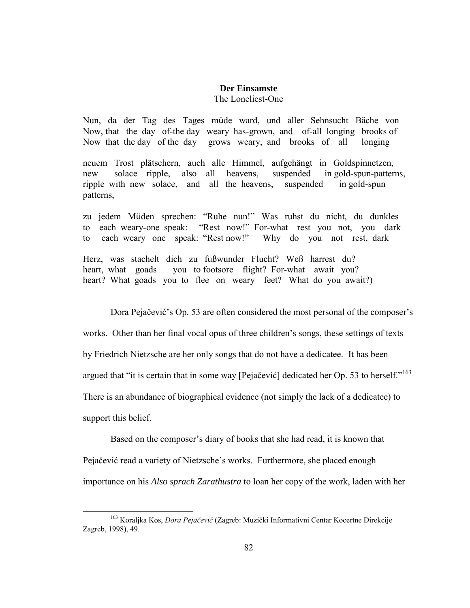# **Der Einsamste** The Loneliest-One

Nun, da der Tag des Tages müde ward, und aller Sehnsucht Bäche von Now, that the day of-the day weary has-grown, and of-all longing brooks of Now that the day of the day grows weary, and brooks of all longing

neuem Trost plätschern, auch alle Himmel, aufgehängt in Goldspinnetzen, new solace ripple, also all heavens, suspended in gold-spun-patterns, ripple with new solace, and all the heavens, suspended in gold-spun patterns,

zu jedem Müden sprechen: "Ruhe nun!" Was ruhst du nicht, du dunkles to each weary-one speak: "Rest now!" For-what rest you not, you dark to each weary one speak: "Rest now!" Why do you not rest, dark

Herz, was stachelt dich zu fußwunder Flucht? Weß harrest du? heart, what goads you to footsore flight? For-what await you? heart? What goads you to flee on weary feet? What do you await?)

Dora Pejačević's Op. 53 are often considered the most personal of the composer's

works. Other than her final vocal opus of three children's songs, these settings of texts

by Friedrich Nietzsche are her only songs that do not have a dedicatee. It has been

argued that "it is certain that in some way [Pejačević] dedicated her Op. 53 to herself."<sup>163</sup>

There is an abundance of biographical evidence (not simply the lack of a dedicatee) to

support this belief.

 $\overline{a}$ 

 Based on the composer's diary of books that she had read, it is known that Pejačević read a variety of Nietzsche's works. Furthermore, she placed enough importance on his *Also sprach Zarathustra* to loan her copy of the work, laden with her

<sup>&</sup>lt;sup>163</sup> Koraljka Kos, *Dora Pejačević* (Zagreb: Muzički Informativni Centar Kocertne Direkcije Zagreb, 1998), 49.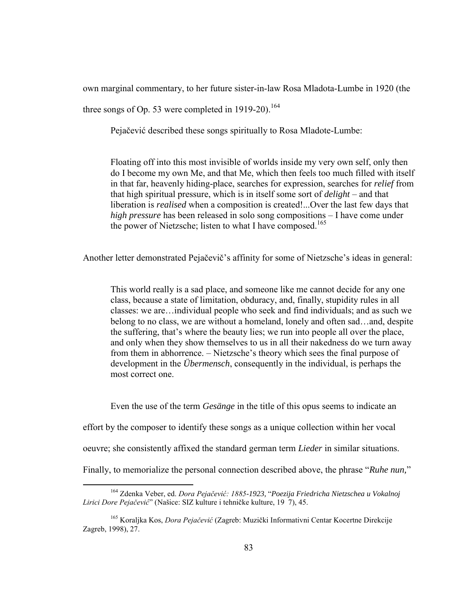own marginal commentary, to her future sister-in-law Rosa Mladota-Lumbe in 1920 (the

three songs of Op. 53 were completed in 1919-20).<sup>164</sup>

Pejačević described these songs spiritually to Rosa Mladote-Lumbe:

Floating off into this most invisible of worlds inside my very own self, only then do I become my own Me, and that Me, which then feels too much filled with itself in that far, heavenly hiding-place, searches for expression, searches for *relief* from that high spiritual pressure, which is in itself some sort of *delight* – and that liberation is *realised* when a composition is created!...Over the last few days that *high pressure* has been released in solo song compositions – I have come under the power of Nietzsche; listen to what I have composed.<sup>165</sup>

Another letter demonstrated Pejačevič's affinity for some of Nietzsche's ideas in general:

This world really is a sad place, and someone like me cannot decide for any one class, because a state of limitation, obduracy, and, finally, stupidity rules in all classes: we are…individual people who seek and find individuals; and as such we belong to no class, we are without a homeland, lonely and often sad…and, despite the suffering, that's where the beauty lies; we run into people all over the place, and only when they show themselves to us in all their nakedness do we turn away from them in abhorrence. – Nietzsche's theory which sees the final purpose of development in the *Übermensch*, consequently in the individual, is perhaps the most correct one.

Even the use of the term *Gesänge* in the title of this opus seems to indicate an

effort by the composer to identify these songs as a unique collection within her vocal

oeuvre; she consistently affixed the standard german term *Lieder* in similar situations.

Finally, to memorialize the personal connection described above, the phrase "*Ruhe nun,*"

<sup>&</sup>lt;sup>164</sup> Zdenka Veber, ed. Dora Pejačević: 1885-1923, "Poezija Friedricha Nietzschea u Vokalnoj  *i ici e ejačevi* " (Našice: SIZ kulture i tehničke kulture, 19 7), 45.

<sup>&</sup>lt;sup>165</sup> Koraljka Kos, *Dora Pejačević* (Zagreb: Muzički Informativni Centar Kocertne Direkcije Zagreb, 1998), 27.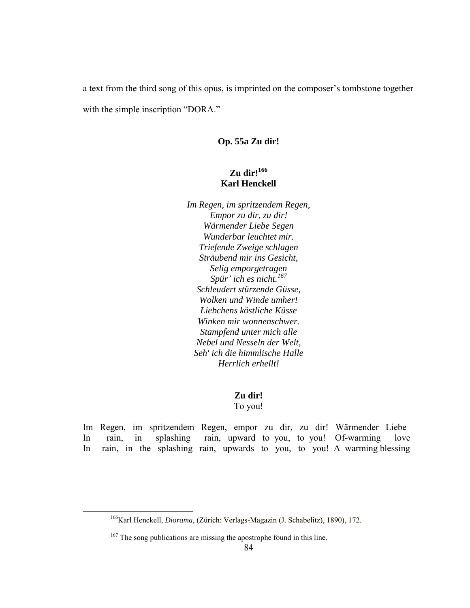a text from the third song of this opus, is imprinted on the composer's tombstone together with the simple inscription "DORA."

# **Op. 55a Zu dir!**

# **Zu dir!<sup>166</sup> Karl Henckell**

*Im Regen, im spritzendem Regen, Empor zu dir, zu dir! Wärmender Liebe Segen Wunderbar leuchtet mir. Triefende Zweige schlagen Sträubend mir ins Gesicht, Selig emporgetragen Spür' ich es nicht.<sup>167</sup> Schleudert stürzende Güsse, Wolken und Winde umher! Liebchens köstliche Küsse Winken mir wonnenschwer. Stampfend unter mich alle Nebel und Nesseln der Welt, Seh' ich die himmlische Halle Herrlich erhellt!*

## **Zu dir!**

To you!

Im Regen, im spritzendem Regen, empor zu dir, zu dir! Wärmender Liebe In rain, in splashing rain, upward to you, to you! Of-warming love In rain, in the splashing rain, upwards to you, to you! A warming blessing

<sup>166</sup>Karl Henckell, *Diorama*, (Zürich: Verlags-Magazin (J. Schabelitz), 1890), 172.

<sup>&</sup>lt;sup>167</sup> The song publications are missing the apostrophe found in this line.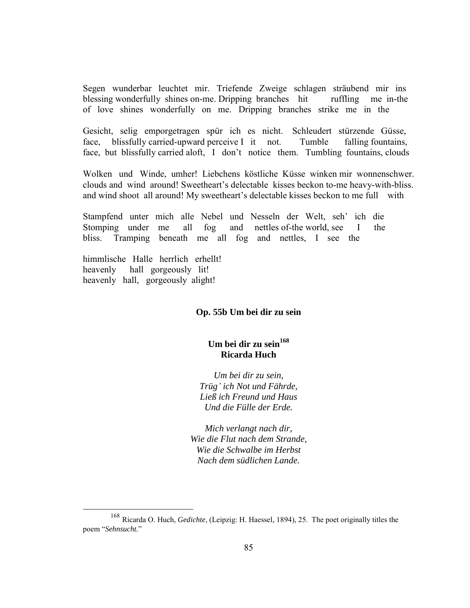Segen wunderbar leuchtet mir. Triefende Zweige schlagen sträubend mir ins blessing wonderfully shines on-me. Dripping branches hit ruffling me in-the of love shines wonderfully on me. Dripping branches strike me in the

Gesicht, selig emporgetragen spür ich es nicht. Schleudert stürzende Güsse, face, blissfully carried-upward perceive I it not. Tumble falling fountains, face, but blissfully carried aloft, I don't notice them. Tumbling fountains, clouds

Wolken und Winde, umher! Liebchens köstliche Küsse winken mir wonnenschwer. clouds and wind around! Sweetheart's delectable kisses beckon to-me heavy-with-bliss. and wind shoot all around! My sweetheart's delectable kisses beckon to me full with

Stampfend unter mich alle Nebel und Nesseln der Welt, seh' ich die Stomping under me all fog and nettles of-the world, see I the bliss. Tramping beneath me all fog and nettles, I see the

himmlische Halle herrlich erhellt! heavenly hall gorgeously lit! heavenly hall, gorgeously alight!

 $\overline{a}$ 

## **Op. 55b Um bei dir zu sein**

# **Um bei dir zu sein<sup>168</sup> Ricarda Huch**

*Um bei dir zu sein, Trüg' ich Not und Fährde, Ließ ich Freund und Haus Und die Fülle der Erde.*

*Mich verlangt nach dir, Wie die Flut nach dem Strande, Wie die Schwalbe im Herbst Nach dem südlichen Lande.*

<sup>168</sup> Ricarda O. Huch, *Gedichte*, (Leipzig: H. Haessel, 1894), 25. The poet originally titles the poem "*Sehnsucht.*"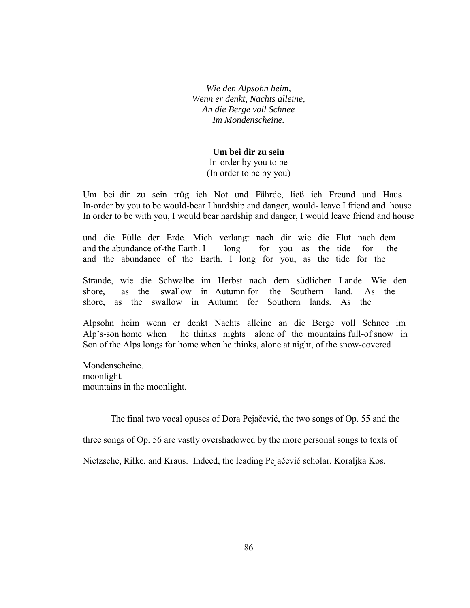*Wie den Alpsohn heim, Wenn er denkt, Nachts alleine, An die Berge voll Schnee Im Mondenscheine.*

# **Um bei dir zu sein**

In-order by you to be (In order to be by you)

Um bei dir zu sein trüg ich Not und Fährde, ließ ich Freund und Haus In-order by you to be would-bear I hardship and danger, would- leave I friend and house In order to be with you, I would bear hardship and danger, I would leave friend and house

und die Fülle der Erde. Mich verlangt nach dir wie die Flut nach dem and the abundance of-the Earth. I long for you as the tide for the and the abundance of the Earth. I long for you, as the tide for the

Strande, wie die Schwalbe im Herbst nach dem südlichen Lande. Wie den shore, as the swallow in Autumn for the Southern land. As the shore, as the swallow in Autumn for Southern lands. As the

Alpsohn heim wenn er denkt Nachts alleine an die Berge voll Schnee im Alp's-son home when he thinks nights alone of the mountains full-of snow in Son of the Alps longs for home when he thinks, alone at night, of the snow-covered

Mondenscheine. moonlight. mountains in the moonlight.

The final two vocal opuses of Dora Pejačević, the two songs of Op. 55 and the

three songs of Op. 56 are vastly overshadowed by the more personal songs to texts of

Nietzsche, Rilke, and Kraus. Indeed, the leading Pejačević scholar, Koraljka Kos,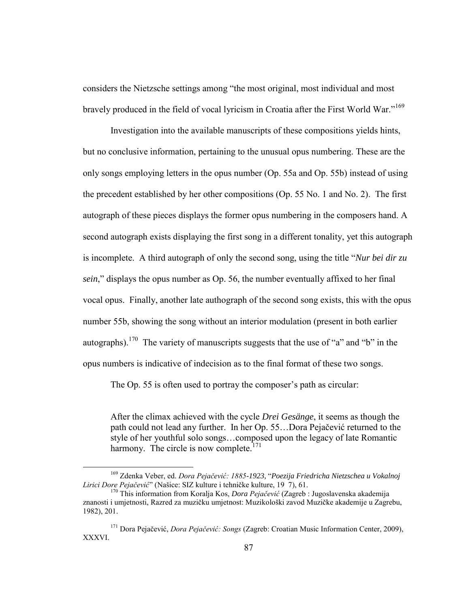considers the Nietzsche settings among "the most original, most individual and most bravely produced in the field of vocal lyricism in Croatia after the First World War."<sup>169</sup>

 Investigation into the available manuscripts of these compositions yields hints, but no conclusive information, pertaining to the unusual opus numbering. These are the only songs employing letters in the opus number (Op. 55a and Op. 55b) instead of using the precedent established by her other compositions (Op. 55 No. 1 and No. 2). The first autograph of these pieces displays the former opus numbering in the composers hand. A second autograph exists displaying the first song in a different tonality, yet this autograph is incomplete. A third autograph of only the second song, using the title "*Nur bei dir zu sein*," displays the opus number as Op. 56, the number eventually affixed to her final vocal opus. Finally, another late authograph of the second song exists, this with the opus number 55b, showing the song without an interior modulation (present in both earlier autographs).<sup>170</sup> The variety of manuscripts suggests that the use of "a" and "b" in the opus numbers is indicative of indecision as to the final format of these two songs.

The Op. 55 is often used to portray the composer's path as circular:

After the climax achieved with the cycle *Drei Gesänge*, it seems as though the path could not lead any further. In her Op. 55…Dora Pejačević returned to the style of her youthful solo songs…composed upon the legacy of late Romantic harmony. The circle is now complete.<sup>171</sup>

<sup>&</sup>lt;sup>169</sup> Zdenka Veber, ed. Dora Pejačević: 1885-1923, "Poezija Friedricha Nietzschea u Vokalnoj  *i ici e ejačevi* " (Našice: SIZ kulture i tehničke kulture, 19 7), 61.

<sup>&</sup>lt;sup>170</sup> This information from Koralja Kos, *Dora Pejačević* (Zagreb : Jugoslavenska akademija znanosti i umjetnosti, Razred za muzičku umjetnost: Muzikološki zavod Muzičke akademije u Zagrebu, 1982), 201.

<sup>&</sup>lt;sup>171</sup> Dora Pejačević, *Dora Pejačević: Songs* (Zagreb: Croatian Music Information Center, 2009), XXXVI.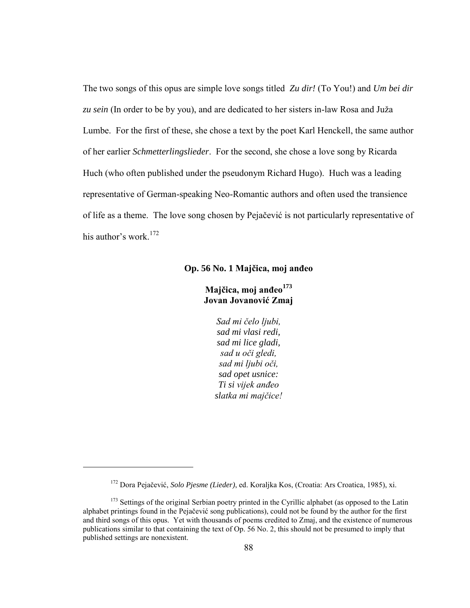The two songs of this opus are simple love songs titled *Zu dir!* (To You!) and *Um bei dir zu sein* (In order to be by you), and are dedicated to her sisters in-law Rosa and Juža Lumbe. For the first of these, she chose a text by the poet Karl Henckell, the same author of her earlier *Schmetterlingslieder*. For the second, she chose a love song by Ricarda Huch (who often published under the pseudonym Richard Hugo). Huch was a leading representative of German-speaking Neo-Romantic authors and often used the transience of life as a theme. The love song chosen by Pejačević is not particularly representative of his author's work.<sup>172</sup>

# **Op. 56 No. 1 Majčica, moj anđeo**

# **Majčica, moj anđeo<sup>173</sup> Jovan Jovanović Zmaj**

*Sad mi čelo ljubi*. *sad mi vlasi redi, sad mi lice gladi, sad u oči gledi,* sad mi ljubi oči, *sad opet usnice: Ti si vijek anđe sla ka i ajčice!*

<sup>172</sup> Dora Pejačević, *Solo Pjesme (Lieder)*, ed. Koraljka Kos, (Croatia: Ars Croatica, 1985), xi.

<sup>&</sup>lt;sup>173</sup> Settings of the original Serbian poetry printed in the Cyrillic alphabet (as opposed to the Latin alphabet printings found in the Pejačević song publications), could not be found by the author for the first and third songs of this opus. Yet with thousands of poems credited to Zmaj, and the existence of numerous publications similar to that containing the text of Op. 56 No. 2, this should not be presumed to imply that published settings are nonexistent.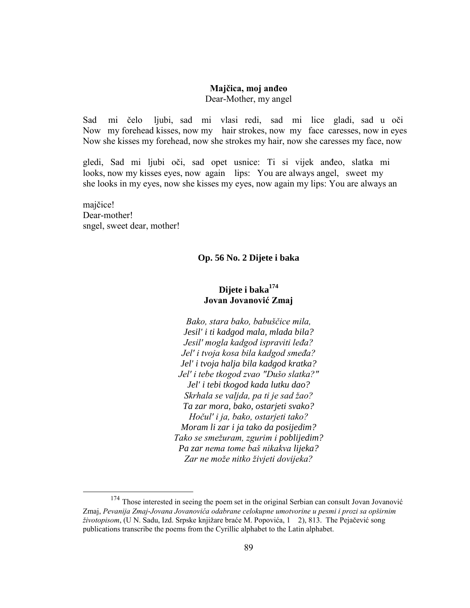## **Majčica, moj anđeo** Dear-Mother, my angel

Sad mi čelo ljubi, sad mi vlasi redi, sad mi lice gladi, sad u oči Now my forehead kisses, now my hair strokes, now my face caresses, now in eyes Now she kisses my forehead, now she strokes my hair, now she caresses my face, now

gledi, Sad mi ljubi oči, sad opet usnice: Ti si vijek anđeo, slatka mi looks, now my kisses eyes, now again lips: You are always angel, sweet my she looks in my eyes, now she kisses my eyes, now again my lips: You are always an

majčice! Dear-mother! sngel, sweet dear, mother!

 $\overline{a}$ 

# **Op. 56 No. 2 Dijete i baka**

# **Dijete i baka<sup>174</sup> Jovan Jovanović Zmaj**

*Bako, stara bako, babuščice mila, Jesil' i ti kadgod mala, mlada bila? Je il' gla ka g i avi i leđa?* Jel' i tvoja kosa bila kadgod smeđa? *Jel' i tvoja halja bila kadgod kratka?* Jel' i tebe tkogod zvao "Dušo slatka?" *Jel' i tebi tkogod kada lutku dao? Skrhala se valjda, pa ti je sad žao? Ta zar mora, bako, ostarjeti svako? Hočul' i ja, bako, ostarjeti tako? Moram li zar i ja tako da posijedim?* Tako se smežuram, zgurim i poblijedim? *Pa zar nema tome baš nikakva lijeka?* Zar ne može nitko živjeti dovijeka?

<sup>&</sup>lt;sup>174</sup> Those interested in seeing the poem set in the original Serbian can consult Jovan Jovanović Zmaj, Pevanija Zmaj-Jovana Jovanovića odabrane celokupne umotvorine u pesmi i prozi sa opširnim *životopisom*, (U N. Sadu, Izd. Srpske knjižare braće M. Popovića, 1 2), 813. The Pejačević song publications transcribe the poems from the Cyrillic alphabet to the Latin alphabet.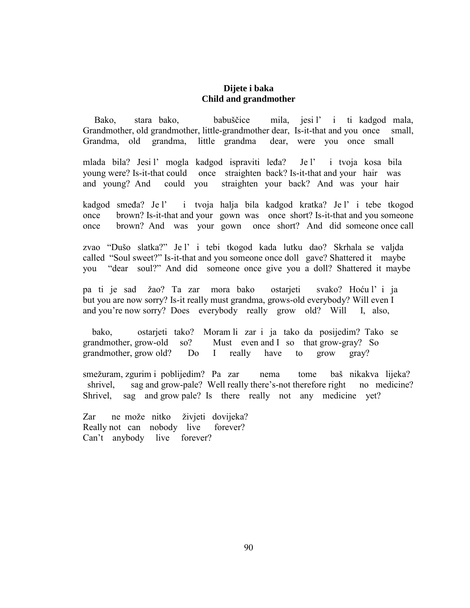# **Dijete i baka Child and grandmother**

Bako, stara bako, babuščice mila, jesi l' i ti kadgod mala, Grandmother, old grandmother, little-grandmother dear, Is-it-that and you once small, Grandma, old grandma, little grandma dear, were you once small

mlada bila? Jesi l' mogla kadgod ispraviti leđa? Je l' i tvoja kosa bila young were? Is-it-that could once straighten back? Is-it-that and your hair was and young? And could you straighten your back? And was your hair

kadgod smeđa? Je l' i tvoja halja bila kadgod kratka? Je l' i tebe tkogod once brown? Is-it-that and your gown was once short? Is-it-that and you someone once brown? And was your gown once short? And did someone once call

zvao "Dušo slatka?" Je l' i tebi tkogod kada lutku dao? Skrhala se valjda called "Soul sweet?" Is-it-that and you someone once doll gave? Shattered it maybe you "dear soul?" And did someone once give you a doll? Shattered it maybe

pa ti je sad žao? Ta zar mora bako ostarjeti svako? Hoću l' i ja but you are now sorry? Is-it really must grandma, grows-old everybody? Will even I and you're now sorry? Does everybody really grow old? Will I, also,

 bako, ostarjeti tako? Moram li zar i ja tako da posijedim? Tako se grandmother, grow-old so? Must even and I so that grow-gray? So grandmother, grow old? Do I really have to grow gray?

smežuram, zgurim i poblijedim? Pa zar nema tome baš nikakva lijeka? shrivel, sag and grow-pale? Well really there's-not therefore right no medicine? Shrivel, sag and grow pale? Is there really not any medicine yet?

Zar ne može nitko živjeti dovijeka? Really not can nobody live forever? Can't anybody live forever?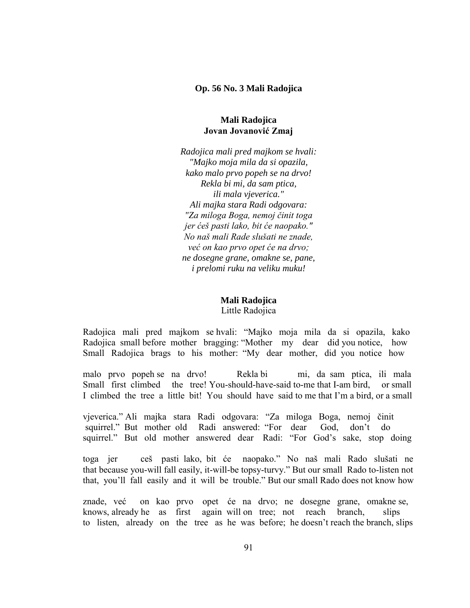#### **Op. 56 No. 3 Mali Radojica**

## **Mali Radojica Jovan Jovanović Zmaj**

*Radojica mali pred majkom se hvali: "Majko moja mila da si opazila, kako malo prvo popeh se na drvo! Rekla bi mi, da sam ptica, ili mala vjeverica." Ali majka stara Radi odgovara: "Za miloga Boga, nemoj činit toga jer ćeš pasti lako, bit će naopako." N naš ali Ra e luša i ne zna e*  već on kao prvo opet će na drvo; *ne dosegne grane, omakne se, pane, i prelomi ruku na veliku muku!*

# **Mali Radojica**

Little Radojica

Radojica mali pred majkom se hvali: "Majko moja mila da si opazila, kako Radojica small before mother bragging: "Mother my dear did you notice, how Small Radojica brags to his mother: "My dear mother, did you notice how

malo prvo popeh se na drvo! Rekla bi mi, da sam ptica, ili mala Small first climbed the tree! You-should-have-said to-me that I-am bird, or small I climbed the tree a little bit! You should have said to me that I'm a bird, or a small

vjeverica." Ali majka stara Radi odgovara: "Za miloga Boga, nemoj činit squirrel." But mother old Radi answered: "For dear God, don't do squirrel." But old mother answered dear Radi: "For God's sake, stop doing

toga jer ceš pasti lako, bit će naopako." No naš mali Rado slušati ne that because you-will fall easily, it-will-be topsy-turvy." But our small Rado to-listen not that, you'll fall easily and it will be trouble." But our small Rado does not know how

znade, već on kao prvo opet će na drvo; ne dosegne grane, omakne se, knows, already he as first again will on tree; not reach branch, slips to listen, already on the tree as he was before; he doesn't reach the branch, slips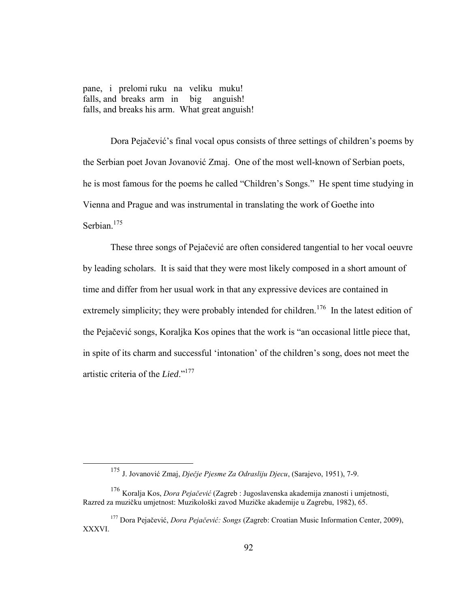pane, i prelomi ruku na veliku muku! falls, and breaks arm in big anguish! falls, and breaks his arm. What great anguish!

Dora Pejačević's final vocal opus consists of three settings of children's poems by the Serbian poet Jovan Jovanović Zmaj. One of the most well-known of Serbian poets, he is most famous for the poems he called "Children's Songs." He spent time studying in Vienna and Prague and was instrumental in translating the work of Goethe into Serbian.<sup>175</sup>

These three songs of Pejačević are often considered tangential to her vocal oeuvre by leading scholars. It is said that they were most likely composed in a short amount of time and differ from her usual work in that any expressive devices are contained in extremely simplicity; they were probably intended for children.<sup>176</sup> In the latest edition of the Pejačević songs, Koraljka Kos opines that the work is "an occasional little piece that, in spite of its charm and successful 'intonation' of the children's song, does not meet the artistic criteria of the *Lied*."<sup>177</sup>

<sup>&</sup>lt;sup>175</sup> J. Jovanović Zmaj, *Diečie Pjesme Za Odrasliju Djecu*, (Sarajevo, 1951), 7-9.

<sup>&</sup>lt;sup>176</sup> Koralja Kos, *Dora Pejačević* (Zagreb : Jugoslavenska akademija znanosti i umjetnosti, Razred za muzičku umjetnost: Muzikološki zavod Muzičke akademije u Zagrebu, 1982), 65.

<sup>&</sup>lt;sup>177</sup> Dora Pejačević, *Dora Pejačević: Songs* (Zagreb: Croatian Music Information Center, 2009), XXXVI.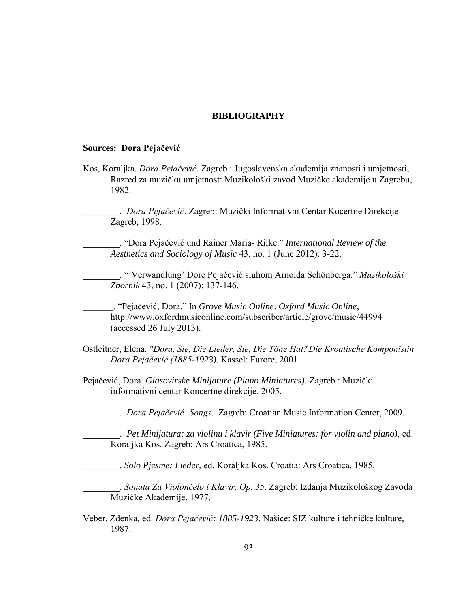# **BIBLIOGRAPHY**

#### **Sources: Dora Pejačević**

Kos, Koraljka. *Dora Pejačević*. Zagreb : Jugoslavenska akademija znanosti i umjetnosti, Razred za muzičku umjetnost: Muzikološki zavod Muzičke akademije u Zagrebu, 1982.

\_\_\_\_\_\_\_\_. *a ejačevi* . Zagreb: Muzički Informativni Centar Kocertne Direkcije Zagreb, 1998.

\_\_\_\_\_\_\_\_. "Dora Pejačević und Rainer Maria- Rilke." *International Review of the Aesthetics and Sociology of Music* 43, no. 1 (June 2012): 3-22.

\_\_\_\_\_\_\_\_. "'Verwandlung' Dore Pejačević sluhom Arnolda Schönberga." *Muzik l ški Zbornik* 43, no. 1 (2007): 137-146.

\_\_\_\_\_\_\_\_. "Pejačević, Dora." In *Grove Music Online*. *Oxford Music Online*, http://www.oxfordmusiconline.com/subscriber/article/grove/music/44994 (accessed 26 July 2013).

Ostleitner, Elena. "Dora, Sie, Die Lieder, Sie, Die Töne Hat." Die Kroatische Komponistin *Dora Pejačević (1885-1923)*. Kassel: Furore, 2001.

Pejačević, Dora. *Glasovirske Minijature (Piano Miniatures)*. Zagreb : Muzički informativni centar Koncertne direkcije, 2005.

\_\_\_\_\_\_\_\_. *a ejačevi ng* . Zagreb: Croatian Music Information Center, 2009.

\_\_\_\_\_\_\_\_. *Pet Minijatura: za violinu i klavir (Five Miniatures: for violin and piano)*, ed. Koraljka Kos. Zagreb: Ars Croatica, 1985.

\_\_\_\_\_\_\_\_. *Solo Pjesme: Lieder*, ed. Koraljka Kos. Croatia: Ars Croatica, 1985.

\_\_\_\_\_\_\_\_. *na a Za i l nčel i lavi O . 3* . Zagreb: Izdanja Muzikološkog Zavoda Muzičke Akademije, 1977.

Veber, Zdenka, ed. *Dora Pejačević: 1885-1923*. Našice: SIZ kulture i tehničke kulture, 1987.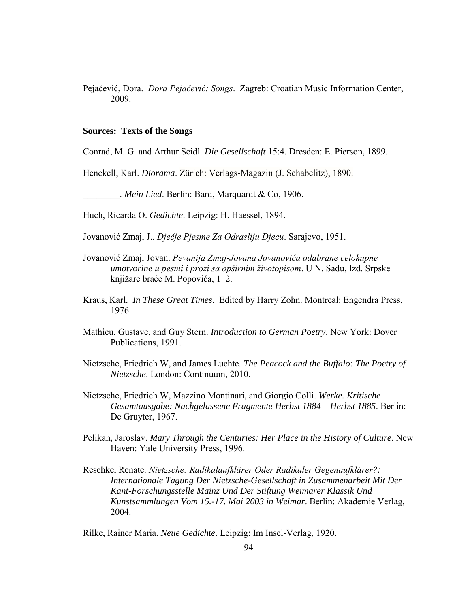Pejačević, Dora. *Dora Pejačević: Songs. Zagreb: Croatian Music Information Center,* 2009.

## **Sources: Texts of the Songs**

Conrad, M. G. and Arthur Seidl. *Die Gesellschaft* 15:4. Dresden: E. Pierson, 1899.

Henckell, Karl. *Diorama*. Zürich: Verlags-Magazin (J. Schabelitz), 1890.

\_\_\_\_\_\_\_\_. *Mein Lied*. Berlin: Bard, Marquardt & Co, 1906.

Huch, Ricarda O. *Gedichte*. Leipzig: H. Haessel, 1894.

Jovanović Zmaj, J.. Dječje Pjesme Za Odrasliju Djecu. Sarajevo, 1951.

- Jovanović Zmaj, Jovan. *Pevanija Zmaj-Jovana Jovanovića odabrane celokupne umotvorine u pesmi i prozi sa opširnim životopisom.* U N. Sadu, Izd. Srpske knjižare braće M. Popovića, 1 2.
- Kraus, Karl. *In These Great Times*. Edited by Harry Zohn. Montreal: Engendra Press, 1976.
- Mathieu, Gustave, and Guy Stern. *Introduction to German Poetry*. New York: Dover Publications, 1991.
- Nietzsche, Friedrich W, and James Luchte. *The Peacock and the Buffalo: The Poetry of Nietzsche*. London: Continuum, 2010.
- Nietzsche, Friedrich W, Mazzino Montinari, and Giorgio Colli. *Werke. Kritische Gesamtausgabe: Nachgelassene Fragmente Herbst 1884 – Herbst 1885*. Berlin: De Gruyter, 1967.
- Pelikan, Jaroslav. *Mary Through the Centuries: Her Place in the History of Culture*. New Haven: Yale University Press, 1996.
- Reschke, Renate. *Nietzsche: Radikalaufklärer Oder Radikaler Gegenaufklärer?: Internationale Tagung Der Nietzsche-Gesellschaft in Zusammenarbeit Mit Der Kant-Forschungsstelle Mainz Und Der Stiftung Weimarer Klassik Und Kunstsammlungen Vom 15.-17. Mai 2003 in Weimar*. Berlin: Akademie Verlag, 2004.

Rilke, Rainer Maria. *Neue Gedichte*. Leipzig: Im Insel-Verlag, 1920.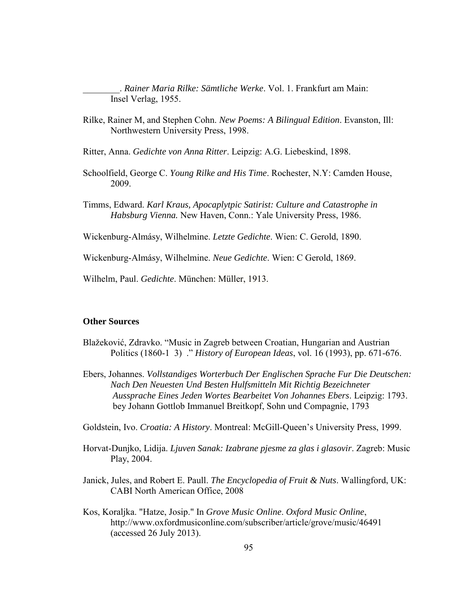\_\_\_\_\_\_\_\_. *Rainer Maria Rilke: Sämtliche Werke*. Vol. 1. Frankfurt am Main: Insel Verlag, 1955.

- Rilke, Rainer M, and Stephen Cohn. *New Poems: A Bilingual Edition*. Evanston, Ill: Northwestern University Press, 1998.
- Ritter, Anna. *Gedichte von Anna Ritter*. Leipzig: A.G. Liebeskind, 1898.
- Schoolfield, George C. *Young Rilke and His Time*. Rochester, N.Y: Camden House, 2009.
- Timms, Edward. *Karl Kraus, Apocaplytpic Satirist: Culture and Catastrophe in Habsburg Vienna.* New Haven, Conn.: Yale University Press, 1986.

Wickenburg-Almásy, Wilhelmine. *Letzte Gedichte*. Wien: C. Gerold, 1890.

Wickenburg-Almásy, Wilhelmine. *Neue Gedichte*. Wien: C Gerold, 1869.

Wilhelm, Paul. *Gedichte*. München: Müller, 1913.

#### **Other Sources**

- Blažeković, Zdravko. "Music in Zagreb between Croatian, Hungarian and Austrian Politics (1860-1 3) ." *History of European Ideas*, vol. 16 (1993), pp. 671-676.
- Ebers, Johannes. *Vollstandiges Worterbuch Der Englischen Sprache Fur Die Deutschen: Nach Den Neuesten Und Besten Hulfsmitteln Mit Richtig Bezeichneter Aussprache Eines Jeden Wortes Bearbeitet Von Johannes Ebers*. Leipzig: 1793. bey Johann Gottlob Immanuel Breitkopf, Sohn und Compagnie, 1793

Goldstein, Ivo. *Croatia: A History*. Montreal: McGill-Queen's University Press, 1999.

- Horvat-Dunjko, Lidija. *Ljuven Sanak: Izabrane pjesme za glas i glasovir*. Zagreb: Music Play, 2004.
- Janick, Jules, and Robert E. Paull. *The Encyclopedia of Fruit & Nuts*. Wallingford, UK: CABI North American Office, 2008
- Kos, Koraljka. "Hatze, Josip." In *Grove Music Online*. *Oxford Music Online*, http://www.oxfordmusiconline.com/subscriber/article/grove/music/46491 (accessed 26 July 2013).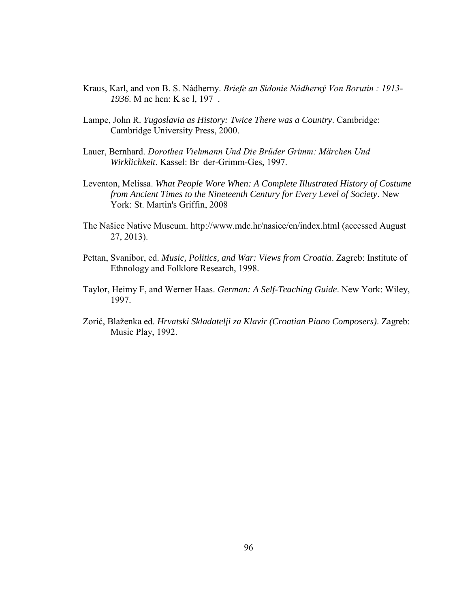- Kraus, Karl, and von B. S. Nádherny. Briefe an Sidonie Nádherný Von Borutin : 1913-*1936*. M nc hen: K se l, 197 .
- Lampe, John R. *Yugoslavia as History: Twice There was a Country*. Cambridge: Cambridge University Press, 2000.
- Lauer, Bernhard. Dorothea Viehmann Und Die Brüder Grimm: Märchen Und *Wirklichkeit*. Kassel: Br der-Grimm-Ges, 1997.
- Leventon, Melissa. *What People Wore When: A Complete Illustrated History of Costume from Ancient Times to the Nineteenth Century for Every Level of Society*. New York: St. Martin's Griffin, 2008
- The Našice Native Museum. http://www.mdc.hr/nasice/en/index.html (accessed August 27, 2013).
- Pettan, Svanibor, ed. *Music, Politics, and War: Views from Croatia*. Zagreb: Institute of Ethnology and Folklore Research, 1998.
- Taylor, Heimy F, and Werner Haas. *German: A Self-Teaching Guide*. New York: Wiley, 1997.
- Zorić, Blaženka ed. *Hrvatski Skladatelji za Klavir (Croatian Piano Composers)*. Zagreb: Music Play, 1992.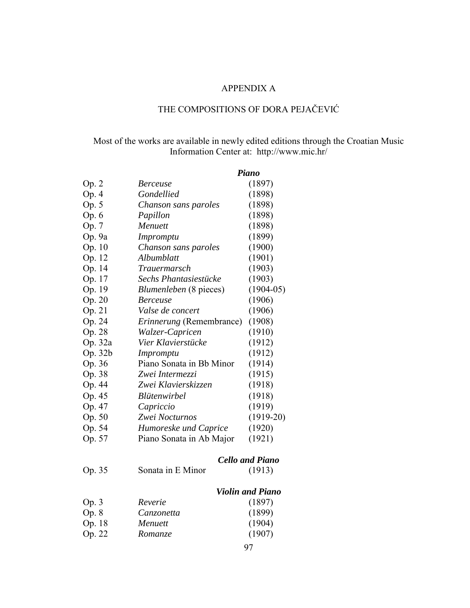# APPENDIX A

# THE COMPOSITIONS OF DORA PEJAČEVIĆ

# Most of the works are available in newly edited editions through the Croatian Music Information Center at: <http://www.mic.hr/>

|         |                                 | <b>Piano</b>            |  |
|---------|---------------------------------|-------------------------|--|
| Op. 2   | <b>Berceuse</b>                 | (1897)                  |  |
| Op. 4   | Gondellied                      | (1898)                  |  |
| Op. 5   | Chanson sans paroles            | (1898)                  |  |
| Op. 6   | Papillon                        | (1898)                  |  |
| Op. 7   | Menuett                         | (1898)                  |  |
| Op. 9a  | Impromptu                       | (1899)                  |  |
| Op. 10  | Chanson sans paroles            | (1900)                  |  |
| Op. 12  | Albumblatt                      | (1901)                  |  |
| Op. 14  | Trauermarsch                    | (1903)                  |  |
| Op. 17  | Sechs Phantasiestücke           | (1903)                  |  |
| Op. 19  | <i>Blumenleben</i> (8 pieces)   | $(1904-05)$             |  |
| Op. 20  | <b>Berceuse</b>                 | (1906)                  |  |
| Op. 21  | Valse de concert                | (1906)                  |  |
| Op. 24  | <i>Erinnerung</i> (Remembrance) | (1908)                  |  |
| Op. 28  | Walzer-Capricen                 | (1910)                  |  |
| Op. 32a | Vier Klavierstücke              | (1912)                  |  |
| Op. 32b | <i>Impromptu</i>                | (1912)                  |  |
| Op. 36  | Piano Sonata in Bb Minor        | (1914)                  |  |
| Op. 38  | Zwei Intermezzi                 | (1915)                  |  |
| Op. 44  | Zwei Klavierskizzen             | (1918)                  |  |
| Op. 45  | Blütenwirbel                    | (1918)                  |  |
| Op. 47  | Capriccio                       | (1919)                  |  |
| Op. 50  | Zwei Nocturnos                  | $(1919-20)$             |  |
| Op. 54  | Humoreske und Caprice           | (1920)                  |  |
| Op. 57  | Piano Sonata in Ab Major        | (1921)                  |  |
|         |                                 | <b>Cello and Piano</b>  |  |
| Op. 35  | Sonata in E Minor               | (1913)                  |  |
|         |                                 | <b>Violin and Piano</b> |  |
| Op. 3   | Reverie                         | (1897)                  |  |
| Op. 8   | Canzonetta                      | (1899)                  |  |
| Op. 18  | <b>Menuett</b>                  | (1904)                  |  |
| Op. 22  | <i>Romanze</i>                  | (1907)                  |  |
|         |                                 |                         |  |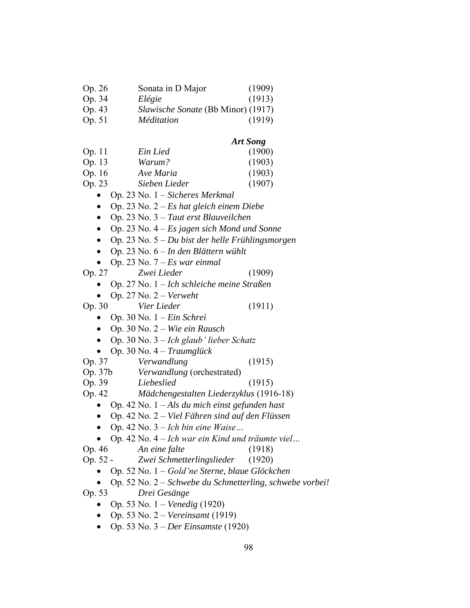| Op. 26 | Sonata in D Major                  | (1909) |
|--------|------------------------------------|--------|
| Op. 34 | Elégie                             | (1913) |
| Op. 43 | Slawische Sonate (Bb Minor) (1917) |        |
| Op. 51 | <i>Méditation</i>                  | (1919) |

## *Art Song*

| Op. 11 | Ein Lied      | (1900) |
|--------|---------------|--------|
| Op. 13 | Warum?        | (1903) |
| Op. 16 | Ave Maria     | (1903) |
| Op. 23 | Sieben Lieder | (1907) |

- Op. 23 No. 1 *Sicheres Merkmal*
- Op. 23 No. 2 *Es hat gleich einem Diebe*
- Op. 23 No. 3 *Taut erst Blauveilchen*
- Op. 23 No. 4 *Es jagen sich Mond und Sonne*
- Op. 23 No. 5 *Du bist der helle Frühlingsmorgen*
- Op. 23 No. 6 *In den Blättern wühlt*
- Op. 23 No. 7 *Es war einmal*

Op. 27 *Zwei Lieder* (1909)

- Op. 27 No. 1 *Ich schleiche meine Straßen*
- Op. 27 No. 2 *Verweht*
- Op. 30 *Vier Lieder* (1911)
	- Op. 30 No. 1 *Ein Schrei*
	- Op. 30 No. 2 *Wie ein Rausch*
	- Op. 30 No. 3 *Ich glaub' lieber Schatz*
	- Op. 30 No. 4 *Traumglück*
- Op. 37 *Verwandlung* (1915)
- Op. 37b *Verwandlung* (orchestrated)
- Op. 39 *Liebeslied* (1915)
- Op. 42 *Mädchengestalten Liederzyklus* (1916-18)
	- Op. 42 No. 1 *Als du mich einst gefunden hast*
	- Op. 42 No. 2 *Viel Fähren sind auf den Flüssen*
	- $\bullet$  Op. 42 No. 3 *Ich bin eine Waise*...
	- Op. 42 No. 4 *Ich war ein Kind und träumte viel...*
- Op. 46 *An eine falte* (1918)
- Op. 52 *Zwei Schmetterlingslieder* (1920)
	- Op. 52 No. 1 *G l 'ne Sterne, blaue Glöckchen*
- Op. 52 No. 2 *Schwebe du Schmetterling, schwebe vorbei!*

Op. 53 *Drei Gesänge*

- Op. 53 No. 1 *Venedig* (1920)
- Op. 53 No. 2 *Vereinsamt* (1919)
- Op. 53 No. 3 *Der Einsamste* (1920)